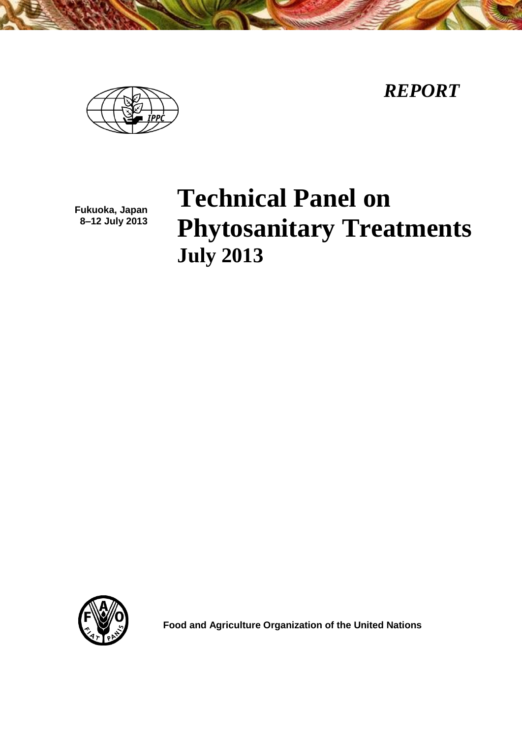*REPORT*



**Fukuoka, Japan 8–12 July 2013**

# **Technical Panel on Phytosanitary Treatments July 2013**



**Food and Agriculture Organization of the United Nations**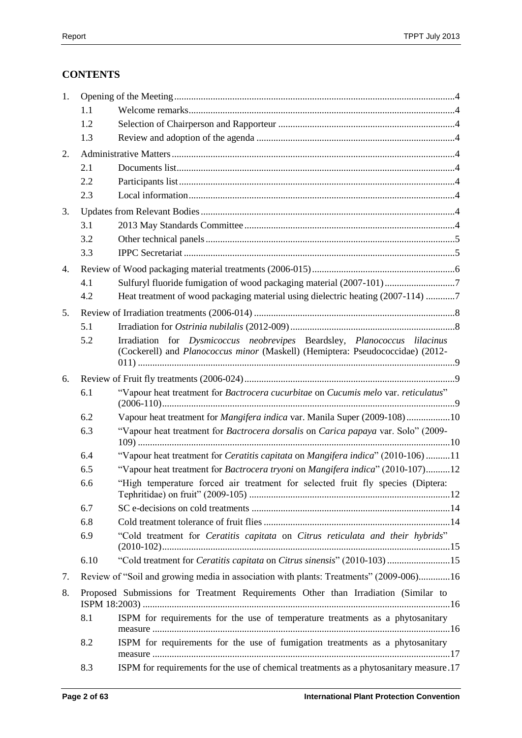# **CONTENTS**

| 1. |      |                                                                                                                                                            |
|----|------|------------------------------------------------------------------------------------------------------------------------------------------------------------|
|    | 1.1  |                                                                                                                                                            |
|    | 1.2  |                                                                                                                                                            |
|    | 1.3  |                                                                                                                                                            |
| 2. |      |                                                                                                                                                            |
|    | 2.1  |                                                                                                                                                            |
|    | 2.2  |                                                                                                                                                            |
|    | 2.3  |                                                                                                                                                            |
| 3. |      |                                                                                                                                                            |
|    | 3.1  |                                                                                                                                                            |
|    | 3.2  |                                                                                                                                                            |
|    | 3.3  |                                                                                                                                                            |
| 4. |      |                                                                                                                                                            |
|    | 4.1  | Sulfuryl fluoride fumigation of wood packaging material (2007-101)7                                                                                        |
|    | 4.2  | Heat treatment of wood packaging material using dielectric heating (2007-114) 7                                                                            |
| 5. |      |                                                                                                                                                            |
|    | 5.1  |                                                                                                                                                            |
|    | 5.2  | Irradiation for Dysmicoccus neobrevipes Beardsley, Planococcus lilacinus<br>(Cockerell) and Planococcus minor (Maskell) (Hemiptera: Pseudococcidae) (2012- |
| 6. |      |                                                                                                                                                            |
|    | 6.1  | "Vapour heat treatment for Bactrocera cucurbitae on Cucumis melo var. reticulatus"                                                                         |
|    | 6.2  | Vapour heat treatment for <i>Mangifera indica</i> var. Manila Super (2009-108)10                                                                           |
|    | 6.3  | "Vapour heat treatment for Bactrocera dorsalis on Carica papaya var. Solo" (2009-                                                                          |
|    | 6.4  | "Vapour heat treatment for Ceratitis capitata on Mangifera indica" (2010-106) 11                                                                           |
|    | 6.5  | "Vapour heat treatment for Bactrocera tryoni on Mangifera indica" (2010-107)12                                                                             |
|    | 6.6  | "High temperature forced air treatment for selected fruit fly species (Diptera:                                                                            |
|    | 6.7  |                                                                                                                                                            |
|    | 6.8  |                                                                                                                                                            |
|    | 6.9  | "Cold treatment for Ceratitis capitata on Citrus reticulata and their hybrids"                                                                             |
|    | 6.10 | "Cold treatment for Ceratitis capitata on Citrus sinensis" (2010-103) 15                                                                                   |
| 7. |      | Review of "Soil and growing media in association with plants: Treatments" (2009-006)16                                                                     |
| 8. |      | Proposed Submissions for Treatment Requirements Other than Irradiation (Similar to                                                                         |
|    | 8.1  | ISPM for requirements for the use of temperature treatments as a phytosanitary                                                                             |
|    | 8.2  | ISPM for requirements for the use of fumigation treatments as a phytosanitary                                                                              |
|    | 8.3  | ISPM for requirements for the use of chemical treatments as a phytosanitary measure.17                                                                     |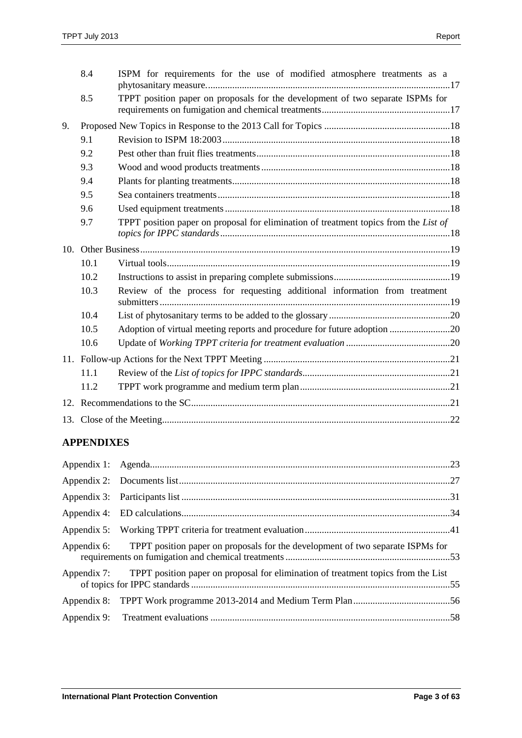|                 | 8.4  | ISPM for requirements for the use of modified atmosphere treatments as a             |  |
|-----------------|------|--------------------------------------------------------------------------------------|--|
|                 | 8.5  | TPPT position paper on proposals for the development of two separate ISPMs for       |  |
| 9.              |      |                                                                                      |  |
|                 | 9.1  |                                                                                      |  |
|                 | 9.2  |                                                                                      |  |
|                 | 9.3  |                                                                                      |  |
|                 | 9.4  |                                                                                      |  |
|                 | 9.5  |                                                                                      |  |
|                 | 9.6  |                                                                                      |  |
|                 | 9.7  | TPPT position paper on proposal for elimination of treatment topics from the List of |  |
| 10 <sub>1</sub> |      |                                                                                      |  |
|                 | 10.1 |                                                                                      |  |
|                 | 10.2 |                                                                                      |  |
|                 | 10.3 | Review of the process for requesting additional information from treatment           |  |
|                 | 10.4 |                                                                                      |  |
|                 | 10.5 | Adoption of virtual meeting reports and procedure for future adoption 20             |  |
|                 | 10.6 |                                                                                      |  |
|                 |      |                                                                                      |  |
|                 | 11.1 |                                                                                      |  |
|                 | 11.2 |                                                                                      |  |
|                 |      |                                                                                      |  |
|                 |      |                                                                                      |  |

# **APPENDIXES**

| Appendix 6: TPPT position paper on proposals for the development of two separate ISPMs for    |  |
|-----------------------------------------------------------------------------------------------|--|
| Appendix 7: TPPT position paper on proposal for elimination of treatment topics from the List |  |
|                                                                                               |  |
|                                                                                               |  |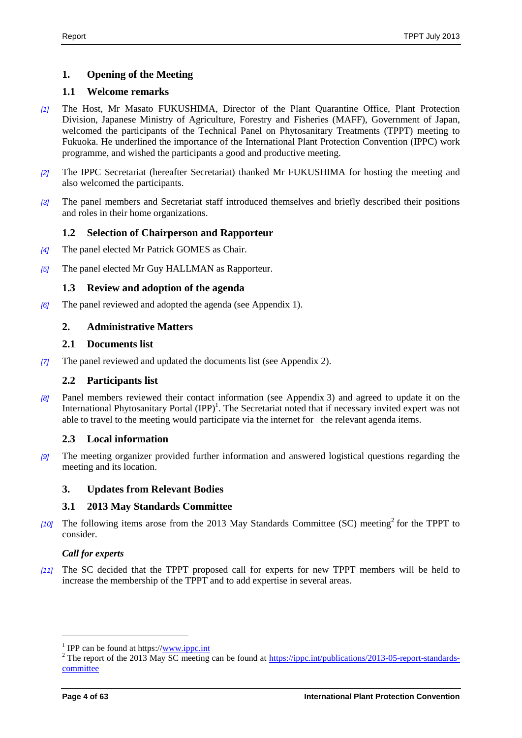# <span id="page-3-0"></span>**1. Opening of the Meeting**

# <span id="page-3-1"></span>**1.1 Welcome remarks**

- *[1]* The Host, Mr Masato FUKUSHIMA, Director of the Plant Quarantine Office, Plant Protection Division, Japanese Ministry of Agriculture, Forestry and Fisheries (MAFF), Government of Japan, welcomed the participants of the Technical Panel on Phytosanitary Treatments (TPPT) meeting to Fukuoka. He underlined the importance of the International Plant Protection Convention (IPPC) work programme, and wished the participants a good and productive meeting.
- *[2]* The IPPC Secretariat (hereafter Secretariat) thanked Mr FUKUSHIMA for hosting the meeting and also welcomed the participants.
- *[3]* The panel members and Secretariat staff introduced themselves and briefly described their positions and roles in their home organizations.

# <span id="page-3-2"></span>**1.2 Selection of Chairperson and Rapporteur**

- *[4]* The panel elected Mr Patrick GOMES as Chair.
- *[5]* The panel elected Mr Guy HALLMAN as Rapporteur.

# <span id="page-3-3"></span>**1.3 Review and adoption of the agenda**

*[6]* The panel reviewed and adopted the agenda (see Appendix 1).

# <span id="page-3-4"></span>**2. Administrative Matters**

### <span id="page-3-5"></span>**2.1 Documents list**

*[7]* The panel reviewed and updated the documents list (see Appendix 2).

### <span id="page-3-6"></span>**2.2 Participants list**

*[8]* Panel members reviewed their contact information (see Appendix 3) and agreed to update it on the International Phytosanitary Portal  $(IPP)^1$ . The Secretariat noted that if necessary invited expert was not able to travel to the meeting would participate via the internet for the relevant agenda items.

# <span id="page-3-7"></span>**2.3 Local information**

*[9]* The meeting organizer provided further information and answered logistical questions regarding the meeting and its location.

### <span id="page-3-8"></span>**3. Updates from Relevant Bodies**

### <span id="page-3-9"></span>**3.1 2013 May Standards Committee**

[10] The following items arose from the 2013 May Standards Committee (SC) meeting<sup>2</sup> for the TPPT to consider.

### *Call for experts*

*[11]* The SC decided that the TPPT proposed call for experts for new TPPT members will be held to increase the membership of the TPPT and to add expertise in several areas.

l

<sup>&</sup>lt;sup>1</sup> IPP can be found at https:/[/www.ippc.int](http://www.ippc.int/)

<sup>&</sup>lt;sup>2</sup> The report of the 2013 May SC meeting can be found at [https://ippc.int/publications/2013-05-report-standards](https://ippc.int/publications/2013-05-report-standards-committee)[committee](https://ippc.int/publications/2013-05-report-standards-committee)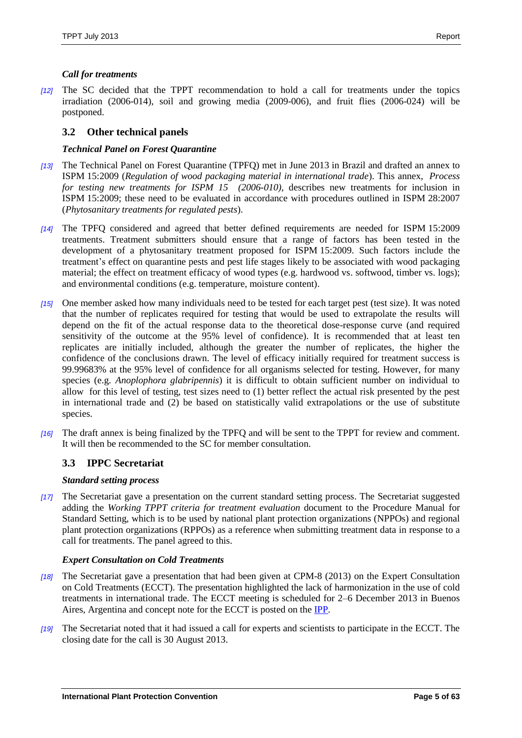# *Call for treatments*

*[12]* The SC decided that the TPPT recommendation to hold a call for treatments under the topics irradiation (2006-014), soil and growing media (2009-006), and fruit flies (2006-024) will be postponed.

# <span id="page-4-0"></span>**3.2 Other technical panels**

### *Technical Panel on Forest Quarantine*

- *[13]* The Technical Panel on Forest Quarantine (TPFQ) met in June 2013 in Brazil and drafted an annex to ISPM 15:2009 (*Regulation of wood packaging material in international trade*). This annex, *Process for testing new treatments for ISPM 15 (2006-010),* describes new treatments for inclusion in ISPM 15:2009; these need to be evaluated in accordance with procedures outlined in ISPM 28:2007 (*Phytosanitary treatments for regulated pests*).
- *[14]* The TPFQ considered and agreed that better defined requirements are needed for ISPM 15:2009 treatments. Treatment submitters should ensure that a range of factors has been tested in the development of a phytosanitary treatment proposed for ISPM 15:2009. Such factors include the treatment's effect on quarantine pests and pest life stages likely to be associated with wood packaging material; the effect on treatment efficacy of wood types (e.g. hardwood vs. softwood, timber vs. logs); and environmental conditions (e.g. temperature, moisture content).
- *[15]* One member asked how many individuals need to be tested for each target pest (test size). It was noted that the number of replicates required for testing that would be used to extrapolate the results will depend on the fit of the actual response data to the theoretical dose-response curve (and required sensitivity of the outcome at the 95% level of confidence). It is recommended that at least ten replicates are initially included, although the greater the number of replicates, the higher the confidence of the conclusions drawn. The level of efficacy initially required for treatment success is 99.99683% at the 95% level of confidence for all organisms selected for testing. However, for many species (e.g. *Anoplophora glabripennis*) it is difficult to obtain sufficient number on individual to allow for this level of testing, test sizes need to (1) better reflect the actual risk presented by the pest in international trade and (2) be based on statistically valid extrapolations or the use of substitute species.
- *[16]* The draft annex is being finalized by the TPFQ and will be sent to the TPPT for review and comment. It will then be recommended to the SC for member consultation.

# <span id="page-4-1"></span>**3.3 IPPC Secretariat**

### *Standard setting process*

*[17]* The Secretariat gave a presentation on the current standard setting process. The Secretariat suggested adding the *Working TPPT criteria for treatment evaluation* document to the Procedure Manual for Standard Setting, which is to be used by national plant protection organizations (NPPOs) and regional plant protection organizations (RPPOs) as a reference when submitting treatment data in response to a call for treatments. The panel agreed to this.

### *Expert Consultation on Cold Treatments*

- *[18]* The Secretariat gave a presentation that had been given at CPM-8 (2013) on the Expert Consultation on Cold Treatments (ECCT). The presentation highlighted the lack of harmonization in the use of cold treatments in international trade. The ECCT meeting is scheduled for 2–6 December 2013 in Buenos Aires, Argentina and concept note for the ECCT is posted on the [IPP.](https://www.ippc.int/node/20838)
- *[19]* The Secretariat noted that it had issued a call for experts and scientists to participate in the ECCT. The closing date for the call is 30 August 2013.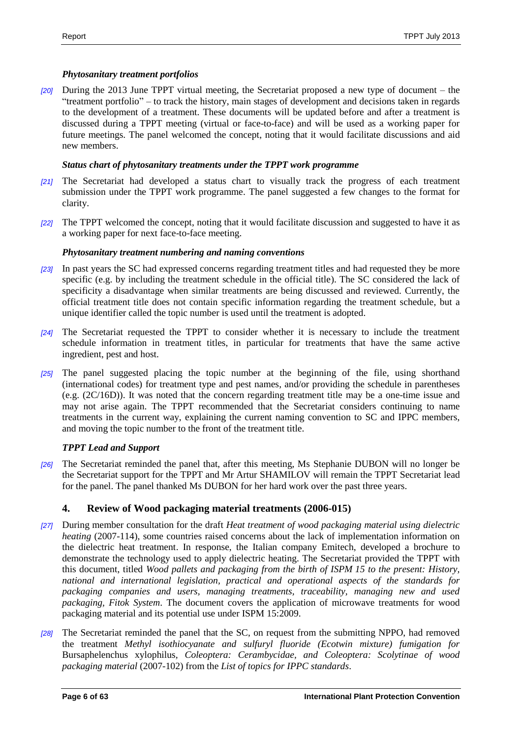# *Phytosanitary treatment portfolios*

*[20]* During the 2013 June TPPT virtual meeting, the Secretariat proposed a new type of document – the "treatment portfolio" – to track the history, main stages of development and decisions taken in regards to the development of a treatment. These documents will be updated before and after a treatment is discussed during a TPPT meeting (virtual or face-to-face) and will be used as a working paper for future meetings. The panel welcomed the concept, noting that it would facilitate discussions and aid new members.

# *Status chart of phytosanitary treatments under the TPPT work programme*

- *[21]* The Secretariat had developed a status chart to visually track the progress of each treatment submission under the TPPT work programme. The panel suggested a few changes to the format for clarity.
- *[22]* The TPPT welcomed the concept, noting that it would facilitate discussion and suggested to have it as a working paper for next face-to-face meeting.

# *Phytosanitary treatment numbering and naming conventions*

- *[23]* In past years the SC had expressed concerns regarding treatment titles and had requested they be more specific (e.g. by including the treatment schedule in the official title). The SC considered the lack of specificity a disadvantage when similar treatments are being discussed and reviewed. Currently, the official treatment title does not contain specific information regarding the treatment schedule, but a unique identifier called the topic number is used until the treatment is adopted.
- *[24]* The Secretariat requested the TPPT to consider whether it is necessary to include the treatment schedule information in treatment titles, in particular for treatments that have the same active ingredient, pest and host.
- *[25]* The panel suggested placing the topic number at the beginning of the file, using shorthand (international codes) for treatment type and pest names, and/or providing the schedule in parentheses (e.g. (2C/16D)). It was noted that the concern regarding treatment title may be a one-time issue and may not arise again. The TPPT recommended that the Secretariat considers continuing to name treatments in the current way, explaining the current naming convention to SC and IPPC members, and moving the topic number to the front of the treatment title.

# *TPPT Lead and Support*

*[26]* The Secretariat reminded the panel that, after this meeting, Ms Stephanie DUBON will no longer be the Secretariat support for the TPPT and Mr Artur SHAMILOV will remain the TPPT Secretariat lead for the panel. The panel thanked Ms DUBON for her hard work over the past three years.

# <span id="page-5-0"></span>**4. Review of Wood packaging material treatments (2006-015)**

- *[27]* During member consultation for the draft *Heat treatment of wood packaging material using dielectric heating* (2007-114), some countries raised concerns about the lack of implementation information on the dielectric heat treatment. In response, the Italian company Emitech, developed a brochure to demonstrate the technology used to apply dielectric heating. The Secretariat provided the TPPT with this document, titled *Wood pallets and packaging from the birth of ISPM 15 to the present: History, national and international legislation, practical and operational aspects of the standards for packaging companies and users, managing treatments, traceability, managing new and used packaging, Fitok System*. The document covers the application of microwave treatments for wood packaging material and its potential use under ISPM 15:2009.
- *[28]* The Secretariat reminded the panel that the SC, on request from the submitting NPPO, had removed the treatment *Methyl isothiocyanate and sulfuryl fluoride (Ecotwin mixture) fumigation for*  Bursaphelenchus xylophilus*, Coleoptera: Cerambycidae, and Coleoptera: Scolytinae of wood packaging material* (2007-102) from the *List of topics for IPPC standards*.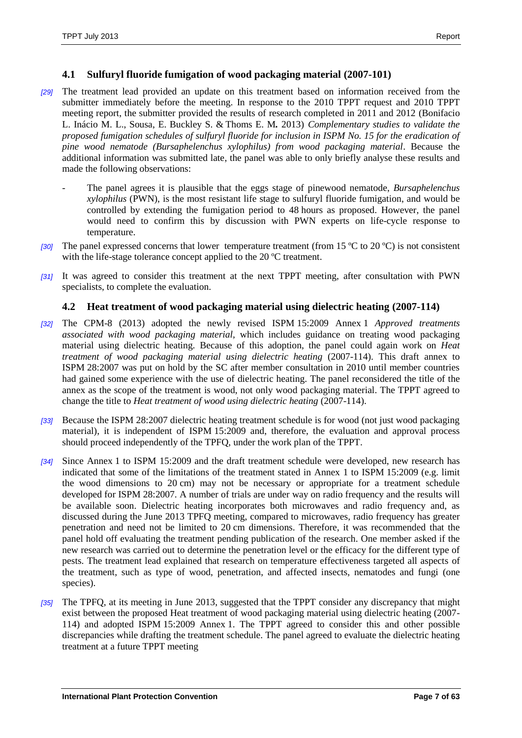### <span id="page-6-0"></span>**4.1 Sulfuryl fluoride fumigation of wood packaging material (2007-101)**

- *[29]* The treatment lead provided an update on this treatment based on information received from the submitter immediately before the meeting. In response to the 2010 TPPT request and 2010 TPPT meeting report, the submitter provided the results of research completed in 2011 and 2012 (Bonifacio L. Inácio M. L., Sousa, E. Buckley S. & Thoms E. M*.* 2013) *Complementary studies to validate the proposed fumigation schedules of sulfuryl fluoride for inclusion in ISPM No. 15 for the eradication of pine wood nematode (Bursaphelenchus xylophilus) from wood packaging material*. Because the additional information was submitted late, the panel was able to only briefly analyse these results and made the following observations:
	- The panel agrees it is plausible that the eggs stage of pinewood nematode, *Bursaphelenchus xylophilus* (PWN), is the most resistant life stage to sulfuryl fluoride fumigation, and would be controlled by extending the fumigation period to 48 hours as proposed. However, the panel would need to confirm this by discussion with PWN experts on life-cycle response to temperature.
- *[30]* The panel expressed concerns that lower temperature treatment (from 15 ºC to 20 ºC) is not consistent with the life-stage tolerance concept applied to the 20 °C treatment.
- *[31]* It was agreed to consider this treatment at the next TPPT meeting, after consultation with PWN specialists, to complete the evaluation.

# <span id="page-6-1"></span>**4.2 Heat treatment of wood packaging material using dielectric heating (2007-114)**

- *[32]* The CPM-8 (2013) adopted the newly revised ISPM 15:2009 Annex 1 *Approved treatments associated with wood packaging material,* which includes guidance on treating wood packaging material using dielectric heating. Because of this adoption, the panel could again work on *Heat treatment of wood packaging material using dielectric heating* (2007-114). This draft annex to ISPM 28:2007 was put on hold by the SC after member consultation in 2010 until member countries had gained some experience with the use of dielectric heating. The panel reconsidered the title of the annex as the scope of the treatment is wood, not only wood packaging material. The TPPT agreed to change the title to *Heat treatment of wood using dielectric heating* (2007-114).
- *[33]* Because the ISPM 28:2007 dielectric heating treatment schedule is for wood (not just wood packaging material), it is independent of ISPM 15:2009 and, therefore, the evaluation and approval process should proceed independently of the TPFQ, under the work plan of the TPPT.
- *[34]* Since Annex 1 to ISPM 15:2009 and the draft treatment schedule were developed, new research has indicated that some of the limitations of the treatment stated in Annex 1 to ISPM 15:2009 (e.g. limit the wood dimensions to 20 cm) may not be necessary or appropriate for a treatment schedule developed for ISPM 28:2007. A number of trials are under way on radio frequency and the results will be available soon. Dielectric heating incorporates both microwaves and radio frequency and, as discussed during the June 2013 TPFQ meeting, compared to microwaves, radio frequency has greater penetration and need not be limited to 20 cm dimensions. Therefore, it was recommended that the panel hold off evaluating the treatment pending publication of the research. One member asked if the new research was carried out to determine the penetration level or the efficacy for the different type of pests. The treatment lead explained that research on temperature effectiveness targeted all aspects of the treatment, such as type of wood, penetration, and affected insects, nematodes and fungi (one species).
- *[35]* The TPFQ, at its meeting in June 2013, suggested that the TPPT consider any discrepancy that might exist between the proposed Heat treatment of wood packaging material using dielectric heating (2007- 114) and adopted ISPM 15:2009 Annex 1. The TPPT agreed to consider this and other possible discrepancies while drafting the treatment schedule. The panel agreed to evaluate the dielectric heating treatment at a future TPPT meeting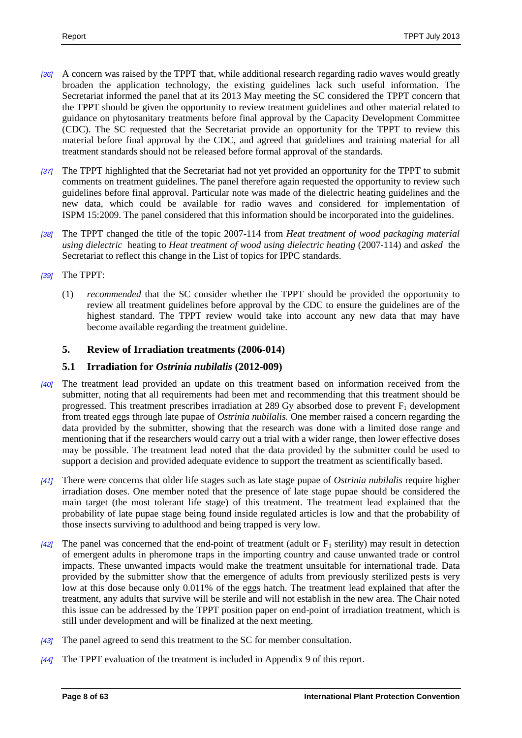- *[36]* A concern was raised by the TPPT that, while additional research regarding radio waves would greatly broaden the application technology, the existing guidelines lack such useful information. The Secretariat informed the panel that at its 2013 May meeting the SC considered the TPPT concern that the TPPT should be given the opportunity to review treatment guidelines and other material related to guidance on phytosanitary treatments before final approval by the Capacity Development Committee (CDC). The SC requested that the Secretariat provide an opportunity for the TPPT to review this material before final approval by the CDC, and agreed that guidelines and training material for all treatment standards should not be released before formal approval of the standards.
- *[37]* The TPPT highlighted that the Secretariat had not yet provided an opportunity for the TPPT to submit comments on treatment guidelines. The panel therefore again requested the opportunity to review such guidelines before final approval. Particular note was made of the dielectric heating guidelines and the new data, which could be available for radio waves and considered for implementation of ISPM 15:2009. The panel considered that this information should be incorporated into the guidelines.
- *[38]* The TPPT changed the title of the topic 2007-114 from *Heat treatment of wood packaging material using dielectric* heating to *Heat treatment of wood using dielectric heating* (2007-114) and *asked* the Secretariat to reflect this change in the List of topics for IPPC standards.
- *[39]* The TPPT:
	- (1) *recommended* that the SC consider whether the TPPT should be provided the opportunity to review all treatment guidelines before approval by the CDC to ensure the guidelines are of the highest standard. The TPPT review would take into account any new data that may have become available regarding the treatment guideline.

# <span id="page-7-0"></span>**5. Review of Irradiation treatments (2006-014)**

# <span id="page-7-1"></span>**5.1 Irradiation for** *Ostrinia nubilalis* **(2012-009)**

- *[40]* The treatment lead provided an update on this treatment based on information received from the submitter, noting that all requirements had been met and recommending that this treatment should be progressed. This treatment prescribes irradiation at 289 Gy absorbed dose to prevent  $F_1$  development from treated eggs through late pupae of *Ostrinia nubilalis.* One member raised a concern regarding the data provided by the submitter, showing that the research was done with a limited dose range and mentioning that if the researchers would carry out a trial with a wider range, then lower effective doses may be possible. The treatment lead noted that the data provided by the submitter could be used to support a decision and provided adequate evidence to support the treatment as scientifically based.
- *[41]* There were concerns that older life stages such as late stage pupae of *Ostrinia nubilalis* require higher irradiation doses. One member noted that the presence of late stage pupae should be considered the main target (the most tolerant life stage) of this treatment. The treatment lead explained that the probability of late pupae stage being found inside regulated articles is low and that the probability of those insects surviving to adulthood and being trapped is very low.
- $[42]$  The panel was concerned that the end-point of treatment (adult or  $F_1$  sterility) may result in detection of emergent adults in pheromone traps in the importing country and cause unwanted trade or control impacts. These unwanted impacts would make the treatment unsuitable for international trade. Data provided by the submitter show that the emergence of adults from previously sterilized pests is very low at this dose because only 0.011% of the eggs hatch. The treatment lead explained that after the treatment, any adults that survive will be sterile and will not establish in the new area. The Chair noted this issue can be addressed by the TPPT position paper on end-point of irradiation treatment, which is still under development and will be finalized at the next meeting.
- *[43]* The panel agreed to send this treatment to the SC for member consultation.
- *[44]* The TPPT evaluation of the treatment is included in Appendix 9 of this report.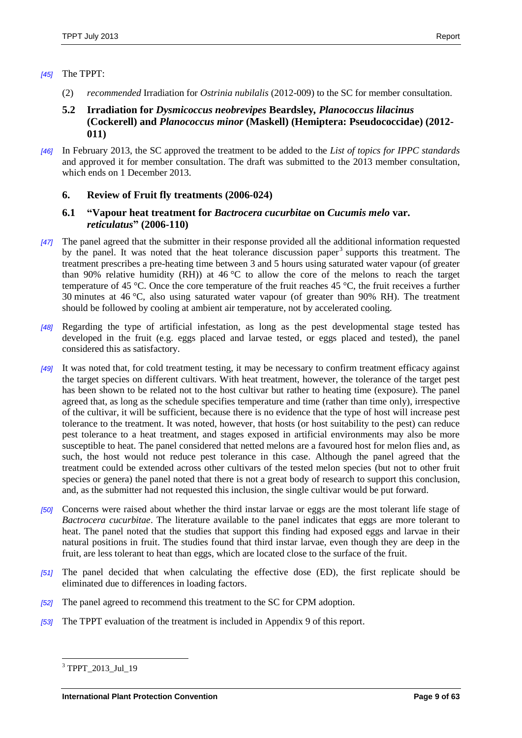### *[45]* The TPPT:

- (2) *recommended* Irradiation for *Ostrinia nubilalis* (2012-009) to the SC for member consultation.
- <span id="page-8-0"></span>**5.2 Irradiation for** *Dysmicoccus neobrevipes* **Beardsley***, Planococcus lilacinus* **(Cockerell) and** *Planococcus minor* **(Maskell) (Hemiptera: Pseudococcidae) (2012- 011)**
- *[46]* In February 2013, the SC approved the treatment to be added to the *List of topics for IPPC standards* and approved it for member consultation. The draft was submitted to the 2013 member consultation, which ends on 1 December 2013.

# <span id="page-8-1"></span>**6. Review of Fruit fly treatments (2006-024)**

# <span id="page-8-2"></span>**6.1 "Vapour heat treatment for** *Bactrocera cucurbitae* **on** *Cucumis melo* **var.**  *reticulatus***" (2006-110)**

- *[47]* The panel agreed that the submitter in their response provided all the additional information requested by the panel. It was noted that the heat tolerance discussion paper<sup>3</sup> supports this treatment. The treatment prescribes a pre-heating time between 3 and 5 hours using saturated water vapour (of greater than 90% relative humidity (RH)) at 46 °C to allow the core of the melons to reach the target temperature of 45 °C. Once the core temperature of the fruit reaches 45 °C, the fruit receives a further 30 minutes at 46 °C, also using saturated water vapour (of greater than 90% RH). The treatment should be followed by cooling at ambient air temperature, not by accelerated cooling.
- *[48]* Regarding the type of artificial infestation, as long as the pest developmental stage tested has developed in the fruit (e.g. eggs placed and larvae tested, or eggs placed and tested), the panel considered this as satisfactory.
- *[49]* It was noted that, for cold treatment testing, it may be necessary to confirm treatment efficacy against the target species on different cultivars. With heat treatment, however, the tolerance of the target pest has been shown to be related not to the host cultivar but rather to heating time (exposure). The panel agreed that, as long as the schedule specifies temperature and time (rather than time only), irrespective of the cultivar, it will be sufficient, because there is no evidence that the type of host will increase pest tolerance to the treatment. It was noted, however, that hosts (or host suitability to the pest) can reduce pest tolerance to a heat treatment, and stages exposed in artificial environments may also be more susceptible to heat. The panel considered that netted melons are a favoured host for melon flies and, as such, the host would not reduce pest tolerance in this case. Although the panel agreed that the treatment could be extended across other cultivars of the tested melon species (but not to other fruit species or genera) the panel noted that there is not a great body of research to support this conclusion, and, as the submitter had not requested this inclusion, the single cultivar would be put forward.
- *[50]* Concerns were raised about whether the third instar larvae or eggs are the most tolerant life stage of *Bactrocera cucurbitae*. The literature available to the panel indicates that eggs are more tolerant to heat. The panel noted that the studies that support this finding had exposed eggs and larvae in their natural positions in fruit. The studies found that third instar larvae, even though they are deep in the fruit, are less tolerant to heat than eggs, which are located close to the surface of the fruit.
- *[51]* The panel decided that when calculating the effective dose (ED), the first replicate should be eliminated due to differences in loading factors.
- *[52]* The panel agreed to recommend this treatment to the SC for CPM adoption.
- *[53]* The TPPT evaluation of the treatment is included in Appendix 9 of this report.

 $\overline{a}$ <sup>3</sup> TPPT 2013 Jul 19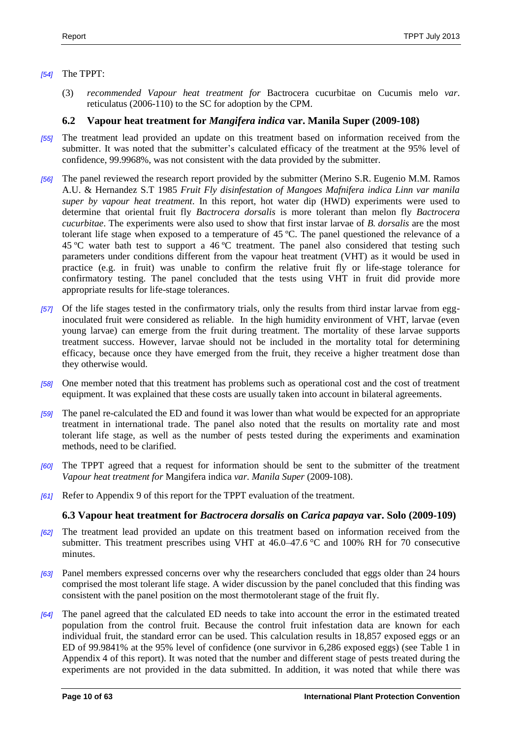### *[54]* The TPPT:

(3) *recommended Vapour heat treatment for* Bactrocera cucurbitae on Cucumis melo *var*. reticulatus (2006-110) to the SC for adoption by the CPM.

# <span id="page-9-0"></span>**6.2 Vapour heat treatment for** *Mangifera indica* **var. Manila Super (2009-108)**

- *[55]* The treatment lead provided an update on this treatment based on information received from the submitter. It was noted that the submitter's calculated efficacy of the treatment at the 95% level of confidence, 99.9968%, was not consistent with the data provided by the submitter.
- *[56]* The panel reviewed the research report provided by the submitter (Merino S.R. Eugenio M.M. Ramos A.U. & Hernandez S.T 1985 *Fruit Fly disinfestation of Mangoes Mafnifera indica Linn var manila super by vapour heat treatment*. In this report, hot water dip (HWD) experiments were used to determine that oriental fruit fly *Bactrocera dorsalis* is more tolerant than melon fly *Bactrocera cucurbitae*. The experiments were also used to show that first instar larvae of *B. dorsalis* are the most tolerant life stage when exposed to a temperature of 45 ºC. The panel questioned the relevance of a 45 ºC water bath test to support a 46 ºC treatment. The panel also considered that testing such parameters under conditions different from the vapour heat treatment (VHT) as it would be used in practice (e.g. in fruit) was unable to confirm the relative fruit fly or life-stage tolerance for confirmatory testing. The panel concluded that the tests using VHT in fruit did provide more appropriate results for life-stage tolerances.
- *[57]* Of the life stages tested in the confirmatory trials, only the results from third instar larvae from egginoculated fruit were considered as reliable. In the high humidity environment of VHT, larvae (even young larvae) can emerge from the fruit during treatment. The mortality of these larvae supports treatment success. However, larvae should not be included in the mortality total for determining efficacy, because once they have emerged from the fruit, they receive a higher treatment dose than they otherwise would.
- *[58]* One member noted that this treatment has problems such as operational cost and the cost of treatment equipment. It was explained that these costs are usually taken into account in bilateral agreements.
- *[59]* The panel re-calculated the ED and found it was lower than what would be expected for an appropriate treatment in international trade. The panel also noted that the results on mortality rate and most tolerant life stage, as well as the number of pests tested during the experiments and examination methods, need to be clarified.
- *[60]* The TPPT agreed that a request for information should be sent to the submitter of the treatment *Vapour heat treatment for* Mangifera indica *var. Manila Super* (2009-108).
- *[61]* Refer to Appendix 9 of this report for the TPPT evaluation of the treatment.

# <span id="page-9-1"></span>**6.3 Vapour heat treatment for** *Bactrocera dorsalis* **on** *Carica papaya* **var. Solo (2009-109)**

- *[62]* The treatment lead provided an update on this treatment based on information received from the submitter. This treatment prescribes using VHT at  $46.0-47.6$  °C and 100% RH for 70 consecutive minutes.
- *[63]* Panel members expressed concerns over why the researchers concluded that eggs older than 24 hours comprised the most tolerant life stage. A wider discussion by the panel concluded that this finding was consistent with the panel position on the most thermotolerant stage of the fruit fly.
- *[64]* The panel agreed that the calculated ED needs to take into account the error in the estimated treated population from the control fruit. Because the control fruit infestation data are known for each individual fruit, the standard error can be used. This calculation results in 18,857 exposed eggs or an ED of 99.9841% at the 95% level of confidence (one survivor in 6,286 exposed eggs) (see Table 1 in Appendix 4 of this report). It was noted that the number and different stage of pests treated during the experiments are not provided in the data submitted. In addition, it was noted that while there was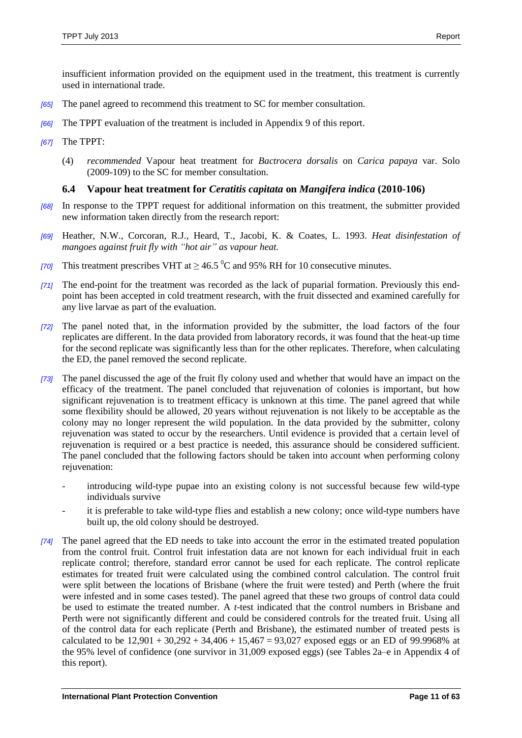- *[65]* The panel agreed to recommend this treatment to SC for member consultation.
- *[66]* The TPPT evaluation of the treatment is included in Appendix 9 of this report.
- *[67]* The TPPT:
	- (4) *recommended* Vapour heat treatment for *Bactrocera dorsalis* on *Carica papaya* var. Solo (2009-109) to the SC for member consultation.

# <span id="page-10-0"></span>**6.4 Vapour heat treatment for** *Ceratitis capitata* **on** *Mangifera indica* **(2010-106)**

- *[68]* In response to the TPPT request for additional information on this treatment, the submitter provided new information taken directly from the research report:
- *[69]* Heather, N.W., Corcoran, R.J., Heard, T., Jacobi, K. & Coates, L. 1993. *Heat disinfestation of mangoes against fruit fly with "hot air" as vapour heat.*
- *[70]* This treatment prescribes VHT at  $> 46.5 \degree$ C and 95% RH for 10 consecutive minutes.
- *[71]* The end-point for the treatment was recorded as the lack of puparial formation. Previously this endpoint has been accepted in cold treatment research, with the fruit dissected and examined carefully for any live larvae as part of the evaluation.
- *[72]* The panel noted that, in the information provided by the submitter, the load factors of the four replicates are different. In the data provided from laboratory records, it was found that the heat-up time for the second replicate was significantly less than for the other replicates. Therefore, when calculating the ED, the panel removed the second replicate.
- *[73]* The panel discussed the age of the fruit fly colony used and whether that would have an impact on the efficacy of the treatment. The panel concluded that rejuvenation of colonies is important, but how significant rejuvenation is to treatment efficacy is unknown at this time. The panel agreed that while some flexibility should be allowed, 20 years without rejuvenation is not likely to be acceptable as the colony may no longer represent the wild population. In the data provided by the submitter, colony rejuvenation was stated to occur by the researchers. Until evidence is provided that a certain level of rejuvenation is required or a best practice is needed, this assurance should be considered sufficient. The panel concluded that the following factors should be taken into account when performing colony rejuvenation:
	- introducing wild-type pupae into an existing colony is not successful because few wild-type individuals survive
	- it is preferable to take wild-type flies and establish a new colony; once wild-type numbers have built up, the old colony should be destroyed.
- *[74]* The panel agreed that the ED needs to take into account the error in the estimated treated population from the control fruit. Control fruit infestation data are not known for each individual fruit in each replicate control; therefore, standard error cannot be used for each replicate. The control replicate estimates for treated fruit were calculated using the combined control calculation. The control fruit were split between the locations of Brisbane (where the fruit were tested) and Perth (where the fruit were infested and in some cases tested). The panel agreed that these two groups of control data could be used to estimate the treated number. A *t*-test indicated that the control numbers in Brisbane and Perth were not significantly different and could be considered controls for the treated fruit. Using all of the control data for each replicate (Perth and Brisbane), the estimated number of treated pests is calculated to be  $12,901 + 30,292 + 34,406 + 15,467 = 93,027$  exposed eggs or an ED of 99.9968% at the 95% level of confidence (one survivor in 31,009 exposed eggs) (see Tables 2a–e in Appendix 4 of this report).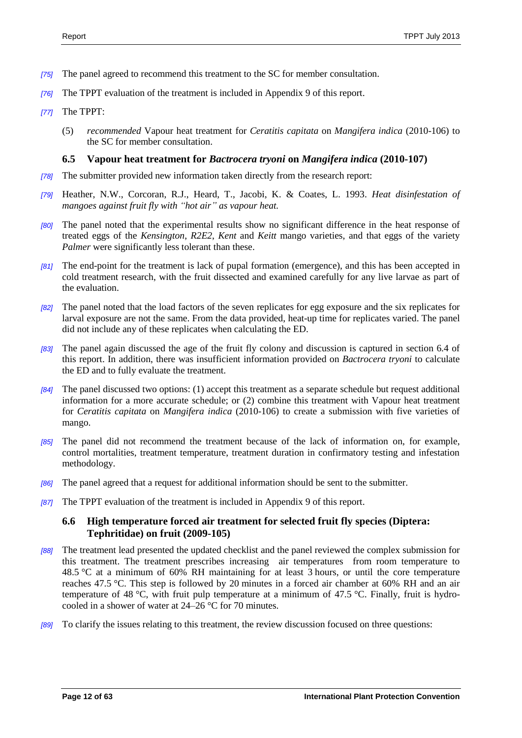- *[75]* The panel agreed to recommend this treatment to the SC for member consultation.
- *[76]* The TPPT evaluation of the treatment is included in Appendix 9 of this report.
- *[77]* The TPPT:
	- (5) *recommended* Vapour heat treatment for *Ceratitis capitata* on *Mangifera indica* (2010-106) to the SC for member consultation.

### <span id="page-11-0"></span>**6.5 Vapour heat treatment for** *Bactrocera tryoni* **on** *Mangifera indica* **(2010-107)**

- *[78]* The submitter provided new information taken directly from the research report:
- *[79]* Heather, N.W., Corcoran, R.J., Heard, T., Jacobi, K. & Coates, L. 1993. *Heat disinfestation of mangoes against fruit fly with "hot air" as vapour heat.*
- *[80]* The panel noted that the experimental results show no significant difference in the heat response of treated eggs of the *Kensington*, *R2E2*, *Kent* and *Keitt* mango varieties, and that eggs of the variety *Palmer* were significantly less tolerant than these.
- *[81]* The end-point for the treatment is lack of pupal formation (emergence), and this has been accepted in cold treatment research, with the fruit dissected and examined carefully for any live larvae as part of the evaluation.
- *[82]* The panel noted that the load factors of the seven replicates for egg exposure and the six replicates for larval exposure are not the same. From the data provided, heat-up time for replicates varied. The panel did not include any of these replicates when calculating the ED.
- *[83]* The panel again discussed the age of the fruit fly colony and discussion is captured in section 6.4 of this report. In addition, there was insufficient information provided on *Bactrocera tryoni* to calculate the ED and to fully evaluate the treatment.
- *[84]* The panel discussed two options: (1) accept this treatment as a separate schedule but request additional information for a more accurate schedule; or (2) combine this treatment with Vapour heat treatment for *Ceratitis capitata* on *Mangifera indica* (2010-106) to create a submission with five varieties of mango.
- *[85]* The panel did not recommend the treatment because of the lack of information on, for example, control mortalities, treatment temperature, treatment duration in confirmatory testing and infestation methodology.
- *[86]* The panel agreed that a request for additional information should be sent to the submitter.
- *[87]* The TPPT evaluation of the treatment is included in Appendix 9 of this report.

# <span id="page-11-1"></span>**6.6 High temperature forced air treatment for selected fruit fly species (Diptera: Tephritidae) on fruit (2009-105)**

- *[88]* The treatment lead presented the updated checklist and the panel reviewed the complex submission for this treatment. The treatment prescribes increasing air temperatures from room temperature to 48.5 °C at a minimum of 60% RH maintaining for at least 3 hours, or until the core temperature reaches 47.5 °C. This step is followed by 20 minutes in a forced air chamber at 60% RH and an air temperature of 48 °C, with fruit pulp temperature at a minimum of 47.5 °C. Finally, fruit is hydrocooled in a shower of water at 24–26 °C for 70 minutes.
- *[89]* To clarify the issues relating to this treatment, the review discussion focused on three questions: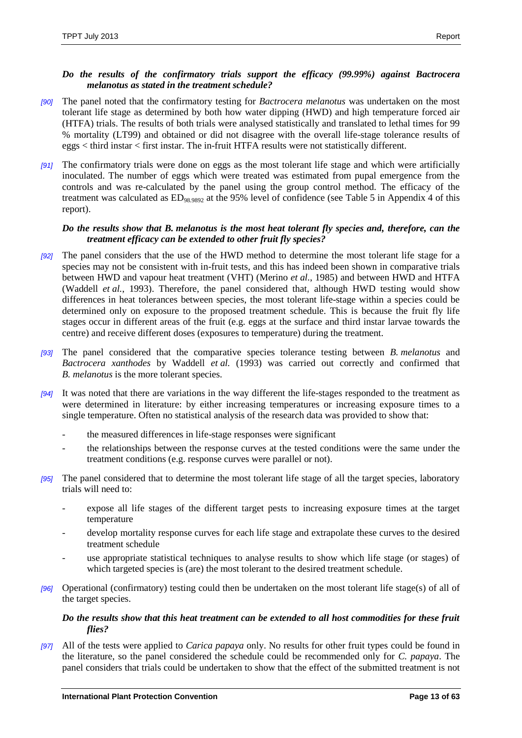### *Do the results of the confirmatory trials support the efficacy (99.99%) against Bactrocera melanotus as stated in the treatment schedule?*

- *[90]* The panel noted that the confirmatory testing for *Bactrocera melanotus* was undertaken on the most tolerant life stage as determined by both how water dipping (HWD) and high temperature forced air (HTFA) trials. The results of both trials were analysed statistically and translated to lethal times for 99 % mortality (LT99) and obtained or did not disagree with the overall life-stage tolerance results of eggs < third instar < first instar. The in-fruit HTFA results were not statistically different.
- *[91]* The confirmatory trials were done on eggs as the most tolerant life stage and which were artificially inoculated. The number of eggs which were treated was estimated from pupal emergence from the controls and was re-calculated by the panel using the group control method. The efficacy of the treatment was calculated as ED98.9892 at the 95% level of confidence (see Table 5 in Appendix 4 of this report).

### *Do the results show that B. melanotus is the most heat tolerant fly species and, therefore, can the treatment efficacy can be extended to other fruit fly species?*

- *[92]* The panel considers that the use of the HWD method to determine the most tolerant life stage for a species may not be consistent with in-fruit tests, and this has indeed been shown in comparative trials between HWD and vapour heat treatment (VHT) (Merino *et al.*, 1985) and between HWD and HTFA (Waddell *et al.*, 1993). Therefore, the panel considered that, although HWD testing would show differences in heat tolerances between species, the most tolerant life-stage within a species could be determined only on exposure to the proposed treatment schedule. This is because the fruit fly life stages occur in different areas of the fruit (e.g. eggs at the surface and third instar larvae towards the centre) and receive different doses (exposures to temperature) during the treatment.
- *[93]* The panel considered that the comparative species tolerance testing between *B. melanotus* and *Bactrocera xanthodes* by Waddell *et al.* (1993) was carried out correctly and confirmed that *B. melanotus* is the more tolerant species.
- *[94]* It was noted that there are variations in the way different the life-stages responded to the treatment as were determined in literature: by either increasing temperatures or increasing exposure times to a single temperature. Often no statistical analysis of the research data was provided to show that:
	- the measured differences in life-stage responses were significant
	- the relationships between the response curves at the tested conditions were the same under the treatment conditions (e.g. response curves were parallel or not).
- *[95]* The panel considered that to determine the most tolerant life stage of all the target species, laboratory trials will need to:
	- expose all life stages of the different target pests to increasing exposure times at the target temperature
	- develop mortality response curves for each life stage and extrapolate these curves to the desired treatment schedule
	- use appropriate statistical techniques to analyse results to show which life stage (or stages) of which targeted species is (are) the most tolerant to the desired treatment schedule.
- *[96]* Operational (confirmatory) testing could then be undertaken on the most tolerant life stage(s) of all of the target species.

### *Do the results show that this heat treatment can be extended to all host commodities for these fruit flies?*

*[97]* All of the tests were applied to *Carica papaya* only. No results for other fruit types could be found in the literature, so the panel considered the schedule could be recommended only for *C. papaya*. The panel considers that trials could be undertaken to show that the effect of the submitted treatment is not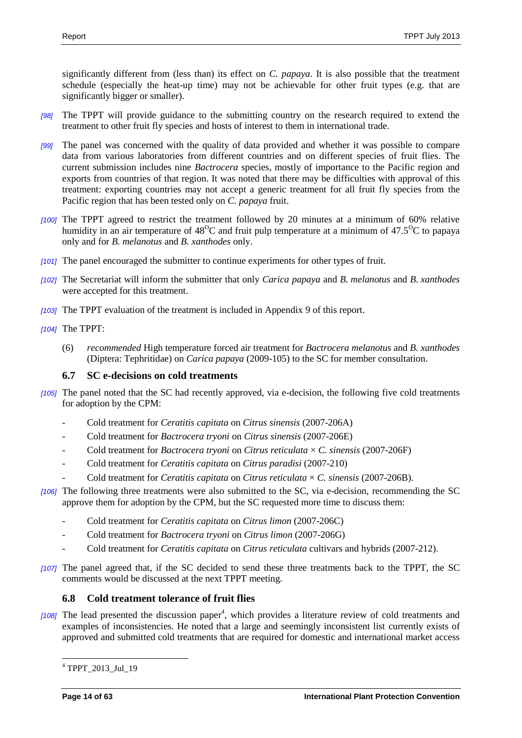significantly different from (less than) its effect on *C. papaya*. It is also possible that the treatment schedule (especially the heat-up time) may not be achievable for other fruit types (e.g. that are significantly bigger or smaller).

- *[98]* The TPPT will provide guidance to the submitting country on the research required to extend the treatment to other fruit fly species and hosts of interest to them in international trade.
- *[99]* The panel was concerned with the quality of data provided and whether it was possible to compare data from various laboratories from different countries and on different species of fruit flies. The current submission includes nine *Bactrocera* species, mostly of importance to the Pacific region and exports from countries of that region. It was noted that there may be difficulties with approval of this treatment: exporting countries may not accept a generic treatment for all fruit fly species from the Pacific region that has been tested only on *C. papaya* fruit.
- *[100]* The TPPT agreed to restrict the treatment followed by 20 minutes at a minimum of 60% relative humidity in an air temperature of  $48^{\circ}$ C and fruit pulp temperature at a minimum of  $47.5^{\circ}$ C to papaya only and for *B. melanotus* and *B. xanthodes* only.
- *[101]* The panel encouraged the submitter to continue experiments for other types of fruit.
- *[102]* The Secretariat will inform the submitter that only *Carica papaya* and *B. melanotus* and *B. xanthodes* were accepted for this treatment.
- *[103]* The TPPT evaluation of the treatment is included in Appendix 9 of this report.

*[104]* The TPPT:

(6) *recommended* High temperature forced air treatment for *Bactrocera melanotus* and *B. xanthodes* (Diptera: Tephritidae) on *Carica papaya* (2009-105) to the SC for member consultation.

# <span id="page-13-0"></span>**6.7 SC e-decisions on cold treatments**

- *[105]* The panel noted that the SC had recently approved, via e-decision, the following five cold treatments for adoption by the CPM:
	- Cold treatment for *Ceratitis capitata* on *Citrus sinensis* (2007-206A)
	- Cold treatment for *Bactrocera tryoni* on *Citrus sinensis* (2007-206E)
	- Cold treatment for *Bactrocera tryoni* on *Citrus reticulata*  $\times$  *C. sinensis* (2007-206F)
	- Cold treatment for *Ceratitis capitata* on *Citrus paradisi* (2007-210)
	- Cold treatment for *Ceratitis capitata* on *Citrus reticulata* × *C. sinensis* (2007-206B).
- *[106]* The following three treatments were also submitted to the SC, via e-decision, recommending the SC approve them for adoption by the CPM, but the SC requested more time to discuss them:
	- Cold treatment for *Ceratitis capitata* on *Citrus limon* (2007-206C)
	- Cold treatment for *Bactrocera tryoni* on *Citrus limon* (2007-206G)
	- Cold treatment for *Ceratitis capitata* on *Citrus reticulata* cultivars and hybrids (2007-212).
- *[107]* The panel agreed that, if the SC decided to send these three treatments back to the TPPT, the SC comments would be discussed at the next TPPT meeting.

# <span id="page-13-1"></span>**6.8 Cold treatment tolerance of fruit flies**

[108] The lead presented the discussion paper<sup>4</sup>, which provides a literature review of cold treatments and examples of inconsistencies. He noted that a large and seemingly inconsistent list currently exists of approved and submitted cold treatments that are required for domestic and international market access

 $\overline{a}$ <sup>4</sup> TPPT 2013 Jul 19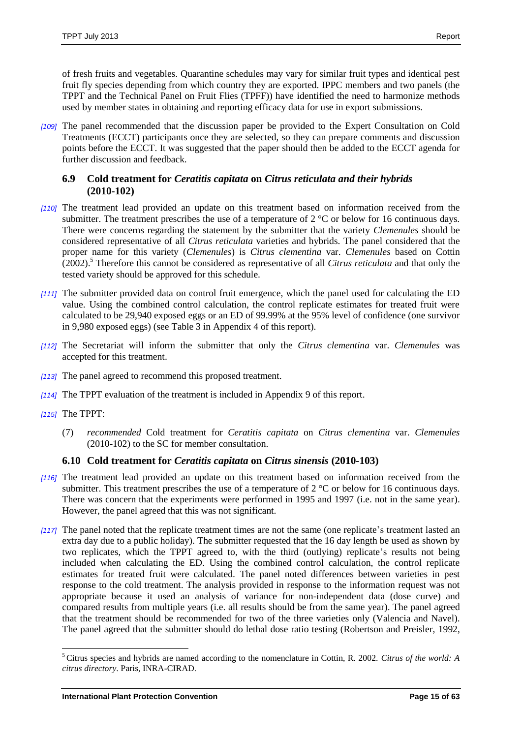of fresh fruits and vegetables. Quarantine schedules may vary for similar fruit types and identical pest fruit fly species depending from which country they are exported. IPPC members and two panels (the TPPT and the Technical Panel on Fruit Flies (TPFF)) have identified the need to harmonize methods used by member states in obtaining and reporting efficacy data for use in export submissions.

*[109]* The panel recommended that the discussion paper be provided to the Expert Consultation on Cold Treatments (ECCT) participants once they are selected, so they can prepare comments and discussion points before the ECCT. It was suggested that the paper should then be added to the ECCT agenda for further discussion and feedback.

# <span id="page-14-0"></span>**6.9 Cold treatment for** *Ceratitis capitata* **on** *Citrus reticulata and their hybrids* **(2010-102)**

- *[110]* The treatment lead provided an update on this treatment based on information received from the submitter. The treatment prescribes the use of a temperature of 2 °C or below for 16 continuous days*.* There were concerns regarding the statement by the submitter that the variety *Clemenules* should be considered representative of all *Citrus reticulata* varieties and hybrids. The panel considered that the proper name for this variety (*Clemenules*) is *Citrus clementina* var. *Clemenules* based on Cottin (2002).<sup>5</sup> Therefore this cannot be considered as representative of all *Citrus reticulata* and that only the tested variety should be approved for this schedule.
- *[111]* The submitter provided data on control fruit emergence, which the panel used for calculating the ED value. Using the combined control calculation, the control replicate estimates for treated fruit were calculated to be 29,940 exposed eggs or an ED of 99.99% at the 95% level of confidence (one survivor in 9,980 exposed eggs) (see Table 3 in Appendix 4 of this report).
- *[112]* The Secretariat will inform the submitter that only the *Citrus clementina* var. *Clemenules* was accepted for this treatment.
- *[113]* The panel agreed to recommend this proposed treatment.
- *[114]* The TPPT evaluation of the treatment is included in Appendix 9 of this report.
- *[115]* The TPPT:

 $\overline{a}$ 

(7) *recommended* Cold treatment for *Ceratitis capitata* on *Citrus clementina* var. *Clemenules* (2010-102) to the SC for member consultation.

# <span id="page-14-1"></span>**6.10 Cold treatment for** *Ceratitis capitata* **on** *Citrus sinensis* **(2010-103)**

- *[116]* The treatment lead provided an update on this treatment based on information received from the submitter. This treatment prescribes the use of a temperature of 2 °C or below for 16 continuous days*.* There was concern that the experiments were performed in 1995 and 1997 (i.e. not in the same year). However, the panel agreed that this was not significant.
- *[117]* The panel noted that the replicate treatment times are not the same (one replicate's treatment lasted an extra day due to a public holiday). The submitter requested that the 16 day length be used as shown by two replicates, which the TPPT agreed to, with the third (outlying) replicate's results not being included when calculating the ED. Using the combined control calculation, the control replicate estimates for treated fruit were calculated. The panel noted differences between varieties in pest response to the cold treatment. The analysis provided in response to the information request was not appropriate because it used an analysis of variance for non-independent data (dose curve) and compared results from multiple years (i.e. all results should be from the same year). The panel agreed that the treatment should be recommended for two of the three varieties only (Valencia and Navel). The panel agreed that the submitter should do lethal dose ratio testing (Robertson and Preisler, 1992,

<sup>5</sup> Citrus species and hybrids are named according to the nomenclature in Cottin, R. 2002. *Citrus of the world: A citrus directory*. Paris, INRA-CIRAD.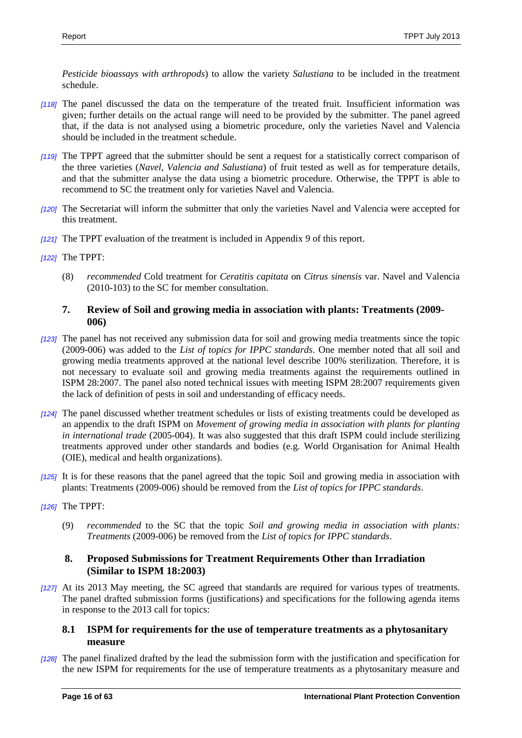*Pesticide bioassays with arthropods*) to allow the variety *Salustiana* to be included in the treatment schedule.

- *[118]* The panel discussed the data on the temperature of the treated fruit. Insufficient information was given; further details on the actual range will need to be provided by the submitter. The panel agreed that, if the data is not analysed using a biometric procedure, only the varieties Navel and Valencia should be included in the treatment schedule.
- *[119]* The TPPT agreed that the submitter should be sent a request for a statistically correct comparison of the three varieties (*Navel, Valencia and Salustiana*) of fruit tested as well as for temperature details, and that the submitter analyse the data using a biometric procedure. Otherwise, the TPPT is able to recommend to SC the treatment only for varieties Navel and Valencia.
- *[120]* The Secretariat will inform the submitter that only the varieties Navel and Valencia were accepted for this treatment.
- *[121]* The TPPT evaluation of the treatment is included in Appendix 9 of this report.
- *[122]* The TPPT:
	- (8) *recommended* Cold treatment for *Ceratitis capitata* on *Citrus sinensis* var. Navel and Valencia (2010-103) to the SC for member consultation.

### <span id="page-15-0"></span>**7. Review of Soil and growing media in association with plants: Treatments (2009- 006)**

- *[123]* The panel has not received any submission data for soil and growing media treatments since the topic (2009-006) was added to the *List of topics for IPPC standards*. One member noted that all soil and growing media treatments approved at the national level describe 100% sterilization. Therefore, it is not necessary to evaluate soil and growing media treatments against the requirements outlined in ISPM 28:2007. The panel also noted technical issues with meeting ISPM 28:2007 requirements given the lack of definition of pests in soil and understanding of efficacy needs.
- *[124]* The panel discussed whether treatment schedules or lists of existing treatments could be developed as an appendix to the draft ISPM on *Movement of growing media in association with plants for planting in international trade* (2005-004). It was also suggested that this draft ISPM could include sterilizing treatments approved under other standards and bodies (e.g. World Organisation for Animal Health (OIE), medical and health organizations).
- *[125]* It is for these reasons that the panel agreed that the topic Soil and growing media in association with plants: Treatments (2009-006) should be removed from the *List of topics for IPPC standards*.
- *[126]* The TPPT:
	- (9) *recommended* to the SC that the topic *Soil and growing media in association with plants: Treatments* (2009-006) be removed from the *List of topics for IPPC standards*.

# <span id="page-15-1"></span>**8. Proposed Submissions for Treatment Requirements Other than Irradiation (Similar to ISPM 18:2003)**

*[127]* At its 2013 May meeting, the SC agreed that standards are required for various types of treatments. The panel drafted submission forms (justifications) and specifications for the following agenda items in response to the 2013 call for topics:

### <span id="page-15-2"></span>**8.1 ISPM for requirements for the use of temperature treatments as a phytosanitary measure**

*[128]* The panel finalized drafted by the lead the submission form with the justification and specification for the new ISPM for requirements for the use of temperature treatments as a phytosanitary measure and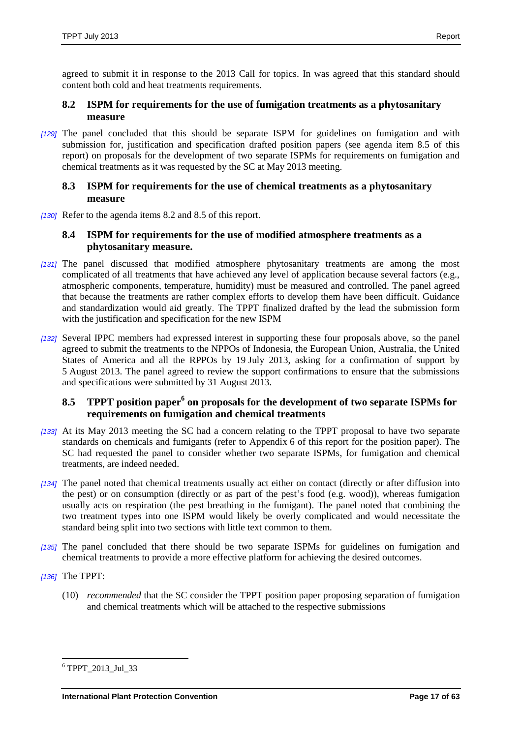agreed to submit it in response to the 2013 Call for topics. In was agreed that this standard should content both cold and heat treatments requirements.

# <span id="page-16-0"></span>**8.2 ISPM for requirements for the use of fumigation treatments as a phytosanitary measure**

*[129]* The panel concluded that this should be separate ISPM for guidelines on fumigation and with submission for, justification and specification drafted position papers (see agenda item 8.5 of this report) on proposals for the development of two separate ISPMs for requirements on fumigation and chemical treatments as it was requested by the SC at May 2013 meeting.

### <span id="page-16-1"></span>**8.3 ISPM for requirements for the use of chemical treatments as a phytosanitary measure**

*[130]* Refer to the agenda items 8.2 and 8.5 of this report.

# <span id="page-16-2"></span>**8.4 ISPM for requirements for the use of modified atmosphere treatments as a phytosanitary measure.**

- *[131]* The panel discussed that modified atmosphere phytosanitary treatments are among the most complicated of all treatments that have achieved any level of application because several factors (e.g., atmospheric components, temperature, humidity) must be measured and controlled. The panel agreed that because the treatments are rather complex efforts to develop them have been difficult. Guidance and standardization would aid greatly. The TPPT finalized drafted by the lead the submission form with the justification and specification for the new ISPM
- *[132]* Several IPPC members had expressed interest in supporting these four proposals above, so the panel agreed to submit the treatments to the NPPOs of Indonesia, the European Union, Australia, the United States of America and all the RPPOs by 19 July 2013, asking for a confirmation of support by 5 August 2013. The panel agreed to review the support confirmations to ensure that the submissions and specifications were submitted by 31 August 2013.

# <span id="page-16-3"></span>**8.5 TPPT position paper<sup>6</sup> on proposals for the development of two separate ISPMs for requirements on fumigation and chemical treatments**

- *[133]* At its May 2013 meeting the SC had a concern relating to the TPPT proposal to have two separate standards on chemicals and fumigants (refer to Appendix 6 of this report for the position paper). The SC had requested the panel to consider whether two separate ISPMs, for fumigation and chemical treatments, are indeed needed.
- *[134]* The panel noted that chemical treatments usually act either on contact (directly or after diffusion into the pest) or on consumption (directly or as part of the pest's food (e.g. wood)), whereas fumigation usually acts on respiration (the pest breathing in the fumigant). The panel noted that combining the two treatment types into one ISPM would likely be overly complicated and would necessitate the standard being split into two sections with little text common to them.
- *[135]* The panel concluded that there should be two separate ISPMs for guidelines on fumigation and chemical treatments to provide a more effective platform for achieving the desired outcomes.
- *[136]* The TPPT:

 $\overline{a}$ 

(10) *recommended* that the SC consider the TPPT position paper proposing separation of fumigation and chemical treatments which will be attached to the respective submissions

<sup>6</sup> TPPT\_2013\_Jul\_33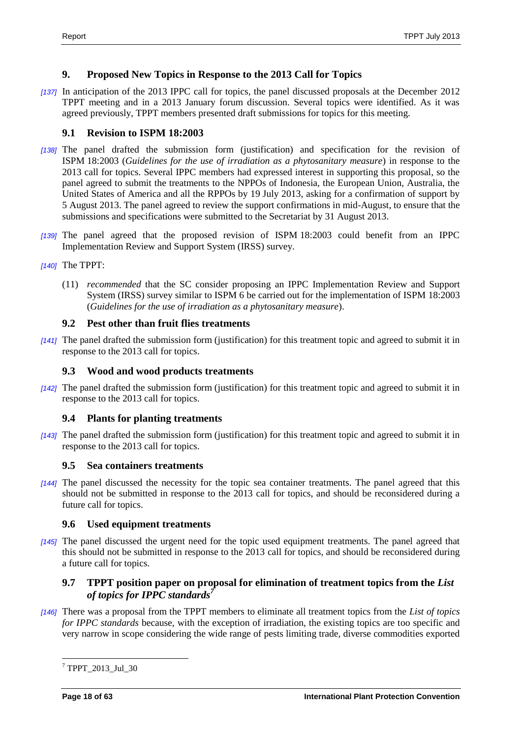# <span id="page-17-0"></span>**9. Proposed New Topics in Response to the 2013 Call for Topics**

*[137]* In anticipation of the 2013 IPPC call for topics, the panel discussed proposals at the December 2012 TPPT meeting and in a 2013 January forum discussion. Several topics were identified. As it was agreed previously, TPPT members presented draft submissions for topics for this meeting.

# <span id="page-17-1"></span>**9.1 Revision to ISPM 18:2003**

- *[138]* The panel drafted the submission form (justification) and specification for the revision of ISPM 18:2003 (*Guidelines for the use of irradiation as a phytosanitary measure*) in response to the 2013 call for topics. Several IPPC members had expressed interest in supporting this proposal, so the panel agreed to submit the treatments to the NPPOs of Indonesia, the European Union, Australia, the United States of America and all the RPPOs by 19 July 2013, asking for a confirmation of support by 5 August 2013. The panel agreed to review the support confirmations in mid-August, to ensure that the submissions and specifications were submitted to the Secretariat by 31 August 2013.
- *[139]* The panel agreed that the proposed revision of ISPM 18:2003 could benefit from an IPPC Implementation Review and Support System (IRSS) survey.
- *[140]* The TPPT:
	- (11) *recommended* that the SC consider proposing an IPPC Implementation Review and Support System (IRSS) survey similar to ISPM 6 be carried out for the implementation of ISPM 18:2003 (*Guidelines for the use of irradiation as a phytosanitary measure*).

# <span id="page-17-2"></span>**9.2 Pest other than fruit flies treatments**

*[141]* The panel drafted the submission form (justification) for this treatment topic and agreed to submit it in response to the 2013 call for topics.

# <span id="page-17-3"></span>**9.3 Wood and wood products treatments**

*[142]* The panel drafted the submission form (justification) for this treatment topic and agreed to submit it in response to the 2013 call for topics.

# <span id="page-17-4"></span>**9.4 Plants for planting treatments**

*[143]* The panel drafted the submission form (justification) for this treatment topic and agreed to submit it in response to the 2013 call for topics.

# <span id="page-17-5"></span>**9.5 Sea containers treatments**

*[144]* The panel discussed the necessity for the topic sea container treatments. The panel agreed that this should not be submitted in response to the 2013 call for topics, and should be reconsidered during a future call for topics.

# <span id="page-17-6"></span>**9.6 Used equipment treatments**

*[145]* The panel discussed the urgent need for the topic used equipment treatments. The panel agreed that this should not be submitted in response to the 2013 call for topics, and should be reconsidered during a future call for topics.

# <span id="page-17-7"></span>**9.7 TPPT position paper on proposal for elimination of treatment topics from the** *List of topics for IPPC standards<sup>7</sup>*

*[146]* There was a proposal from the TPPT members to eliminate all treatment topics from the *List of topics for IPPC standards* because, with the exception of irradiation, the existing topics are too specific and very narrow in scope considering the wide range of pests limiting trade, diverse commodities exported

 $\overline{a}$ <sup>7</sup> TPPT\_2013\_Jul\_30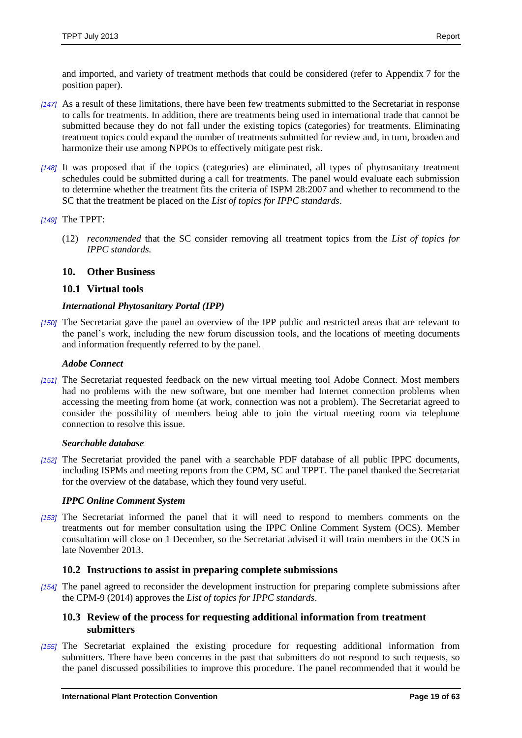and imported, and variety of treatment methods that could be considered (refer to Appendix 7 for the position paper).

- *[147]* As a result of these limitations, there have been few treatments submitted to the Secretariat in response to calls for treatments. In addition, there are treatments being used in international trade that cannot be submitted because they do not fall under the existing topics (categories) for treatments. Eliminating treatment topics could expand the number of treatments submitted for review and, in turn, broaden and harmonize their use among NPPOs to effectively mitigate pest risk.
- *[148]* It was proposed that if the topics (categories) are eliminated, all types of phytosanitary treatment schedules could be submitted during a call for treatments. The panel would evaluate each submission to determine whether the treatment fits the criteria of ISPM 28:2007 and whether to recommend to the SC that the treatment be placed on the *List of topics for IPPC standards*.

### *[149]* The TPPT:

(12) *recommended* that the SC consider removing all treatment topics from the *List of topics for IPPC standards.*

# <span id="page-18-0"></span>**10. Other Business**

### <span id="page-18-1"></span>**10.1 Virtual tools**

### *International Phytosanitary Portal (IPP)*

*[150]* The Secretariat gave the panel an overview of the IPP public and restricted areas that are relevant to the panel's work, including the new forum discussion tools, and the locations of meeting documents and information frequently referred to by the panel.

### *Adobe Connect*

*[151]* The Secretariat requested feedback on the new virtual meeting tool Adobe Connect. Most members had no problems with the new software, but one member had Internet connection problems when accessing the meeting from home (at work, connection was not a problem). The Secretariat agreed to consider the possibility of members being able to join the virtual meeting room via telephone connection to resolve this issue.

### *Searchable database*

*[152]* The Secretariat provided the panel with a searchable PDF database of all public IPPC documents, including ISPMs and meeting reports from the CPM, SC and TPPT. The panel thanked the Secretariat for the overview of the database, which they found very useful.

### *IPPC Online Comment System*

*[153]* The Secretariat informed the panel that it will need to respond to members comments on the treatments out for member consultation using the IPPC Online Comment System (OCS). Member consultation will close on 1 December, so the Secretariat advised it will train members in the OCS in late November 2013.

### <span id="page-18-2"></span>**10.2 Instructions to assist in preparing complete submissions**

*[154]* The panel agreed to reconsider the development instruction for preparing complete submissions after the CPM-9 (2014) approves the *List of topics for IPPC standards*.

### <span id="page-18-3"></span>**10.3 Review of the process for requesting additional information from treatment submitters**

*[155]* The Secretariat explained the existing procedure for requesting additional information from submitters. There have been concerns in the past that submitters do not respond to such requests, so the panel discussed possibilities to improve this procedure. The panel recommended that it would be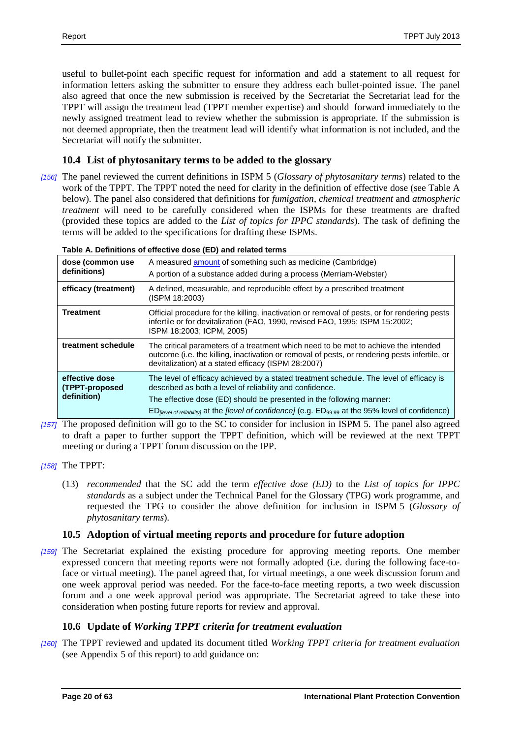useful to bullet-point each specific request for information and add a statement to all request for information letters asking the submitter to ensure they address each bullet-pointed issue. The panel also agreed that once the new submission is received by the Secretariat the Secretariat lead for the TPPT will assign the treatment lead (TPPT member expertise) and should forward immediately to the newly assigned treatment lead to review whether the submission is appropriate. If the submission is not deemed appropriate, then the treatment lead will identify what information is not included, and the Secretariat will notify the submitter.

# <span id="page-19-0"></span>**10.4 List of phytosanitary terms to be added to the glossary**

*[156]* The panel reviewed the current definitions in ISPM 5 (*Glossary of phytosanitary terms*) related to the work of the TPPT. The TPPT noted the need for clarity in the definition of effective dose (see Table A below). The panel also considered that definitions for *fumigation*, *chemical treatment* and *atmospheric treatment* will need to be carefully considered when the ISPMs for these treatments are drafted (provided these topics are added to the *List of topics for IPPC standards*). The task of defining the terms will be added to the specifications for drafting these ISPMs.

#### **Table A. Definitions of effective dose (ED) and related terms**

| dose (common use<br>definitions)                | A measured amount of something such as medicine (Cambridge)<br>A portion of a substance added during a process (Merriam-Webster)                                                                                                                                                                                                                           |
|-------------------------------------------------|------------------------------------------------------------------------------------------------------------------------------------------------------------------------------------------------------------------------------------------------------------------------------------------------------------------------------------------------------------|
| efficacy (treatment)                            | A defined, measurable, and reproducible effect by a prescribed treatment<br>(ISPM 18:2003)                                                                                                                                                                                                                                                                 |
| <b>Treatment</b>                                | Official procedure for the killing, inactivation or removal of pests, or for rendering pests<br>infertile or for devitalization (FAO, 1990, revised FAO, 1995; ISPM 15:2002;<br>ISPM 18:2003; ICPM, 2005)                                                                                                                                                  |
| treatment schedule                              | The critical parameters of a treatment which need to be met to achieve the intended<br>outcome (i.e. the killing, inactivation or removal of pests, or rendering pests infertile, or<br>devitalization) at a stated efficacy (ISPM 28:2007)                                                                                                                |
| effective dose<br>(TPPT-proposed<br>definition) | The level of efficacy achieved by a stated treatment schedule. The level of efficacy is<br>described as both a level of reliability and confidence.<br>The effective dose (ED) should be presented in the following manner:<br>$ED_{\text{[level of reliability]}}$ at the <i>[level of confidence]</i> (e.g. $ED_{99.99}$ at the 95% level of confidence) |

- *[157]* The proposed definition will go to the SC to consider for inclusion in ISPM 5. The panel also agreed to draft a paper to further support the TPPT definition, which will be reviewed at the next TPPT meeting or during a TPPT forum discussion on the IPP.
- *[158]* The TPPT:
	- (13) *recommended* that the SC add the term *effective dose (ED)* to the *List of topics for IPPC standards* as a subject under the Technical Panel for the Glossary (TPG) work programme, and requested the TPG to consider the above definition for inclusion in ISPM 5 (*Glossary of phytosanitary terms*)*.*

# <span id="page-19-1"></span>**10.5 Adoption of virtual meeting reports and procedure for future adoption**

*[159]* The Secretariat explained the existing procedure for approving meeting reports. One member expressed concern that meeting reports were not formally adopted (i.e. during the following face-toface or virtual meeting). The panel agreed that, for virtual meetings, a one week discussion forum and one week approval period was needed. For the face-to-face meeting reports, a two week discussion forum and a one week approval period was appropriate. The Secretariat agreed to take these into consideration when posting future reports for review and approval.

# <span id="page-19-2"></span>**10.6 Update of** *Working TPPT criteria for treatment evaluation*

*[160]* The TPPT reviewed and updated its document titled *Working TPPT criteria for treatment evaluation* (see Appendix 5 of this report) to add guidance on: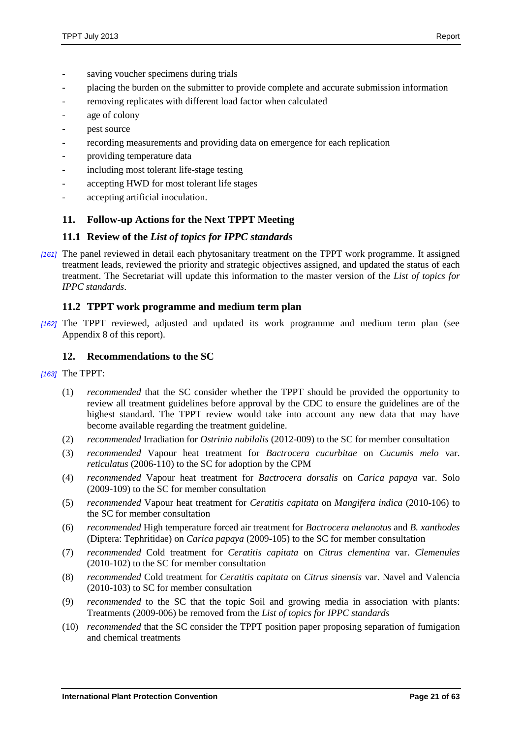- saving voucher specimens during trials
- placing the burden on the submitter to provide complete and accurate submission information
- removing replicates with different load factor when calculated
- age of colony
- pest source
- recording measurements and providing data on emergence for each replication
- providing temperature data
- including most tolerant life-stage testing
- accepting HWD for most tolerant life stages
- accepting artificial inoculation.

# <span id="page-20-0"></span>**11. Follow-up Actions for the Next TPPT Meeting**

### <span id="page-20-1"></span>**11.1 Review of the** *List of topics for IPPC standards*

*[161]* The panel reviewed in detail each phytosanitary treatment on the TPPT work programme. It assigned treatment leads, reviewed the priority and strategic objectives assigned, and updated the status of each treatment. The Secretariat will update this information to the master version of the *List of topics for IPPC standards*.

### <span id="page-20-2"></span>**11.2 TPPT work programme and medium term plan**

*[162]* The TPPT reviewed, adjusted and updated its work programme and medium term plan (see Appendix 8 of this report).

# <span id="page-20-3"></span>**12. Recommendations to the SC**

- *[163]* The TPPT:
	- (1) *recommended* that the SC consider whether the TPPT should be provided the opportunity to review all treatment guidelines before approval by the CDC to ensure the guidelines are of the highest standard. The TPPT review would take into account any new data that may have become available regarding the treatment guideline.
	- (2) *recommended* Irradiation for *Ostrinia nubilalis* (2012-009) to the SC for member consultation
	- (3) *recommended* Vapour heat treatment for *Bactrocera cucurbitae* on *Cucumis melo* var. *reticulatus* (2006-110) to the SC for adoption by the CPM
	- (4) *recommended* Vapour heat treatment for *Bactrocera dorsalis* on *Carica papaya* var. Solo (2009-109) to the SC for member consultation
	- (5) *recommended* Vapour heat treatment for *Ceratitis capitata* on *Mangifera indica* (2010-106) to the SC for member consultation
	- (6) *recommended* High temperature forced air treatment for *Bactrocera melanotus* and *B. xanthodes* (Diptera: Tephritidae) on *Carica papaya* (2009-105) to the SC for member consultation
	- (7) *recommended* Cold treatment for *Ceratitis capitata* on *Citrus clementina* var. *Clemenules* (2010-102) to the SC for member consultation
	- (8) *recommended* Cold treatment for *Ceratitis capitata* on *Citrus sinensis* var. Navel and Valencia (2010-103) to SC for member consultation
	- (9) *recommended* to the SC that the topic Soil and growing media in association with plants: Treatments (2009-006) be removed from the *List of topics for IPPC standards*
	- (10) *recommended* that the SC consider the TPPT position paper proposing separation of fumigation and chemical treatments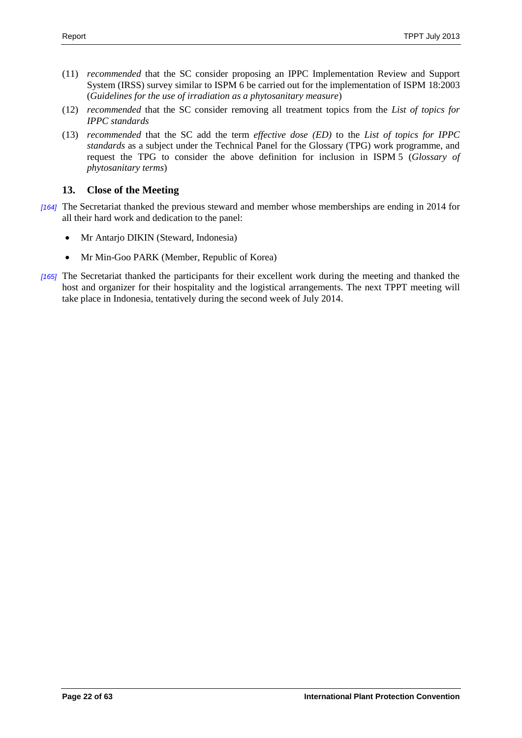- (11) *recommended* that the SC consider proposing an IPPC Implementation Review and Support System (IRSS) survey similar to ISPM 6 be carried out for the implementation of ISPM 18:2003 (*Guidelines for the use of irradiation as a phytosanitary measure*)
- (12) *recommended* that the SC consider removing all treatment topics from the *List of topics for IPPC standards*
- (13) *recommended* that the SC add the term *effective dose (ED)* to the *List of topics for IPPC standards* as a subject under the Technical Panel for the Glossary (TPG) work programme, and request the TPG to consider the above definition for inclusion in ISPM 5 (*Glossary of phytosanitary terms*)

# <span id="page-21-0"></span>**13. Close of the Meeting**

- *[164]* The Secretariat thanked the previous steward and member whose memberships are ending in 2014 for all their hard work and dedication to the panel:
	- Mr Antarjo DIKIN (Steward, Indonesia)
	- Mr Min-Goo PARK (Member, Republic of Korea)
- *[165]* The Secretariat thanked the participants for their excellent work during the meeting and thanked the host and organizer for their hospitality and the logistical arrangements. The next TPPT meeting will take place in Indonesia, tentatively during the second week of July 2014.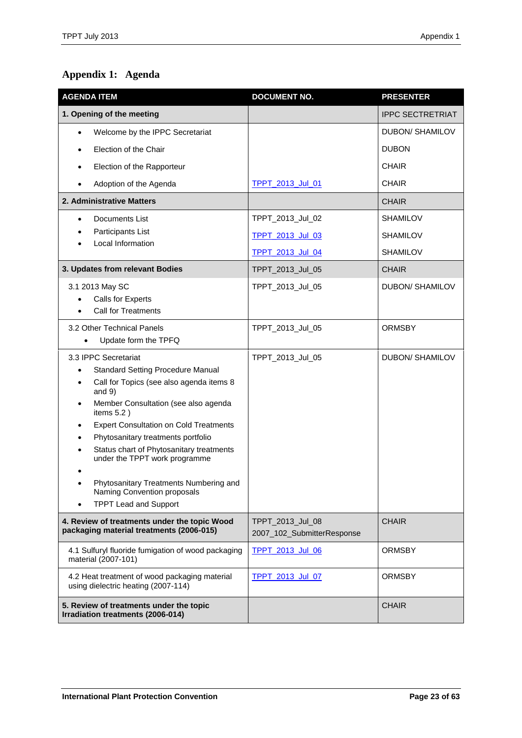# <span id="page-22-0"></span>**Appendix 1: Agenda**

| <b>AGENDA ITEM</b>                                                                       | <b>DOCUMENT NO.</b>                            | <b>PRESENTER</b>        |
|------------------------------------------------------------------------------------------|------------------------------------------------|-------------------------|
| 1. Opening of the meeting                                                                |                                                | <b>IPPC SECTRETRIAT</b> |
| Welcome by the IPPC Secretariat                                                          |                                                | DUBON/ SHAMILOV         |
| Election of the Chair                                                                    |                                                | <b>DUBON</b>            |
| Election of the Rapporteur                                                               |                                                | <b>CHAIR</b>            |
| Adoption of the Agenda                                                                   | TPPT 2013 Jul 01                               | <b>CHAIR</b>            |
| 2. Administrative Matters                                                                |                                                | <b>CHAIR</b>            |
| Documents List<br>٠                                                                      | TPPT_2013_Jul_02                               | <b>SHAMILOV</b>         |
| Participants List                                                                        | <b>TPPT 2013 Jul 03</b>                        | <b>SHAMILOV</b>         |
| Local Information                                                                        | TPPT 2013 Jul 04                               | <b>SHAMILOV</b>         |
| 3. Updates from relevant Bodies                                                          | TPPT_2013_Jul_05                               | <b>CHAIR</b>            |
| 3.1 2013 May SC                                                                          | TPPT_2013_Jul_05                               | <b>DUBON/ SHAMILOV</b>  |
| Calls for Experts<br><b>Call for Treatments</b>                                          |                                                |                         |
| 3.2 Other Technical Panels                                                               |                                                |                         |
| Update form the TPFQ                                                                     | TPPT_2013_Jul_05                               | <b>ORMSBY</b>           |
| 3.3 IPPC Secretariat                                                                     | TPPT_2013_Jul_05                               | <b>DUBON/ SHAMILOV</b>  |
| <b>Standard Setting Procedure Manual</b><br>$\bullet$                                    |                                                |                         |
| Call for Topics (see also agenda items 8<br>and $9)$                                     |                                                |                         |
| Member Consultation (see also agenda<br>٠<br>items $5.2$ )                               |                                                |                         |
| <b>Expert Consultation on Cold Treatments</b>                                            |                                                |                         |
| Phytosanitary treatments portfolio                                                       |                                                |                         |
| Status chart of Phytosanitary treatments<br>under the TPPT work programme                |                                                |                         |
|                                                                                          |                                                |                         |
| Phytosanitary Treatments Numbering and<br>Naming Convention proposals                    |                                                |                         |
| <b>TPPT Lead and Support</b>                                                             |                                                |                         |
| 4. Review of treatments under the topic Wood<br>packaging material treatments (2006-015) | TPPT_2013_Jul_08<br>2007_102_SubmitterResponse | <b>CHAIR</b>            |
| 4.1 Sulfuryl fluoride fumigation of wood packaging<br>material (2007-101)                | TPPT_2013_Jul_06                               | <b>ORMSBY</b>           |
| 4.2 Heat treatment of wood packaging material<br>using dielectric heating (2007-114)     | <b>TPPT 2013 Jul 07</b>                        | <b>ORMSBY</b>           |
| 5. Review of treatments under the topic<br>Irradiation treatments (2006-014)             |                                                | <b>CHAIR</b>            |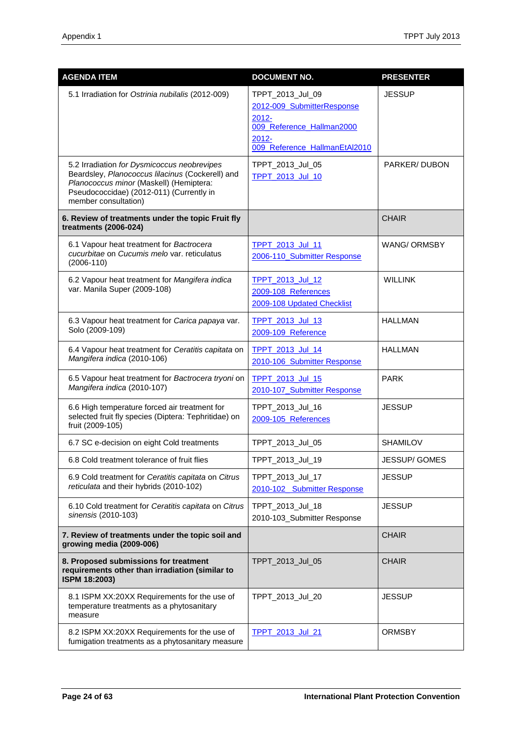| <b>AGENDA ITEM</b>                                                                                                                                                                                             | <b>DOCUMENT NO.</b>                                                                                                                  | <b>PRESENTER</b>    |
|----------------------------------------------------------------------------------------------------------------------------------------------------------------------------------------------------------------|--------------------------------------------------------------------------------------------------------------------------------------|---------------------|
| 5.1 Irradiation for Ostrinia nubilalis (2012-009)                                                                                                                                                              | TPPT_2013_Jul_09<br>2012-009_SubmitterResponse<br>$2012 -$<br>009 Reference Hallman2000<br>$2012 -$<br>009 Reference HallmanEtAl2010 | <b>JESSUP</b>       |
| 5.2 Irradiation for Dysmicoccus neobrevipes<br>Beardsley, Planococcus lilacinus (Cockerell) and<br>Planococcus minor (Maskell) (Hemiptera:<br>Pseudococcidae) (2012-011) (Currently in<br>member consultation) | TPPT_2013_Jul_05<br><b>TPPT 2013 Jul 10</b>                                                                                          | PARKER/DUBON        |
| 6. Review of treatments under the topic Fruit fly<br>treatments (2006-024)                                                                                                                                     |                                                                                                                                      | <b>CHAIR</b>        |
| 6.1 Vapour heat treatment for Bactrocera<br>cucurbitae on Cucumis melo var. reticulatus<br>$(2006-110)$                                                                                                        | TPPT 2013 Jul 11<br>2006-110_Submitter Response                                                                                      | <b>WANG/ ORMSBY</b> |
| 6.2 Vapour heat treatment for Mangifera indica<br>var. Manila Super (2009-108)                                                                                                                                 | TPPT_2013_Jul_12<br>2009-108 References<br>2009-108 Updated Checklist                                                                | <b>WILLINK</b>      |
| 6.3 Vapour heat treatment for Carica papaya var.<br>Solo (2009-109)                                                                                                                                            | <b>TPPT 2013 Jul 13</b><br>2009-109_Reference                                                                                        | <b>HALLMAN</b>      |
| 6.4 Vapour heat treatment for Ceratitis capitata on<br>Mangifera indica (2010-106)                                                                                                                             | TPPT 2013 Jul 14<br>2010-106_Submitter Response                                                                                      | <b>HALLMAN</b>      |
| 6.5 Vapour heat treatment for Bactrocera tryoni on<br>Mangifera indica (2010-107)                                                                                                                              | <b>TPPT 2013 Jul 15</b><br>2010-107_Submitter Response                                                                               | <b>PARK</b>         |
| 6.6 High temperature forced air treatment for<br>selected fruit fly species (Diptera: Tephritidae) on<br>fruit (2009-105)                                                                                      | TPPT_2013_Jul_16<br>2009-105 References                                                                                              | <b>JESSUP</b>       |
| 6.7 SC e-decision on eight Cold treatments                                                                                                                                                                     | TPPT_2013_Jul_05                                                                                                                     | <b>SHAMILOV</b>     |
| 6.8 Cold treatment tolerance of fruit flies                                                                                                                                                                    | TPPT_2013_Jul_19                                                                                                                     | JESSUP/ GOMES       |
| 6.9 Cold treatment for Ceratitis capitata on Citrus<br>reticulata and their hybrids (2010-102)                                                                                                                 | TPPT_2013_Jul_17<br>2010-102 Submitter Response                                                                                      | <b>JESSUP</b>       |
| 6.10 Cold treatment for Ceratitis capitata on Citrus<br>sinensis (2010-103)                                                                                                                                    | TPPT_2013_Jul_18<br>2010-103_Submitter Response                                                                                      | <b>JESSUP</b>       |
| 7. Review of treatments under the topic soil and<br>growing media (2009-006)                                                                                                                                   |                                                                                                                                      | <b>CHAIR</b>        |
| 8. Proposed submissions for treatment<br>requirements other than irradiation (similar to<br>ISPM 18:2003)                                                                                                      | TPPT_2013_Jul_05                                                                                                                     | <b>CHAIR</b>        |
| 8.1 ISPM XX:20XX Requirements for the use of<br>temperature treatments as a phytosanitary<br>measure                                                                                                           | TPPT_2013_Jul_20                                                                                                                     | <b>JESSUP</b>       |
| 8.2 ISPM XX:20XX Requirements for the use of<br>fumigation treatments as a phytosanitary measure                                                                                                               | TPPT_2013_Jul_21                                                                                                                     | <b>ORMSBY</b>       |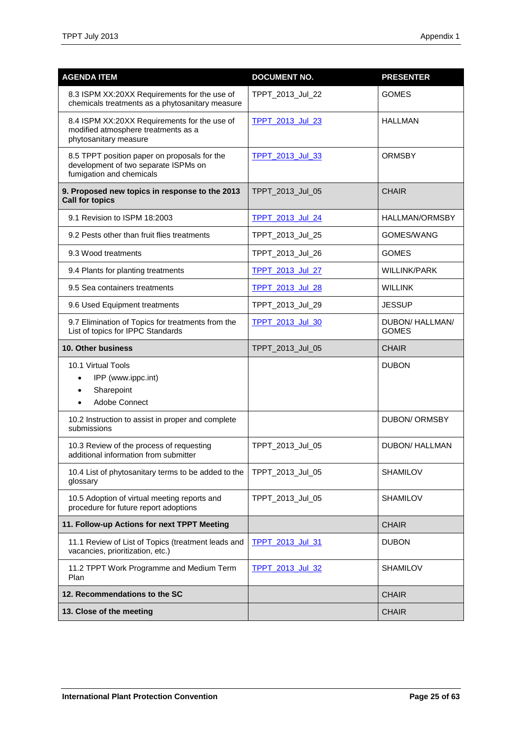| <b>AGENDA ITEM</b>                                                                                               | <b>DOCUMENT NO.</b>     | <b>PRESENTER</b>                |
|------------------------------------------------------------------------------------------------------------------|-------------------------|---------------------------------|
| 8.3 ISPM XX:20XX Requirements for the use of<br>chemicals treatments as a phytosanitary measure                  | TPPT_2013_Jul_22        | <b>GOMES</b>                    |
| 8.4 ISPM XX:20XX Requirements for the use of<br>modified atmosphere treatments as a<br>phytosanitary measure     | <b>TPPT 2013 Jul 23</b> | <b>HALLMAN</b>                  |
| 8.5 TPPT position paper on proposals for the<br>development of two separate ISPMs on<br>fumigation and chemicals | TPPT_2013_Jul_33        | <b>ORMSBY</b>                   |
| 9. Proposed new topics in response to the 2013<br><b>Call for topics</b>                                         | TPPT_2013_Jul_05        | <b>CHAIR</b>                    |
| 9.1 Revision to ISPM 18:2003                                                                                     | TPPT_2013_Jul_24        | <b>HALLMAN/ORMSBY</b>           |
| 9.2 Pests other than fruit flies treatments                                                                      | TPPT_2013_Jul_25        | GOMES/WANG                      |
| 9.3 Wood treatments                                                                                              | TPPT_2013_Jul_26        | <b>GOMES</b>                    |
| 9.4 Plants for planting treatments                                                                               | TPPT 2013 Jul 27        | <b>WILLINK/PARK</b>             |
| 9.5 Sea containers treatments                                                                                    | TPPT 2013 Jul 28        | <b>WILLINK</b>                  |
| 9.6 Used Equipment treatments                                                                                    | TPPT_2013_Jul_29        | <b>JESSUP</b>                   |
| 9.7 Elimination of Topics for treatments from the<br>List of topics for IPPC Standards                           | <b>TPPT 2013 Jul 30</b> | DUBON/ HALLMAN/<br><b>GOMES</b> |
| 10. Other business                                                                                               | TPPT_2013_Jul_05        | <b>CHAIR</b>                    |
| 10.1 Virtual Tools<br>IPP (www.ippc.int)<br>Sharepoint<br>$\bullet$<br>Adobe Connect<br>$\bullet$                |                         | <b>DUBON</b>                    |
| 10.2 Instruction to assist in proper and complete<br>submissions                                                 |                         | <b>DUBON/ ORMSBY</b>            |
| 10.3 Review of the process of requesting<br>additional information from submitter                                | TPPT_2013_Jul_05        | <b>DUBON/ HALLMAN</b>           |
| 10.4 List of phytosanitary terms to be added to the<br>glossary                                                  | TPPT_2013_Jul_05        | <b>SHAMILOV</b>                 |
| 10.5 Adoption of virtual meeting reports and<br>procedure for future report adoptions                            | TPPT_2013_Jul_05        | <b>SHAMILOV</b>                 |
| 11. Follow-up Actions for next TPPT Meeting                                                                      |                         | <b>CHAIR</b>                    |
| 11.1 Review of List of Topics (treatment leads and<br>vacancies, prioritization, etc.)                           | <b>TPPT 2013 Jul 31</b> | <b>DUBON</b>                    |
| 11.2 TPPT Work Programme and Medium Term<br>Plan                                                                 | <b>TPPT 2013 Jul 32</b> | <b>SHAMILOV</b>                 |
| 12. Recommendations to the SC                                                                                    |                         | <b>CHAIR</b>                    |
| 13. Close of the meeting                                                                                         |                         | <b>CHAIR</b>                    |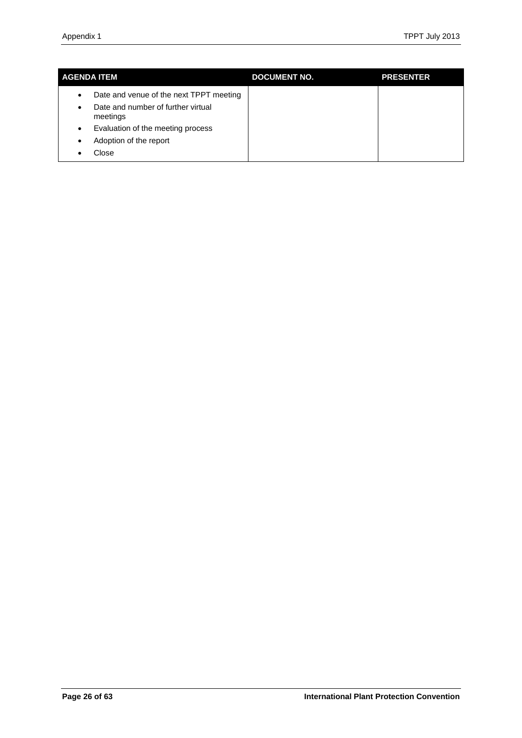| <b>AGENDA ITEM</b>                                  | <b>DOCUMENT NO.</b> | <b>PRESENTER</b> |
|-----------------------------------------------------|---------------------|------------------|
| Date and venue of the next TPPT meeting<br>٠        |                     |                  |
| Date and number of further virtual<br>٠<br>meetings |                     |                  |
| Evaluation of the meeting process<br>$\bullet$      |                     |                  |
| Adoption of the report<br>٠                         |                     |                  |
| Close                                               |                     |                  |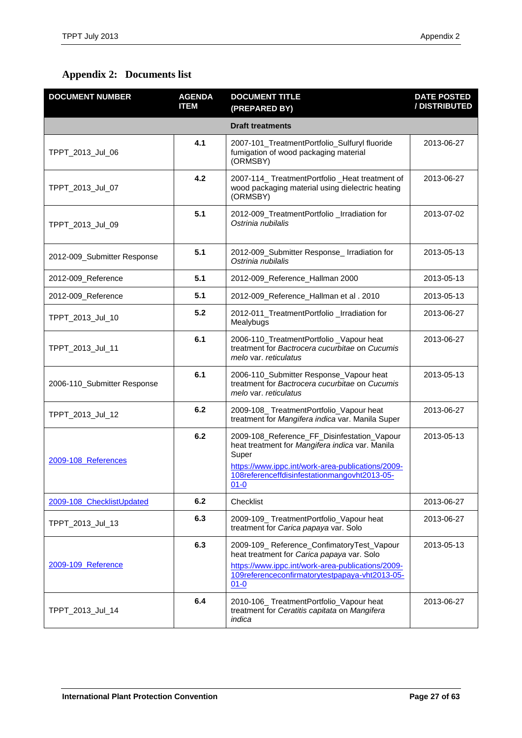# <span id="page-26-0"></span>**Appendix 2: Documents list**

| <b>DOCUMENT NUMBER</b>      | <b>AGENDA</b><br><b>ITEM</b> | <b>DOCUMENT TITLE</b><br>(PREPARED BY)                                                                                                                                                                                   | <b>DATE POSTED</b><br>/DISTRIBUTED |
|-----------------------------|------------------------------|--------------------------------------------------------------------------------------------------------------------------------------------------------------------------------------------------------------------------|------------------------------------|
|                             |                              | <b>Draft treatments</b>                                                                                                                                                                                                  |                                    |
| TPPT_2013_Jul_06            | 4.1                          | 2007-101_TreatmentPortfolio_Sulfuryl fluoride<br>fumigation of wood packaging material<br>(ORMSBY)                                                                                                                       | 2013-06-27                         |
| TPPT_2013_Jul_07            | 4.2                          | 2007-114_ TreatmentPortfolio _Heat treatment of<br>wood packaging material using dielectric heating<br>(ORMSBY)                                                                                                          | 2013-06-27                         |
| TPPT_2013_Jul_09            | 5.1                          | 2012-009_TreatmentPortfolio _Irradiation for<br>Ostrinia nubilalis                                                                                                                                                       | 2013-07-02                         |
| 2012-009_Submitter Response | 5.1                          | 2012-009_Submitter Response_ Irradiation for<br>Ostrinia nubilalis                                                                                                                                                       | 2013-05-13                         |
| 2012-009_Reference          | 5.1                          | 2012-009_Reference_Hallman 2000                                                                                                                                                                                          | 2013-05-13                         |
| 2012-009_Reference          | 5.1                          | 2012-009_Reference_Hallman et al. 2010                                                                                                                                                                                   | 2013-05-13                         |
| TPPT_2013_Jul_10            | 5.2                          | 2012-011_TreatmentPortfolio _Irradiation for<br>Mealybugs                                                                                                                                                                | 2013-06-27                         |
| TPPT_2013_Jul_11            | 6.1                          | 2006-110_TreatmentPortfolio_Vapour heat<br>treatment for Bactrocera cucurbitae on Cucumis<br>melo var. reticulatus                                                                                                       | 2013-06-27                         |
| 2006-110_Submitter Response | 6.1                          | 2006-110_Submitter Response_Vapour heat<br>treatment for Bactrocera cucurbitae on Cucumis<br>melo var. reticulatus                                                                                                       | 2013-05-13                         |
| TPPT_2013_Jul_12            | 6.2                          | 2009-108_TreatmentPortfolio_Vapour heat<br>treatment for Mangifera indica var. Manila Super                                                                                                                              | 2013-06-27                         |
| 2009-108 References         | 6.2                          | 2009-108_Reference_FF_Disinfestation_Vapour<br>heat treatment for Mangifera indica var. Manila<br>Super<br>https://www.ippc.int/work-area-publications/2009-<br>108referenceffdisinfestationmangovht2013-05-<br>$01 - 0$ | 2013-05-13                         |
| 2009-108 ChecklistUpdated   | 6.2                          | Checklist                                                                                                                                                                                                                | 2013-06-27                         |
| TPPT_2013_Jul_13            | 6.3                          | 2009-109_TreatmentPortfolio_Vapour heat<br>treatment for Carica papaya var. Solo                                                                                                                                         | 2013-06-27                         |
| 2009-109 Reference          | 6.3                          | 2009-109_Reference_ConfimatoryTest_Vapour<br>heat treatment for Carica papaya var. Solo<br>https://www.ippc.int/work-area-publications/2009-<br>109referenceconfirmatorytestpapaya-vht2013-05-<br>$01 - 0$               | 2013-05-13                         |
| TPPT_2013_Jul_14            | 6.4                          | 2010-106_TreatmentPortfolio_Vapour heat<br>treatment for Ceratitis capitata on Mangifera<br>indica                                                                                                                       | 2013-06-27                         |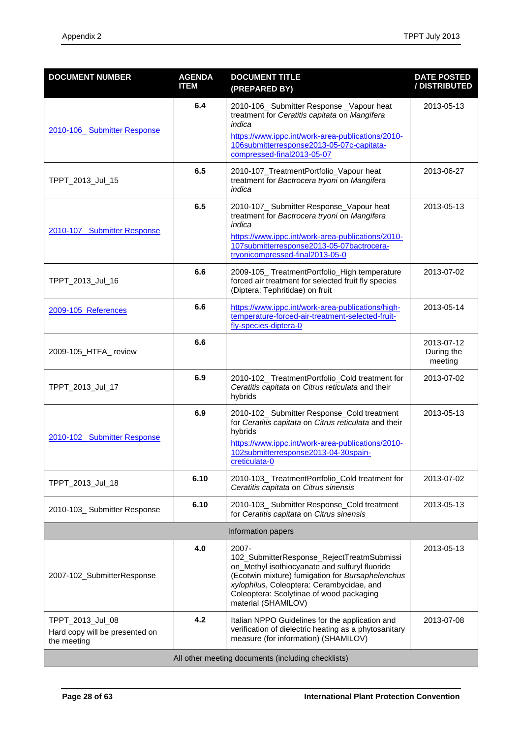| <b>DOCUMENT NUMBER</b>                                            | <b>AGENDA</b><br><b>ITEM</b> | <b>DOCUMENT TITLE</b><br>(PREPARED BY)                                                                                                                                                                                                                                       | <b>DATE POSTED</b><br>/ DISTRIBUTED |  |  |
|-------------------------------------------------------------------|------------------------------|------------------------------------------------------------------------------------------------------------------------------------------------------------------------------------------------------------------------------------------------------------------------------|-------------------------------------|--|--|
| 2010-106 Submitter Response                                       | 6.4                          | 2010-106_ Submitter Response _Vapour heat<br>treatment for Ceratitis capitata on Mangifera<br>indica<br>https://www.ippc.int/work-area-publications/2010-<br>106submitterresponse2013-05-07c-capitata-<br>compressed-final2013-05-07                                         | 2013-05-13                          |  |  |
| TPPT_2013_Jul_15                                                  | 6.5                          | 2010-107_TreatmentPortfolio_Vapour heat<br>treatment for Bactrocera tryoni on Mangifera<br>indica                                                                                                                                                                            | 2013-06-27                          |  |  |
| 2010-107 Submitter Response                                       | 6.5                          | 2010-107_ Submitter Response_Vapour heat<br>treatment for Bactrocera tryoni on Mangifera<br>indica<br>https://www.ippc.int/work-area-publications/2010-<br>107submitterresponse2013-05-07bactrocera-<br>tryonicompressed-final2013-05-0                                      | 2013-05-13                          |  |  |
| TPPT_2013_Jul_16                                                  | 6.6                          | 2009-105_ TreatmentPortfolio_High temperature<br>forced air treatment for selected fruit fly species<br>(Diptera: Tephritidae) on fruit                                                                                                                                      | 2013-07-02                          |  |  |
| 2009-105 References                                               | 6.6                          | https://www.ippc.int/work-area-publications/high-<br>temperature-forced-air-treatment-selected-fruit-<br>fly-species-diptera-0                                                                                                                                               | 2013-05-14                          |  |  |
| 2009-105_HTFA_review                                              | 6.6                          |                                                                                                                                                                                                                                                                              | 2013-07-12<br>During the<br>meeting |  |  |
| TPPT_2013_Jul_17                                                  | 6.9                          | 2010-102_TreatmentPortfolio_Cold treatment for<br>Ceratitis capitata on Citrus reticulata and their<br>hybrids                                                                                                                                                               | 2013-07-02                          |  |  |
| 2010-102 Submitter Response                                       | 6.9                          | 2010-102_ Submitter Response_Cold treatment<br>for Ceratitis capitata on Citrus reticulata and their<br>hybrids<br>https://www.ippc.int/work-area-publications/2010-<br>102submitterresponse2013-04-30spain-<br>creticulata-0                                                | 2013-05-13                          |  |  |
| TPPT_2013_Jul_18                                                  | 6.10                         | 2010-103_ TreatmentPortfolio_Cold treatment for<br>Ceratitis capitata on Citrus sinensis                                                                                                                                                                                     | 2013-07-02                          |  |  |
| 2010-103_ Submitter Response                                      | 6.10                         | 2010-103_ Submitter Response_Cold treatment<br>for Ceratitis capitata on Citrus sinensis                                                                                                                                                                                     | 2013-05-13                          |  |  |
| Information papers                                                |                              |                                                                                                                                                                                                                                                                              |                                     |  |  |
| 2007-102_SubmitterResponse                                        | 4.0                          | $2007 -$<br>102_SubmitterResponse_RejectTreatmSubmissi<br>on Methyl isothiocyanate and sulfuryl fluoride<br>(Ecotwin mixture) fumigation for Bursaphelenchus<br>xylophilus, Coleoptera: Cerambycidae, and<br>Coleoptera: Scolytinae of wood packaging<br>material (SHAMILOV) | 2013-05-13                          |  |  |
| TPPT_2013_Jul_08<br>Hard copy will be presented on<br>the meeting | 4.2                          | Italian NPPO Guidelines for the application and<br>verification of dielectric heating as a phytosanitary<br>measure (for information) (SHAMILOV)                                                                                                                             | 2013-07-08                          |  |  |
| All other meeting documents (including checklists)                |                              |                                                                                                                                                                                                                                                                              |                                     |  |  |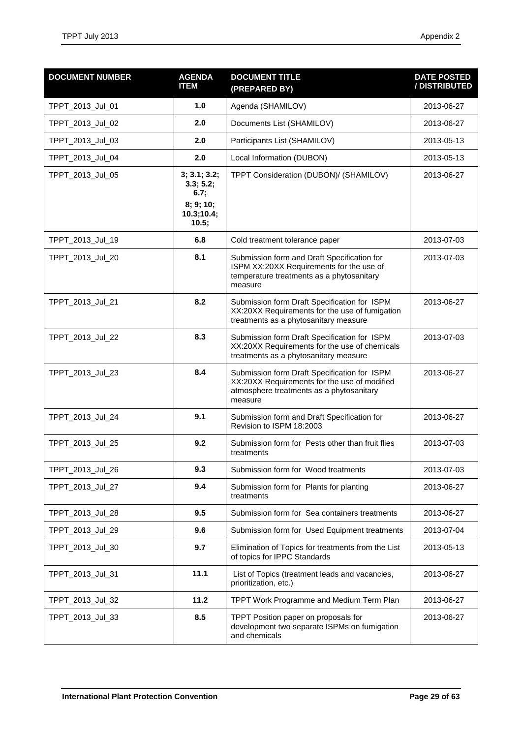| <b>DOCUMENT NUMBER</b> | <b>AGENDA</b><br><b>ITEM</b>                                          | <b>DOCUMENT TITLE</b><br>(PREPARED BY)                                                                                                              | <b>DATE POSTED</b><br>/ DISTRIBUTED |
|------------------------|-----------------------------------------------------------------------|-----------------------------------------------------------------------------------------------------------------------------------------------------|-------------------------------------|
| TPPT_2013_Jul_01       | 1.0                                                                   | Agenda (SHAMILOV)                                                                                                                                   | 2013-06-27                          |
| TPPT_2013_Jul_02       | 2.0                                                                   | Documents List (SHAMILOV)                                                                                                                           | 2013-06-27                          |
| TPPT_2013_Jul_03       | 2.0                                                                   | Participants List (SHAMILOV)                                                                                                                        | 2013-05-13                          |
| TPPT_2013_Jul_04       | 2.0                                                                   | Local Information (DUBON)                                                                                                                           | 2013-05-13                          |
| TPPT_2013_Jul_05       | 3; 3.1; 3.2;<br>3.3; 5.2;<br>6.7;<br>8; 9; 10;<br>10.3;10.4;<br>10.5; | TPPT Consideration (DUBON)/ (SHAMILOV)                                                                                                              | 2013-06-27                          |
| TPPT_2013_Jul_19       | 6.8                                                                   | Cold treatment tolerance paper                                                                                                                      | 2013-07-03                          |
| TPPT_2013_Jul_20       | 8.1                                                                   | Submission form and Draft Specification for<br>ISPM XX:20XX Requirements for the use of<br>temperature treatments as a phytosanitary<br>measure     | 2013-07-03                          |
| TPPT_2013_Jul_21       | 8.2                                                                   | Submission form Draft Specification for ISPM<br>XX:20XX Requirements for the use of fumigation<br>treatments as a phytosanitary measure             | 2013-06-27                          |
| TPPT_2013_Jul_22       | 8.3                                                                   | Submission form Draft Specification for ISPM<br>XX:20XX Requirements for the use of chemicals<br>treatments as a phytosanitary measure              | 2013-07-03                          |
| TPPT_2013_Jul_23       | 8.4                                                                   | Submission form Draft Specification for ISPM<br>XX:20XX Requirements for the use of modified<br>atmosphere treatments as a phytosanitary<br>measure | 2013-06-27                          |
| TPPT_2013_Jul_24       | 9.1                                                                   | Submission form and Draft Specification for<br>Revision to ISPM 18:2003                                                                             | 2013-06-27                          |
| TPPT_2013_Jul_25       | 9.2                                                                   | Submission form for Pests other than fruit flies<br>treatments                                                                                      | 2013-07-03                          |
| TPPT_2013_Jul_26       | 9.3                                                                   | Submission form for Wood treatments                                                                                                                 | 2013-07-03                          |
| TPPT_2013_Jul_27       | 9.4                                                                   | Submission form for Plants for planting<br>treatments                                                                                               | 2013-06-27                          |
| TPPT_2013_Jul_28       | 9.5                                                                   | Submission form for Sea containers treatments                                                                                                       | 2013-06-27                          |
| TPPT_2013_Jul_29       | 9.6                                                                   | Submission form for Used Equipment treatments                                                                                                       | 2013-07-04                          |
| TPPT_2013_Jul_30       | 9.7                                                                   | Elimination of Topics for treatments from the List<br>of topics for IPPC Standards                                                                  | 2013-05-13                          |
| TPPT_2013_Jul_31       | 11.1                                                                  | List of Topics (treatment leads and vacancies,<br>prioritization, etc.)                                                                             | 2013-06-27                          |
| TPPT_2013_Jul_32       | 11.2                                                                  | TPPT Work Programme and Medium Term Plan                                                                                                            | 2013-06-27                          |
| TPPT_2013_Jul_33       | 8.5                                                                   | TPPT Position paper on proposals for<br>development two separate ISPMs on fumigation<br>and chemicals                                               | 2013-06-27                          |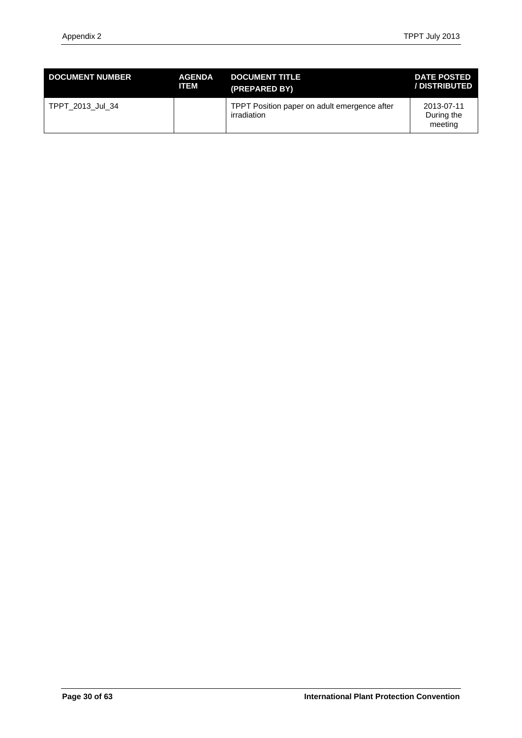| <b>DOCUMENT NUMBER</b> | <b>AGENDA</b> | <b>DOCUMENT TITLE</b>                                       | <b>DATE POSTED</b>                  |
|------------------------|---------------|-------------------------------------------------------------|-------------------------------------|
|                        | <b>ITEM</b>   | (PREPARED BY)                                               | /DISTRIBUTED                        |
| TPPT 2013 Jul 34       |               | TPPT Position paper on adult emergence after<br>irradiation | 2013-07-11<br>During the<br>meeting |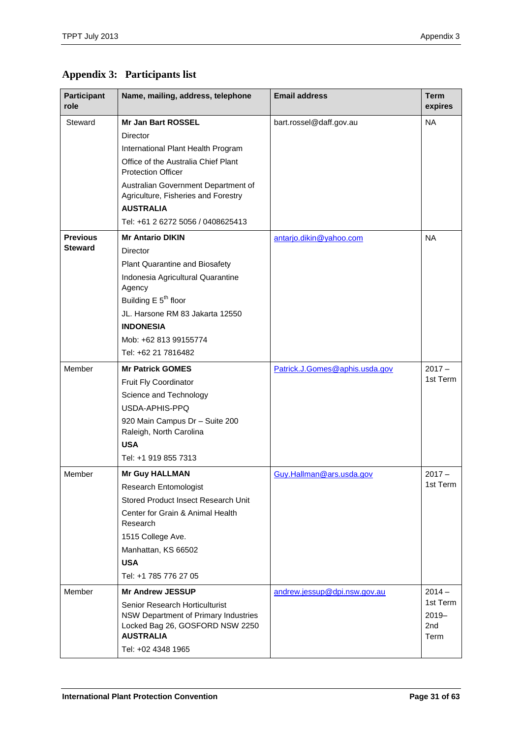# <span id="page-30-0"></span>**Appendix 3: Participants list**

| <b>Participant</b><br>role | Name, mailing, address, telephone                                                                                             | <b>Email address</b>           | <b>Term</b><br>expires                          |
|----------------------------|-------------------------------------------------------------------------------------------------------------------------------|--------------------------------|-------------------------------------------------|
| Steward                    | <b>Mr Jan Bart ROSSEL</b>                                                                                                     | bart.rossel@daff.gov.au        | <b>NA</b>                                       |
|                            | Director                                                                                                                      |                                |                                                 |
|                            | International Plant Health Program                                                                                            |                                |                                                 |
|                            | Office of the Australia Chief Plant<br><b>Protection Officer</b>                                                              |                                |                                                 |
|                            | Australian Government Department of<br>Agriculture, Fisheries and Forestry                                                    |                                |                                                 |
|                            | <b>AUSTRALIA</b>                                                                                                              |                                |                                                 |
|                            | Tel: +61 2 6272 5056 / 0408625413                                                                                             |                                |                                                 |
| <b>Previous</b>            | <b>Mr Antario DIKIN</b>                                                                                                       | antarjo.dikin@yahoo.com        | <b>NA</b>                                       |
| <b>Steward</b>             | <b>Director</b>                                                                                                               |                                |                                                 |
|                            | Plant Quarantine and Biosafety                                                                                                |                                |                                                 |
|                            | Indonesia Agricultural Quarantine<br>Agency                                                                                   |                                |                                                 |
|                            | Building $E$ 5 <sup>th</sup> floor                                                                                            |                                |                                                 |
|                            | JL. Harsone RM 83 Jakarta 12550                                                                                               |                                |                                                 |
|                            | <b>INDONESIA</b>                                                                                                              |                                |                                                 |
|                            | Mob: +62 813 99155774                                                                                                         |                                |                                                 |
|                            | Tel: +62 21 7816482                                                                                                           |                                |                                                 |
| Member                     | <b>Mr Patrick GOMES</b>                                                                                                       | Patrick.J.Gomes@aphis.usda.gov | $2017 -$                                        |
|                            | Fruit Fly Coordinator                                                                                                         |                                | 1st Term                                        |
|                            | Science and Technology                                                                                                        |                                |                                                 |
|                            | USDA-APHIS-PPQ                                                                                                                |                                |                                                 |
|                            | 920 Main Campus Dr - Suite 200<br>Raleigh, North Carolina<br><b>USA</b>                                                       |                                |                                                 |
|                            | Tel: +1 919 855 7313                                                                                                          |                                |                                                 |
|                            |                                                                                                                               |                                |                                                 |
| Member                     | <b>Mr Guy HALLMAN</b>                                                                                                         | Guy.Hallman@ars.usda.gov       | $2017 -$<br>1st Term                            |
|                            | Research Entomologist                                                                                                         |                                |                                                 |
|                            | Stored Product Insect Research Unit                                                                                           |                                |                                                 |
|                            | Center for Grain & Animal Health<br>Research                                                                                  |                                |                                                 |
|                            | 1515 College Ave.                                                                                                             |                                |                                                 |
|                            | Manhattan, KS 66502                                                                                                           |                                |                                                 |
|                            | <b>USA</b>                                                                                                                    |                                |                                                 |
|                            | Tel: +1 785 776 27 05                                                                                                         |                                |                                                 |
| Member                     | <b>Mr Andrew JESSUP</b>                                                                                                       | andrew.jessup@dpi.nsw.gov.au   | $2014 -$                                        |
|                            | Senior Research Horticulturist<br>NSW Department of Primary Industries<br>Locked Bag 26, GOSFORD NSW 2250<br><b>AUSTRALIA</b> |                                | 1st Term<br>$2019 -$<br>2 <sub>nd</sub><br>Term |
|                            | Tel: +02 4348 1965                                                                                                            |                                |                                                 |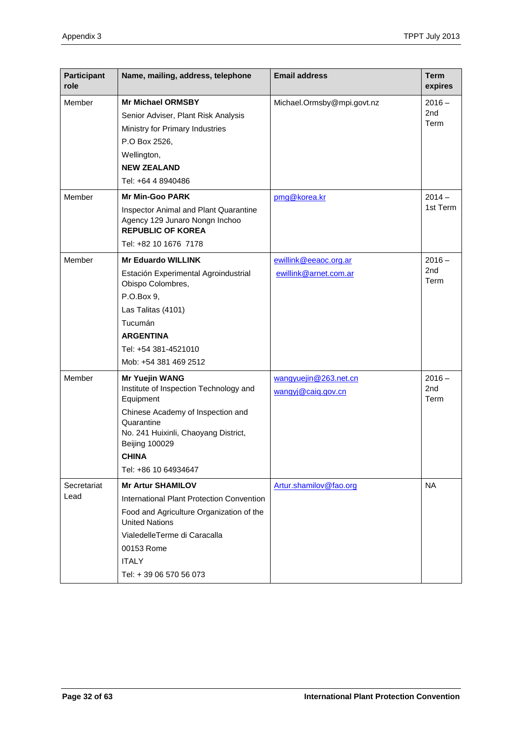| <b>Participant</b><br>role | Name, mailing, address, telephone                                                                                | <b>Email address</b>                        | <b>Term</b><br>expires  |
|----------------------------|------------------------------------------------------------------------------------------------------------------|---------------------------------------------|-------------------------|
| Member                     | <b>Mr Michael ORMSBY</b>                                                                                         | Michael.Ormsby@mpi.govt.nz                  | $2016 -$                |
|                            | Senior Adviser, Plant Risk Analysis                                                                              |                                             | 2 <sub>nd</sub>         |
|                            | Ministry for Primary Industries                                                                                  |                                             | Term                    |
|                            | P.O Box 2526,                                                                                                    |                                             |                         |
|                            | Wellington,                                                                                                      |                                             |                         |
|                            | <b>NEW ZEALAND</b>                                                                                               |                                             |                         |
|                            | Tel: +64 4 8940486                                                                                               |                                             |                         |
| Member                     | <b>Mr Min-Goo PARK</b>                                                                                           | pmg@korea.kr                                | $2014 -$                |
|                            | Inspector Animal and Plant Quarantine<br>Agency 129 Junaro Nongn Inchoo<br><b>REPUBLIC OF KOREA</b>              |                                             | 1st Term                |
|                            | Tel: +82 10 1676 7178                                                                                            |                                             |                         |
| Member                     | <b>Mr Eduardo WILLINK</b>                                                                                        | ewillink@eeaoc.org.ar                       | $2016 -$                |
|                            | Estación Experimental Agroindustrial<br>Obispo Colombres,                                                        | ewillink@arnet.com.ar                       | 2nd<br>Term             |
|                            | P.O.Box 9.                                                                                                       |                                             |                         |
|                            | Las Talitas (4101)                                                                                               |                                             |                         |
|                            | Tucumán                                                                                                          |                                             |                         |
|                            | <b>ARGENTINA</b>                                                                                                 |                                             |                         |
|                            | Tel: +54 381-4521010                                                                                             |                                             |                         |
|                            | Mob: +54 381 469 2512                                                                                            |                                             |                         |
| Member                     | <b>Mr Yuejin WANG</b><br>Institute of Inspection Technology and<br>Equipment                                     | wangyuejin@263.net.cn<br>wangyj@caiq.gov.cn | $2016 -$<br>2nd<br>Term |
|                            | Chinese Academy of Inspection and<br>Quarantine<br>No. 241 Huixinli, Chaoyang District,<br><b>Beijing 100029</b> |                                             |                         |
|                            | <b>CHINA</b>                                                                                                     |                                             |                         |
|                            | Tel: +86 10 64934647                                                                                             |                                             |                         |
| Secretariat                | <b>Mr Artur SHAMILOV</b>                                                                                         | Artur.shamilov@fao.org                      | <b>NA</b>               |
| Lead                       | International Plant Protection Convention                                                                        |                                             |                         |
|                            | Food and Agriculture Organization of the<br><b>United Nations</b>                                                |                                             |                         |
|                            | VialedelleTerme di Caracalla                                                                                     |                                             |                         |
|                            | 00153 Rome                                                                                                       |                                             |                         |
|                            | <b>ITALY</b>                                                                                                     |                                             |                         |
|                            | Tel: + 39 06 570 56 073                                                                                          |                                             |                         |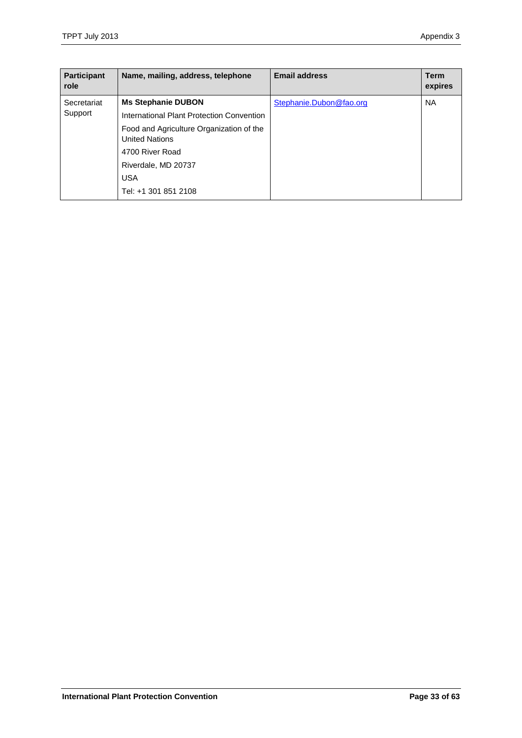| Participant<br>role | Name, mailing, address, telephone                                 | <b>Email address</b>    | Term<br>expires |
|---------------------|-------------------------------------------------------------------|-------------------------|-----------------|
| Secretariat         | <b>Ms Stephanie DUBON</b>                                         | Stephanie.Dubon@fao.org | <b>NA</b>       |
| Support             | International Plant Protection Convention                         |                         |                 |
|                     | Food and Agriculture Organization of the<br><b>United Nations</b> |                         |                 |
|                     | 4700 River Road                                                   |                         |                 |
|                     | Riverdale, MD 20737                                               |                         |                 |
|                     | <b>USA</b>                                                        |                         |                 |
|                     | Tel: +1 301 851 2108                                              |                         |                 |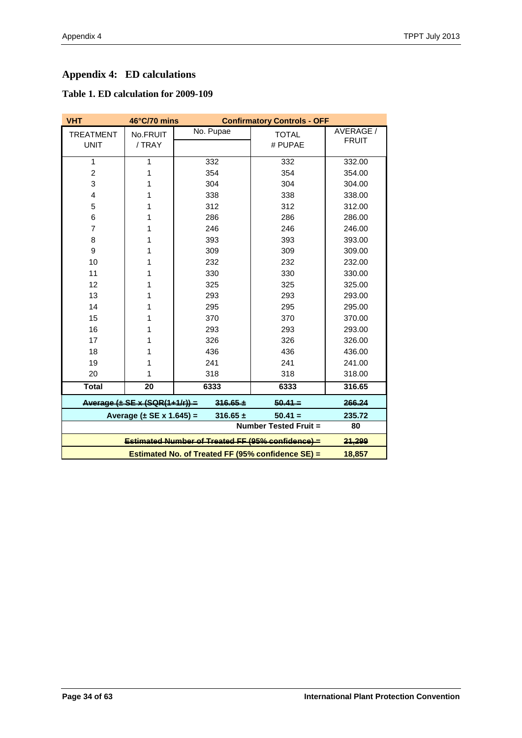# <span id="page-33-0"></span>**Appendix 4: ED calculations**

# **Table 1. ED calculation for 2009-109**

| <b>VHT</b>       | 46°C/70 mins<br><b>Confirmatory Controls - OFF</b>               |              |                              |              |  |
|------------------|------------------------------------------------------------------|--------------|------------------------------|--------------|--|
| <b>TREATMENT</b> | No.FRUIT                                                         | No. Pupae    | <b>TOTAL</b>                 | AVERAGE /    |  |
| <b>UNIT</b>      | / TRAY                                                           |              | # PUPAE                      | <b>FRUIT</b> |  |
| 1                | 1                                                                | 332          | 332                          | 332.00       |  |
| $\overline{2}$   | 1                                                                | 354          | 354                          | 354.00       |  |
| 3                | 1                                                                | 304          | 304                          | 304.00       |  |
| $\overline{4}$   | 1                                                                | 338          | 338                          | 338.00       |  |
|                  |                                                                  |              |                              |              |  |
| 5                | 1                                                                | 312          | 312                          | 312.00       |  |
| 6                | 1                                                                | 286          | 286                          | 286.00       |  |
| 7                | 1                                                                | 246          | 246                          | 246.00       |  |
| 8                | 1                                                                | 393          | 393                          | 393.00       |  |
| 9                | 1                                                                | 309          | 309                          | 309.00       |  |
| 10               | 1                                                                | 232          | 232                          | 232.00       |  |
| 11               | 1                                                                | 330          | 330                          | 330.00       |  |
| 12               | 1                                                                | 325          | 325                          | 325.00       |  |
| 13               | 1                                                                | 293          | 293                          | 293.00       |  |
| 14               | 1                                                                | 295          | 295                          | 295.00       |  |
| 15               | 1                                                                | 370          | 370                          | 370.00       |  |
| 16               | 1                                                                | 293          | 293                          | 293.00       |  |
| 17               | 1                                                                | 326          | 326                          | 326.00       |  |
| 18               | 1                                                                | 436          | 436                          | 436.00       |  |
| 19               | 1                                                                | 241          | 241                          | 241.00       |  |
| 20               | 1                                                                | 318          | 318                          | 318.00       |  |
| <b>Total</b>     | 20                                                               | 6333         | 6333                         | 316.65       |  |
|                  | Average $(\pm$ SE x (SQR(1+1/r))                                 | $316.65 +$   | $50.41 -$                    | 266.24       |  |
|                  | Average $(\pm$ SE x 1.645) =                                     | $316.65 \pm$ | $50.41 =$                    | 235.72       |  |
|                  |                                                                  |              | <b>Number Tested Fruit =</b> | 80           |  |
|                  | <b>Estimated Number of Treated FF (95% confidence)</b><br>21,299 |              |                              |              |  |
|                  | 18,857                                                           |              |                              |              |  |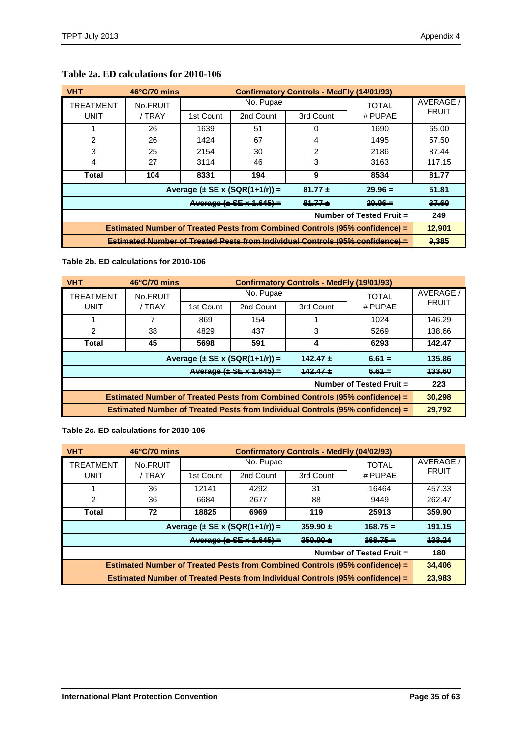| <b>VHT</b>                                                                           | $46^{\circ}$ C/70 mins |           | <b>Confirmatory Controls - MedFly (14/01/93)</b> |              |           |              |
|--------------------------------------------------------------------------------------|------------------------|-----------|--------------------------------------------------|--------------|-----------|--------------|
| TREATMENT<br>No.FRUIT                                                                |                        | No. Pupae |                                                  | <b>TOTAL</b> | AVERAGE / |              |
| <b>UNIT</b>                                                                          | / TRAY                 | 1st Count | 2nd Count                                        | 3rd Count    | # PUPAE   | <b>FRUIT</b> |
|                                                                                      | 26                     | 1639      | 51                                               | 0            | 1690      | 65.00        |
| 2                                                                                    | 26                     | 1424      | 67                                               | 4            | 1495      | 57.50        |
| 3                                                                                    | 25                     | 2154      | 30                                               | 2            | 2186      | 87.44        |
| 4                                                                                    | 27                     | 3114      | 46                                               | 3            | 3163      | 117.15       |
| Total                                                                                | 104                    | 8331      | 194                                              | 9            | 8534      | 81.77        |
|                                                                                      |                        |           | Average $(\pm$ SE x (SQR(1+1/r)) =               | $81.77 \pm$  | $29.96 =$ | 51.81        |
| $Average ( + SE × 1.645) =$<br>$29.96 -$<br>$84 - 77 +$                              |                        |           |                                                  |              | 37.69     |              |
| Number of Tested Fruit =                                                             |                        |           |                                                  |              | 249       |              |
| Estimated Number of Treated Pests from Combined Controls (95% confidence) =          |                        |           |                                                  |              | 12,901    |              |
| <b>Estimated Number of Treated Pests from Individual Controls (95% confidence) =</b> |                        |           |                                                  |              |           | 9,385        |

### **Table 2a. ED calculations for 2010-106**

**Table 2b. ED calculations for 2010-106**

| <b>VHT</b>                                                                         | $46^{\circ}$ C/70 mins | <b>Confirmatory Controls - MedFly (19/01/93)</b> |           |              |           |              |
|------------------------------------------------------------------------------------|------------------------|--------------------------------------------------|-----------|--------------|-----------|--------------|
| TREATMENT                                                                          | No.FRUIT               | No. Pupae                                        |           | <b>TOTAL</b> | AVERAGE / |              |
| <b>UNIT</b>                                                                        | / TRAY                 | 1st Count                                        | 2nd Count | 3rd Count    | # PUPAE   | <b>FRUIT</b> |
|                                                                                    |                        | 869                                              | 154       |              | 1024      | 146.29       |
| 2                                                                                  | 38                     | 4829                                             | 437       | З            | 5269      | 138.66       |
| Total                                                                              | 45                     | 5698                                             | 591       |              | 6293      | 142.47       |
| Average $(\pm$ SE x (SQR(1+1/r)) =<br>$142.47 \pm$<br>$6.61 =$                     |                        |                                                  |           |              | 135.86    |              |
| Average $(\pm$ SE $\times$ 1.645) =<br>$142.47 +$<br>$6.64 -$                      |                        |                                                  |           |              | 433.60    |              |
| Number of Tested Fruit =                                                           |                        |                                                  |           |              | 223       |              |
| <b>Estimated Number of Treated Pests from Combined Controls (95% confidence) =</b> |                        |                                                  |           |              | 30,298    |              |
| Estimated Number of Treated Pests from Individual Controls (95% confidence) -      |                        |                                                  |           |              | 29.792    |              |

#### **Table 2c. ED calculations for 2010-106**

| <b>VHT</b>                                                                           | $46^{\circ}$ C/70 mins |           | <b>Confirmatory Controls - MedFly (04/02/93)</b> |              |            |              |
|--------------------------------------------------------------------------------------|------------------------|-----------|--------------------------------------------------|--------------|------------|--------------|
| TREATMENT<br>No.FRUIT                                                                |                        | No. Pupae |                                                  | <b>TOTAL</b> | AVERAGE /  |              |
| UNIT                                                                                 | / TRAY                 | 1st Count | 2nd Count                                        | 3rd Count    | # PUPAE    | <b>FRUIT</b> |
|                                                                                      | 36                     | 12141     | 4292                                             | 31           | 16464      | 457.33       |
| 2                                                                                    | 36                     | 6684      | 2677                                             | 88           | 9449       | 262.47       |
| Total                                                                                | 72                     | 18825     | 6969                                             | 119          | 25913      | 359.90       |
|                                                                                      |                        |           | Average $(\pm$ SE x (SQR(1+1/r)) =               | $359.90 +$   | $168.75 =$ | 191.15       |
| Average $(\pm$ SE x 1.645) =<br>$350.00 +$<br>$168.75 -$                             |                        |           |                                                  |              | 433.24     |              |
| Number of Tested Fruit =                                                             |                        |           |                                                  |              | 180        |              |
| Estimated Number of Treated Pests from Combined Controls (95% confidence) =          |                        |           |                                                  |              | 34,406     |              |
| <b>Estimated Number of Treated Pests from Individual Controls (95% confidence) =</b> |                        |           |                                                  |              | 23,983     |              |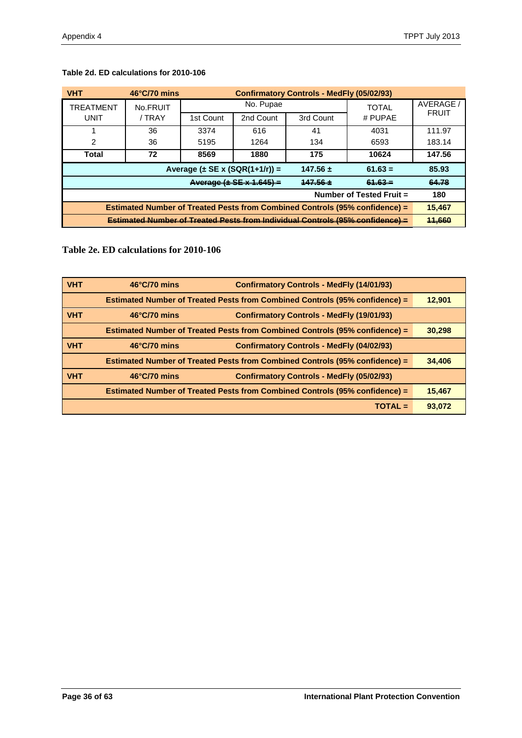| <b>VHT</b>                                                                           | $46^{\circ}$ C/70 mins | <b>Confirmatory Controls - MedFly (05/02/93)</b> |           |              |              |              |
|--------------------------------------------------------------------------------------|------------------------|--------------------------------------------------|-----------|--------------|--------------|--------------|
| TREATMENT<br>No.FRUIT                                                                |                        |                                                  | No. Pupae |              | <b>TOTAL</b> | AVERAGE /    |
| UNIT                                                                                 | / TRAY                 | 1st Count                                        | 2nd Count | 3rd Count    | # PUPAE      | <b>FRUIT</b> |
|                                                                                      | 36                     | 3374                                             | 616       | 41           | 4031         | 111.97       |
| 2                                                                                    | 36                     | 5195                                             | 1264      | 134          | 6593         | 183.14       |
| Total                                                                                | 72                     | 8569                                             | 1880      | 175          | 10624        | 147.56       |
|                                                                                      |                        | Average $(\pm$ SE x (SQR(1+1/r)) =               |           | $147.56 \pm$ | $61.63 =$    | 85.93        |
| Average $(\pm$ SE $\times$ 1.645) =<br>$147.56 +$<br>$64.63 -$                       |                        |                                                  |           |              | 64.78        |              |
| Number of Tested Fruit =                                                             |                        |                                                  |           |              |              | 180          |
| Estimated Number of Treated Pests from Combined Controls (95% confidence) =          |                        |                                                  |           |              | 15.467       |              |
| <b>Estimated Number of Treated Pests from Individual Controls (95% confidence) =</b> |                        |                                                  |           |              | 11,660       |              |

# **Table 2d. ED calculations for 2010-106**

**Table 2e. ED calculations for 2010-106**

| <b>VHT</b> | $46^{\circ}$ C/70 mins | <b>Confirmatory Controls - MedFly (14/01/93)</b>                                   |        |
|------------|------------------------|------------------------------------------------------------------------------------|--------|
|            |                        | Estimated Number of Treated Pests from Combined Controls (95% confidence) =        | 12,901 |
| <b>VHT</b> | $46^{\circ}$ C/70 mins | <b>Confirmatory Controls - MedFly (19/01/93)</b>                                   |        |
|            |                        | <b>Estimated Number of Treated Pests from Combined Controls (95% confidence) =</b> | 30,298 |
| <b>VHT</b> | $46^{\circ}$ C/70 mins | <b>Confirmatory Controls - MedFly (04/02/93)</b>                                   |        |
|            |                        | Estimated Number of Treated Pests from Combined Controls (95% confidence) =        | 34,406 |
| <b>VHT</b> | $46^{\circ}$ C/70 mins | <b>Confirmatory Controls - MedFly (05/02/93)</b>                                   |        |
|            |                        | Estimated Number of Treated Pests from Combined Controls (95% confidence) =        | 15,467 |
|            |                        | $TOTAL =$                                                                          | 93,072 |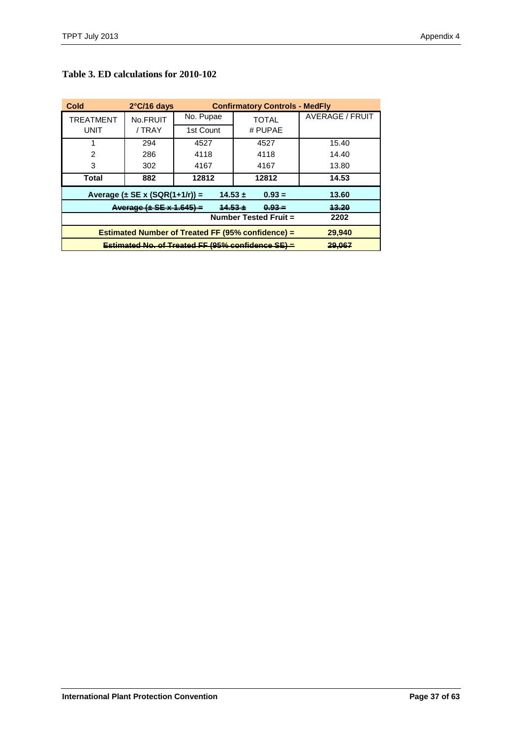| Cold                                                     | $2^{\circ}$ C/16 days                                         |           | <b>Confirmatory Controls - MedFly</b> |                 |  |
|----------------------------------------------------------|---------------------------------------------------------------|-----------|---------------------------------------|-----------------|--|
| <b>TREATMENT</b>                                         | No.FRUIT                                                      | No. Pupae | <b>TOTAL</b>                          | AVERAGE / FRUIT |  |
| <b>UNIT</b>                                              | / TRAY                                                        | 1st Count | # PUPAE                               |                 |  |
|                                                          | 294                                                           | 4527      | 4527                                  | 15.40           |  |
| 2                                                        | 286                                                           | 4118      | 4118                                  | 14.40           |  |
| 3                                                        | 302                                                           | 4167      | 4167                                  | 13.80           |  |
| Total                                                    | 882                                                           | 12812     | 12812                                 | 14.53           |  |
|                                                          | Average $(\pm$ SE x (SQR(1+1/r)) =<br>$14.53 \pm$<br>$0.93 =$ |           |                                       |                 |  |
| Average (± SE x 1.645)                                   | 13.20                                                         |           |                                       |                 |  |
|                                                          | 2202                                                          |           |                                       |                 |  |
| <b>Estimated Number of Treated FF (95% confidence) =</b> | 29,940                                                        |           |                                       |                 |  |
| Estimated No. of Treated FF (95% confidence SE)          | 29.067                                                        |           |                                       |                 |  |

### **Table 3. ED calculations for 2010-102**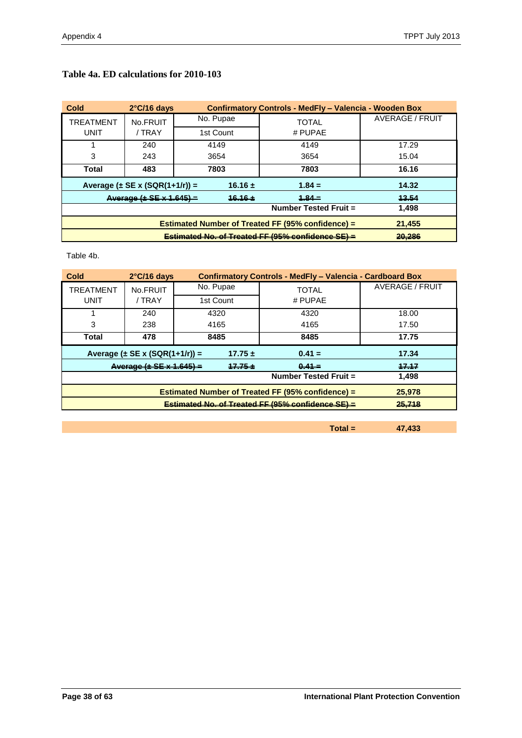| Cold             | $2^{\circ}$ C/16 days              |             | Confirmatory Controls - MedFly - Valencia - Wooden Box |                 |
|------------------|------------------------------------|-------------|--------------------------------------------------------|-----------------|
| <b>TREATMENT</b> | No.FRUIT                           | No. Pupae   | TOTAL                                                  | AVERAGE / FRUIT |
| <b>UNIT</b>      | / TRAY                             | 1st Count   | # PUPAE                                                |                 |
|                  | 240                                | 4149        | 4149                                                   | 17.29           |
| 3                | 243                                | 3654        | 3654                                                   | 15.04           |
| Total            | 483                                | 7803        | 7803                                                   | 16.16           |
|                  | Average $(\pm$ SE x (SQR(1+1/r)) = | 16.16 $\pm$ | $1.84 =$                                               | 14.32           |
|                  | Average $(\pm$ SE x 1.645) =       | $16.16 +$   | $+84-$                                                 | 43.54           |
|                  |                                    |             | Number Tested Fruit =                                  | 1,498           |
|                  | 21,455                             |             |                                                        |                 |
|                  | 20,286                             |             |                                                        |                 |

# **Table 4a. ED calculations for 2010-103**

Table 4b.

| Cold                                                               | <b>Confirmatory Controls - MedFly - Valencia - Cardboard Box</b><br>$2^{\circ}$ C/16 days |             |          |                 |  |
|--------------------------------------------------------------------|-------------------------------------------------------------------------------------------|-------------|----------|-----------------|--|
| <b>TREATMENT</b>                                                   | No.FRUIT                                                                                  | No. Pupae   | TOTAL    | AVERAGE / FRUIT |  |
| <b>UNIT</b>                                                        | / TRAY                                                                                    | 1st Count   | # PUPAE  |                 |  |
|                                                                    | 240                                                                                       | 4320        | 4320     | 18.00           |  |
| 3                                                                  | 238                                                                                       | 4165        | 4165     | 17.50           |  |
| Total                                                              | 478                                                                                       | 8485        | 8485     | 17.75           |  |
| Average $(\pm$ SE x (SQR(1+1/r)) =<br>$17.75 \pm$<br>$0.41 =$      |                                                                                           |             |          | 17.34           |  |
|                                                                    | Average $(\pm$ SE $\times$ 1.645)-                                                        | $17.76 \pm$ | $0.44 -$ | 47.47           |  |
|                                                                    | 1.498                                                                                     |             |          |                 |  |
| <b>Estimated Number of Treated FF (95% confidence) =</b><br>25,978 |                                                                                           |             |          |                 |  |
|                                                                    | Estimated No. of Treated FF (95% confidence SE) -<br>25,718                               |             |          |                 |  |
|                                                                    |                                                                                           |             |          |                 |  |

**Total = 47,433**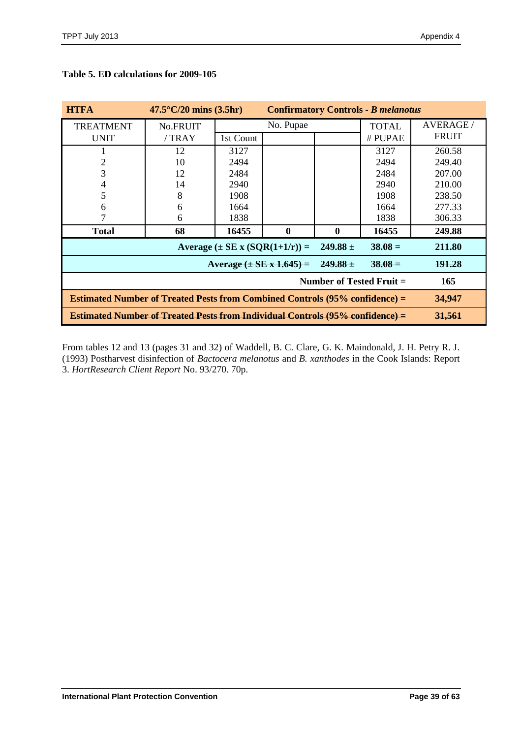| <b>HTFA</b>                                                          | $47.5^{\circ}$ C/20 mins (3.5hr)<br><b>Confirmatory Controls - B melanotus</b>                 |           |                  |               |                 |              |
|----------------------------------------------------------------------|------------------------------------------------------------------------------------------------|-----------|------------------|---------------|-----------------|--------------|
| <b>TREATMENT</b>                                                     | No.FRUIT                                                                                       | No. Pupae |                  | <b>TOTAL</b>  | <b>AVERAGE/</b> |              |
| <b>UNIT</b>                                                          | /TRAY                                                                                          | 1st Count |                  |               | # PUPAE         | <b>FRUIT</b> |
|                                                                      | 12                                                                                             | 3127      |                  |               | 3127            | 260.58       |
|                                                                      | 10                                                                                             | 2494      |                  |               | 2494            | 249.40       |
| 3                                                                    | 12                                                                                             | 2484      |                  |               | 2484            | 207.00       |
| 4                                                                    | 14                                                                                             | 2940      |                  |               | 2940            | 210.00       |
| 5                                                                    | 8                                                                                              | 1908      |                  |               | 1908            | 238.50       |
| 6                                                                    | 6                                                                                              | 1664      |                  |               | 1664            | 277.33       |
|                                                                      | 6                                                                                              | 1838      |                  |               | 1838            | 306.33       |
| <b>Total</b>                                                         | 68                                                                                             | 16455     | $\boldsymbol{0}$ | $\bf{0}$      | 16455           | 249.88       |
| Average $(\pm SE \times (SOR(1+1/r)) =$<br>$38.08 =$<br>249.88 $\pm$ |                                                                                                |           |                  | 211.80        |                 |              |
| Average $(\pm$ SE x 1.645) =<br>$249.88 \pm$<br>$38.08 =$            |                                                                                                |           |                  | <b>191.28</b> |                 |              |
| Number of Tested Fruit =                                             |                                                                                                |           |                  | 165           |                 |              |
|                                                                      | <b>Estimated Number of Treated Pests from Combined Controls (95% confidence) =</b><br>34,947   |           |                  |               |                 |              |
|                                                                      | <b>Estimated Number of Treated Pests from Individual Controls (95% confidence) =</b><br>31,561 |           |                  |               |                 |              |

# **Table 5. ED calculations for 2009-105**

From tables 12 and 13 (pages 31 and 32) of Waddell, B. C. Clare, G. K. Maindonald, J. H. Petry R. J. (1993) Postharvest disinfection of *Bactocera melanotus* and *B. xanthodes* in the Cook Islands: Report 3. *HortResearch Client Report* No. 93/270. 70p.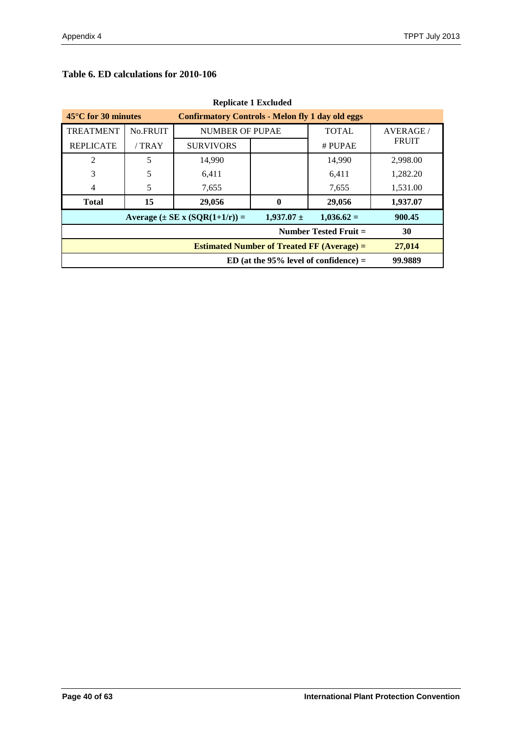# **Table 6. ED calculations for 2010-106**

| weblicate a Exclusive                                                                    |          |                        |              |              |                |
|------------------------------------------------------------------------------------------|----------|------------------------|--------------|--------------|----------------|
| $45^{\circ}$ C for 30 minutes<br><b>Confirmatory Controls - Melon fly 1 day old eggs</b> |          |                        |              |              |                |
| <b>TREATMENT</b>                                                                         | No.FRUIT | <b>NUMBER OF PUPAE</b> |              | <b>TOTAL</b> | <b>AVERAGE</b> |
| <b>REPLICATE</b>                                                                         | /TRAY    | <b>SURVIVORS</b>       |              | # PUPAE      | <b>FRUIT</b>   |
| 2                                                                                        | 5        | 14,990                 |              | 14,990       | 2,998.00       |
| 3                                                                                        | 5        | 6,411                  |              | 6,411        | 1,282.20       |
| 4                                                                                        | 5        | 7,655                  |              | 7,655        | 1,531.00       |
| <b>Total</b>                                                                             | 15       | 29,056                 | $\mathbf{0}$ | 29,056       | 1,937.07       |
| $1,937.07 \pm$<br>$1,036.62=$<br>Average $(\pm SE \times (SOR(1+1/r)) =$                 |          |                        |              | 900.45       |                |
| Number Tested Fruit $=$                                                                  |          |                        |              |              | 30             |
| <b>Estimated Number of Treated FF (Average) =</b>                                        |          |                        |              |              | 27,014         |
| ED (at the $95\%$ level of confidence) =                                                 |          |                        |              |              | 99.9889        |

# **Replicate 1 Excluded**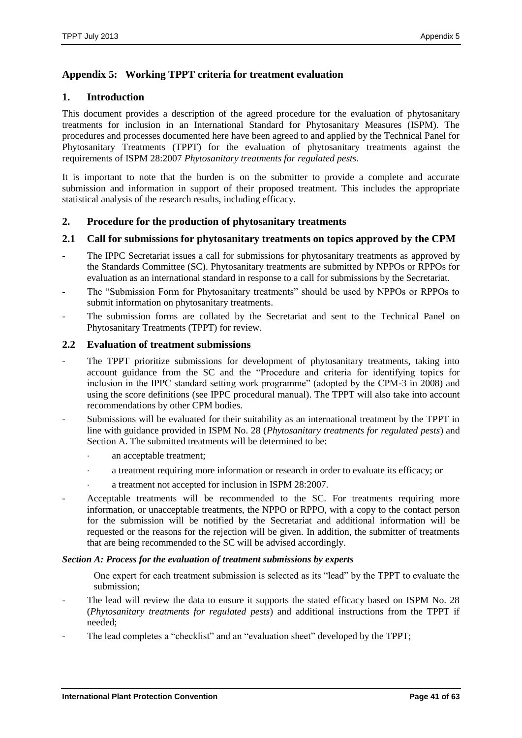# <span id="page-40-0"></span>**Appendix 5: Working TPPT criteria for treatment evaluation**

# **1. Introduction**

This document provides a description of the agreed procedure for the evaluation of phytosanitary treatments for inclusion in an International Standard for Phytosanitary Measures (ISPM). The procedures and processes documented here have been agreed to and applied by the Technical Panel for Phytosanitary Treatments (TPPT) for the evaluation of phytosanitary treatments against the requirements of ISPM 28:2007 *Phytosanitary treatments for regulated pests*.

It is important to note that the burden is on the submitter to provide a complete and accurate submission and information in support of their proposed treatment. This includes the appropriate statistical analysis of the research results, including efficacy.

# **2. Procedure for the production of phytosanitary treatments**

# **2.1 Call for submissions for phytosanitary treatments on topics approved by the CPM**

- The IPPC Secretariat issues a call for submissions for phytosanitary treatments as approved by the Standards Committee (SC). Phytosanitary treatments are submitted by NPPOs or RPPOs for evaluation as an international standard in response to a call for submissions by the Secretariat.
- The "Submission Form for Phytosanitary treatments" should be used by NPPOs or RPPOs to submit information on phytosanitary treatments.
- The submission forms are collated by the Secretariat and sent to the Technical Panel on Phytosanitary Treatments (TPPT) for review.

### **2.2 Evaluation of treatment submissions**

- The TPPT prioritize submissions for development of phytosanitary treatments, taking into account guidance from the SC and the "Procedure and criteria for identifying topics for inclusion in the IPPC standard setting work programme" (adopted by the CPM-3 in 2008) and using the score definitions (see IPPC procedural manual). The TPPT will also take into account recommendations by other CPM bodies.
- Submissions will be evaluated for their suitability as an international treatment by the TPPT in line with guidance provided in ISPM No. 28 (*Phytosanitary treatments for regulated pests*) and Section A. The submitted treatments will be determined to be:
	- an acceptable treatment;
	- a treatment requiring more information or research in order to evaluate its efficacy; or
	- a treatment not accepted for inclusion in ISPM 28:2007.
- Acceptable treatments will be recommended to the SC. For treatments requiring more information, or unacceptable treatments, the NPPO or RPPO, with a copy to the contact person for the submission will be notified by the Secretariat and additional information will be requested or the reasons for the rejection will be given. In addition, the submitter of treatments that are being recommended to the SC will be advised accordingly.

### *Section A: Process for the evaluation of treatment submissions by experts*

One expert for each treatment submission is selected as its "lead" by the TPPT to evaluate the submission;

- The lead will review the data to ensure it supports the stated efficacy based on ISPM No. 28 (*Phytosanitary treatments for regulated pests*) and additional instructions from the TPPT if needed;
- The lead completes a "checklist" and an "evaluation sheet" developed by the TPPT;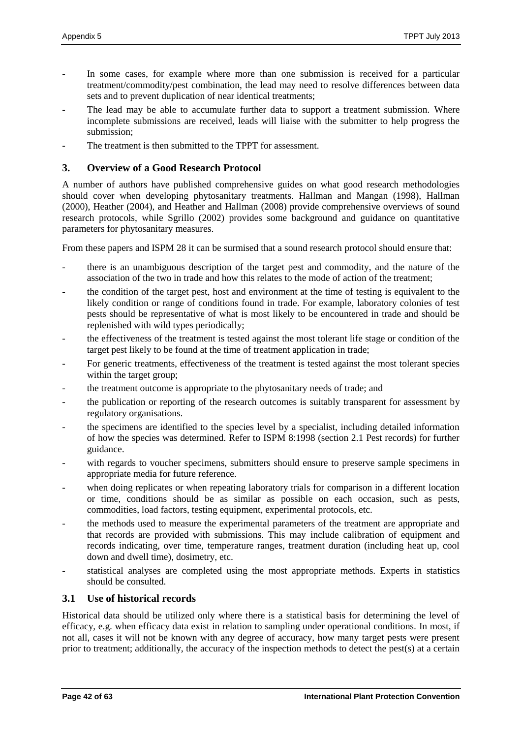- In some cases, for example where more than one submission is received for a particular treatment/commodity/pest combination, the lead may need to resolve differences between data sets and to prevent duplication of near identical treatments;
- The lead may be able to accumulate further data to support a treatment submission. Where incomplete submissions are received, leads will liaise with the submitter to help progress the submission;
- The treatment is then submitted to the TPPT for assessment.

# **3. Overview of a Good Research Protocol**

A number of authors have published comprehensive guides on what good research methodologies should cover when developing phytosanitary treatments. Hallman and Mangan (1998), Hallman (2000), Heather (2004), and Heather and Hallman (2008) provide comprehensive overviews of sound research protocols, while Sgrillo (2002) provides some background and guidance on quantitative parameters for phytosanitary measures.

From these papers and ISPM 28 it can be surmised that a sound research protocol should ensure that:

- there is an unambiguous description of the target pest and commodity, and the nature of the association of the two in trade and how this relates to the mode of action of the treatment;
- the condition of the target pest, host and environment at the time of testing is equivalent to the likely condition or range of conditions found in trade. For example, laboratory colonies of test pests should be representative of what is most likely to be encountered in trade and should be replenished with wild types periodically;
- the effectiveness of the treatment is tested against the most tolerant life stage or condition of the target pest likely to be found at the time of treatment application in trade;
- For generic treatments, effectiveness of the treatment is tested against the most tolerant species within the target group;
- the treatment outcome is appropriate to the phytosanitary needs of trade; and
- the publication or reporting of the research outcomes is suitably transparent for assessment by regulatory organisations.
- the specimens are identified to the species level by a specialist, including detailed information of how the species was determined. Refer to ISPM 8:1998 (section 2.1 Pest records) for further guidance.
- with regards to voucher specimens, submitters should ensure to preserve sample specimens in appropriate media for future reference.
- when doing replicates or when repeating laboratory trials for comparison in a different location or time, conditions should be as similar as possible on each occasion, such as pests, commodities, load factors, testing equipment, experimental protocols, etc.
- the methods used to measure the experimental parameters of the treatment are appropriate and that records are provided with submissions. This may include calibration of equipment and records indicating, over time, temperature ranges, treatment duration (including heat up, cool down and dwell time), dosimetry, etc.
- statistical analyses are completed using the most appropriate methods. Experts in statistics should be consulted.

# **3.1 Use of historical records**

Historical data should be utilized only where there is a statistical basis for determining the level of efficacy, e.g. when efficacy data exist in relation to sampling under operational conditions. In most, if not all, cases it will not be known with any degree of accuracy, how many target pests were present prior to treatment; additionally, the accuracy of the inspection methods to detect the pest(s) at a certain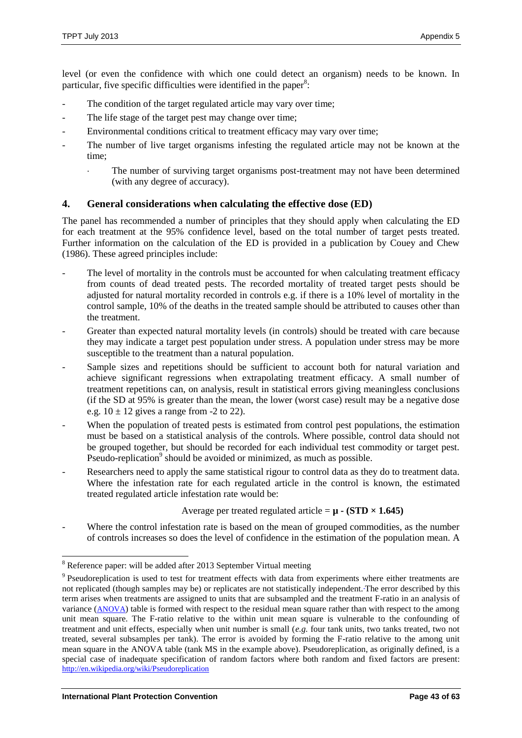level (or even the confidence with which one could detect an organism) needs to be known. In particular, five specific difficulties were identified in the paper<sup>8</sup>:

- The condition of the target regulated article may vary over time;
- The life stage of the target pest may change over time;
- Environmental conditions critical to treatment efficacy may vary over time;
- The number of live target organisms infesting the regulated article may not be known at the time;
	- The number of surviving target organisms post-treatment may not have been determined (with any degree of accuracy).

### **4. General considerations when calculating the effective dose (ED)**

The panel has recommended a number of principles that they should apply when calculating the ED for each treatment at the 95% confidence level, based on the total number of target pests treated. Further information on the calculation of the ED is provided in a publication by Couey and Chew (1986). These agreed principles include:

- The level of mortality in the controls must be accounted for when calculating treatment efficacy from counts of dead treated pests. The recorded mortality of treated target pests should be adjusted for natural mortality recorded in controls e.g. if there is a 10% level of mortality in the control sample, 10% of the deaths in the treated sample should be attributed to causes other than the treatment.
- Greater than expected natural mortality levels (in controls) should be treated with care because they may indicate a target pest population under stress. A population under stress may be more susceptible to the treatment than a natural population.
- Sample sizes and repetitions should be sufficient to account both for natural variation and achieve significant regressions when extrapolating treatment efficacy. A small number of treatment repetitions can, on analysis, result in statistical errors giving meaningless conclusions (if the SD at 95% is greater than the mean, the lower (worst case) result may be a negative dose e.g.  $10 \pm 12$  gives a range from -2 to 22).
- When the population of treated pests is estimated from control pest populations, the estimation must be based on a statistical analysis of the controls. Where possible, control data should not be grouped together, but should be recorded for each individual test commodity or target pest. Pseudo-replication<sup>9</sup> should be avoided or minimized, as much as possible.
- Researchers need to apply the same statistical rigour to control data as they do to treatment data. Where the infestation rate for each regulated article in the control is known, the estimated treated regulated article infestation rate would be:

Average per treated regulated article =  $\mu$  - **(STD × 1.645)** 

Where the control infestation rate is based on the mean of grouped commodities, as the number of controls increases so does the level of confidence in the estimation of the population mean. A

l <sup>8</sup> Reference paper: will be added after 2013 September Virtual meeting

 $9$  Pseudoreplication is used to test for treatment effects with data from experiments where either treatments are not replicated (though samples may be) or replicates are not statistically independent. The error described by this term arises when treatments are assigned to units that are subsampled and the treatment F-ratio in an analysis of variance ([ANOVA](http://en.wikipedia.org/wiki/ANOVA)) table is formed with respect to the residual mean square rather than with respect to the among unit mean square. The F-ratio relative to the within unit mean square is vulnerable to the confounding of treatment and unit effects, especially when unit number is small (*e.g.* four tank units, two tanks treated, two not treated, several subsamples per tank). The error is avoided by forming the F-ratio relative to the among unit mean square in the ANOVA table (tank MS in the example above). Pseudoreplication, as originally defined, is a special case of inadequate specification of random factors where both random and fixed factors are present: <http://en.wikipedia.org/wiki/Pseudoreplication>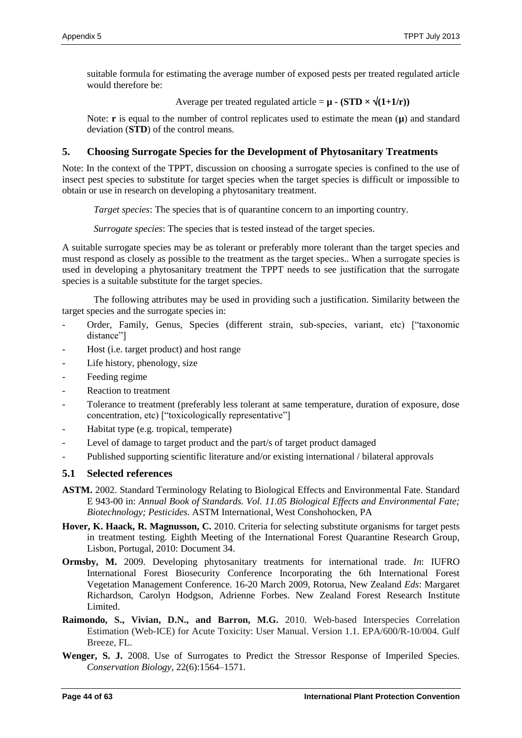suitable formula for estimating the average number of exposed pests per treated regulated article would therefore be:

Average per treated regulated article =  $\mathbf{u}$  - (STD  $\times \sqrt{(1+1/r)}$ )

Note: **r** is equal to the number of control replicates used to estimate the mean  $(\mu)$  and standard deviation (**STD**) of the control means.

# **5. Choosing Surrogate Species for the Development of Phytosanitary Treatments**

Note: In the context of the TPPT, discussion on choosing a surrogate species is confined to the use of insect pest species to substitute for target species when the target species is difficult or impossible to obtain or use in research on developing a phytosanitary treatment.

*Target species*: The species that is of quarantine concern to an importing country.

*Surrogate species*: The species that is tested instead of the target species.

A suitable surrogate species may be as tolerant or preferably more tolerant than the target species and must respond as closely as possible to the treatment as the target species.. When a surrogate species is used in developing a phytosanitary treatment the TPPT needs to see justification that the surrogate species is a suitable substitute for the target species.

The following attributes may be used in providing such a justification. Similarity between the target species and the surrogate species in:

- Order, Family, Genus, Species (different strain, sub-species, variant, etc) ["taxonomic distance"]
- Host (i.e. target product) and host range
- Life history, phenology, size
- Feeding regime
- Reaction to treatment
- Tolerance to treatment (preferably less tolerant at same temperature, duration of exposure, dose concentration, etc) ["toxicologically representative"]
- Habitat type (e.g. tropical, temperate)
- Level of damage to target product and the part/s of target product damaged
- Published supporting scientific literature and/or existing international / bilateral approvals

# **5.1 Selected references**

- **ASTM.** 2002. Standard Terminology Relating to Biological Effects and Environmental Fate. Standard E 943-00 in: *Annual Book of Standards. Vol. 11.05 Biological Effects and Environmental Fate; Biotechnology; Pesticides.* ASTM International, West Conshohocken, PA
- **Hover, K. Haack, R. Magnusson, C.** 2010. Criteria for selecting substitute organisms for target pests in treatment testing. Eighth Meeting of the International Forest Quarantine Research Group, Lisbon, Portugal, 2010: Document 34.
- **Ormsby, M.** 2009. Developing phytosanitary treatments for international trade. *In*: IUFRO International Forest Biosecurity Conference Incorporating the 6th International Forest Vegetation Management Conference. 16-20 March 2009, Rotorua, New Zealand *Eds*: Margaret Richardson, Carolyn Hodgson, Adrienne Forbes. New Zealand Forest Research Institute Limited.
- **Raimondo, S., Vivian, D.N., and Barron, M.G.** 2010. Web-based Interspecies Correlation Estimation (Web-ICE) for Acute Toxicity: User Manual. Version 1.1. EPA/600/R-10/004. Gulf Breeze, FL.
- Wenger, S. J. 2008. Use of Surrogates to Predict the Stressor Response of Imperiled Species. *Conservation Biology*, 22(6):1564–1571.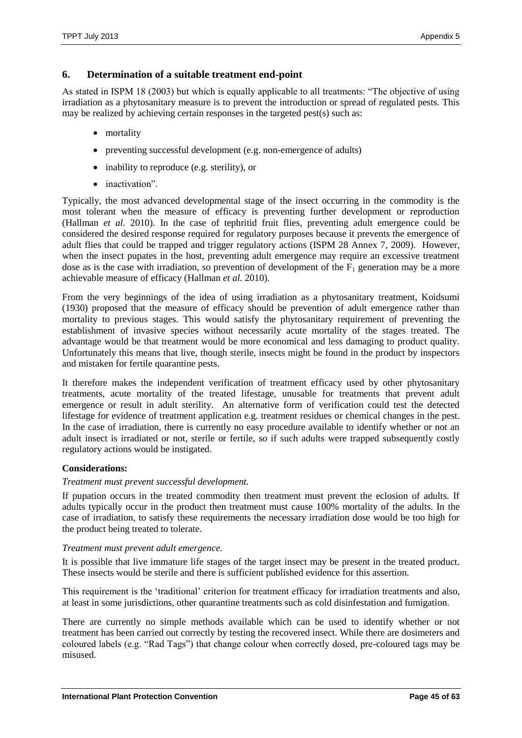### **6. Determination of a suitable treatment end-point**

As stated in ISPM 18 (2003) but which is equally applicable to all treatments: "The objective of using irradiation as a phytosanitary measure is to prevent the introduction or spread of regulated pests. This may be realized by achieving certain responses in the targeted pest(s) such as:

- mortality
- preventing successful development (e.g. non-emergence of adults)
- inability to reproduce (e.g. sterility), or
- inactivation".

Typically, the most advanced developmental stage of the insect occurring in the commodity is the most tolerant when the measure of efficacy is preventing further development or reproduction (Hallman *et al.* 2010). In the case of tephritid fruit flies, preventing adult emergence could be considered the desired response required for regulatory purposes because it prevents the emergence of adult flies that could be trapped and trigger regulatory actions (ISPM 28 Annex 7, 2009). However, when the insect pupates in the host, preventing adult emergence may require an excessive treatment dose as is the case with irradiation, so prevention of development of the  $F_1$  generation may be a more achievable measure of efficacy (Hallman *et al.* 2010).

From the very beginnings of the idea of using irradiation as a phytosanitary treatment, Koidsumi (1930) proposed that the measure of efficacy should be prevention of adult emergence rather than mortality to previous stages. This would satisfy the phytosanitary requirement of preventing the establishment of invasive species without necessarily acute mortality of the stages treated. The advantage would be that treatment would be more economical and less damaging to product quality. Unfortunately this means that live, though sterile, insects might be found in the product by inspectors and mistaken for fertile quarantine pests.

It therefore makes the independent verification of treatment efficacy used by other phytosanitary treatments, acute mortality of the treated lifestage, unusable for treatments that prevent adult emergence or result in adult sterility. An alternative form of verification could test the detected lifestage for evidence of treatment application e.g. treatment residues or chemical changes in the pest. In the case of irradiation, there is currently no easy procedure available to identify whether or not an adult insect is irradiated or not, sterile or fertile, so if such adults were trapped subsequently costly regulatory actions would be instigated.

### **Considerations:**

### *Treatment must prevent successful development.*

If pupation occurs in the treated commodity then treatment must prevent the eclosion of adults. If adults typically occur in the product then treatment must cause 100% mortality of the adults. In the case of irradiation, to satisfy these requirements the necessary irradiation dose would be too high for the product being treated to tolerate.

### *Treatment must prevent adult emergence.*

It is possible that live immature life stages of the target insect may be present in the treated product. These insects would be sterile and there is sufficient published evidence for this assertion.

This requirement is the 'traditional' criterion for treatment efficacy for irradiation treatments and also, at least in some jurisdictions, other quarantine treatments such as cold disinfestation and fumigation.

There are currently no simple methods available which can be used to identify whether or not treatment has been carried out correctly by testing the recovered insect. While there are dosimeters and coloured labels (e.g. "Rad Tags") that change colour when correctly dosed, pre-coloured tags may be misused.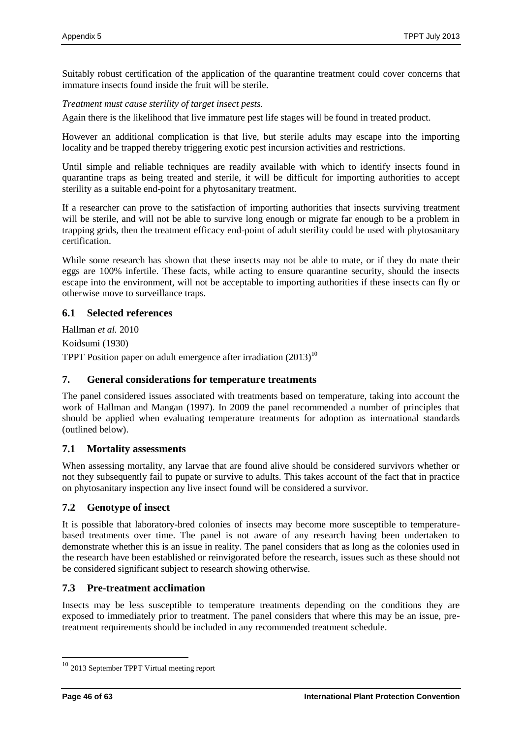Suitably robust certification of the application of the quarantine treatment could cover concerns that immature insects found inside the fruit will be sterile.

*Treatment must cause sterility of target insect pests.*

Again there is the likelihood that live immature pest life stages will be found in treated product.

However an additional complication is that live, but sterile adults may escape into the importing locality and be trapped thereby triggering exotic pest incursion activities and restrictions.

Until simple and reliable techniques are readily available with which to identify insects found in quarantine traps as being treated and sterile, it will be difficult for importing authorities to accept sterility as a suitable end-point for a phytosanitary treatment.

If a researcher can prove to the satisfaction of importing authorities that insects surviving treatment will be sterile, and will not be able to survive long enough or migrate far enough to be a problem in trapping grids, then the treatment efficacy end-point of adult sterility could be used with phytosanitary certification.

While some research has shown that these insects may not be able to mate, or if they do mate their eggs are 100% infertile. These facts, while acting to ensure quarantine security, should the insects escape into the environment, will not be acceptable to importing authorities if these insects can fly or otherwise move to surveillance traps.

# **6.1 Selected references**

Hallman *et al.* 2010 Koidsumi (1930) TPPT Position paper on adult emergence after irradiation  $(2013)^{10}$ 

### **7. General considerations for temperature treatments**

The panel considered issues associated with treatments based on temperature, taking into account the work of Hallman and Mangan (1997). In 2009 the panel recommended a number of principles that should be applied when evaluating temperature treatments for adoption as international standards (outlined below).

### **7.1 Mortality assessments**

When assessing mortality, any larvae that are found alive should be considered survivors whether or not they subsequently fail to pupate or survive to adults. This takes account of the fact that in practice on phytosanitary inspection any live insect found will be considered a survivor.

### **7.2 Genotype of insect**

It is possible that laboratory-bred colonies of insects may become more susceptible to temperaturebased treatments over time. The panel is not aware of any research having been undertaken to demonstrate whether this is an issue in reality. The panel considers that as long as the colonies used in the research have been established or reinvigorated before the research, issues such as these should not be considered significant subject to research showing otherwise.

### **7.3 Pre-treatment acclimation**

Insects may be less susceptible to temperature treatments depending on the conditions they are exposed to immediately prior to treatment. The panel considers that where this may be an issue, pretreatment requirements should be included in any recommended treatment schedule.

 $\overline{a}$ 

 $10$  2013 September TPPT Virtual meeting report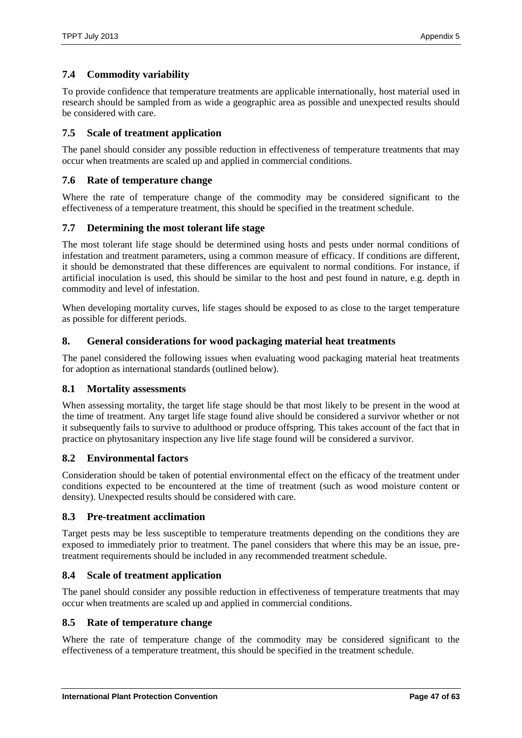# **7.4 Commodity variability**

To provide confidence that temperature treatments are applicable internationally, host material used in research should be sampled from as wide a geographic area as possible and unexpected results should be considered with care.

# **7.5 Scale of treatment application**

The panel should consider any possible reduction in effectiveness of temperature treatments that may occur when treatments are scaled up and applied in commercial conditions.

# **7.6 Rate of temperature change**

Where the rate of temperature change of the commodity may be considered significant to the effectiveness of a temperature treatment, this should be specified in the treatment schedule.

# **7.7 Determining the most tolerant life stage**

The most tolerant life stage should be determined using hosts and pests under normal conditions of infestation and treatment parameters, using a common measure of efficacy. If conditions are different, it should be demonstrated that these differences are equivalent to normal conditions. For instance, if artificial inoculation is used, this should be similar to the host and pest found in nature, e.g. depth in commodity and level of infestation.

When developing mortality curves, life stages should be exposed to as close to the target temperature as possible for different periods.

# **8. General considerations for wood packaging material heat treatments**

The panel considered the following issues when evaluating wood packaging material heat treatments for adoption as international standards (outlined below).

# **8.1 Mortality assessments**

When assessing mortality, the target life stage should be that most likely to be present in the wood at the time of treatment. Any target life stage found alive should be considered a survivor whether or not it subsequently fails to survive to adulthood or produce offspring. This takes account of the fact that in practice on phytosanitary inspection any live life stage found will be considered a survivor.

# **8.2 Environmental factors**

Consideration should be taken of potential environmental effect on the efficacy of the treatment under conditions expected to be encountered at the time of treatment (such as wood moisture content or density). Unexpected results should be considered with care.

# **8.3 Pre-treatment acclimation**

Target pests may be less susceptible to temperature treatments depending on the conditions they are exposed to immediately prior to treatment. The panel considers that where this may be an issue, pretreatment requirements should be included in any recommended treatment schedule.

# **8.4 Scale of treatment application**

The panel should consider any possible reduction in effectiveness of temperature treatments that may occur when treatments are scaled up and applied in commercial conditions.

# **8.5 Rate of temperature change**

Where the rate of temperature change of the commodity may be considered significant to the effectiveness of a temperature treatment, this should be specified in the treatment schedule.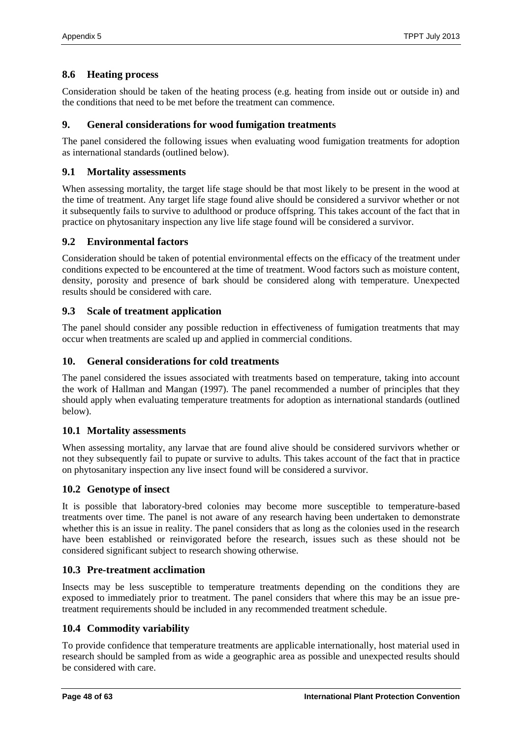# **8.6 Heating process**

Consideration should be taken of the heating process (e.g. heating from inside out or outside in) and the conditions that need to be met before the treatment can commence.

# **9. General considerations for wood fumigation treatments**

The panel considered the following issues when evaluating wood fumigation treatments for adoption as international standards (outlined below).

# **9.1 Mortality assessments**

When assessing mortality, the target life stage should be that most likely to be present in the wood at the time of treatment. Any target life stage found alive should be considered a survivor whether or not it subsequently fails to survive to adulthood or produce offspring. This takes account of the fact that in practice on phytosanitary inspection any live life stage found will be considered a survivor.

# **9.2 Environmental factors**

Consideration should be taken of potential environmental effects on the efficacy of the treatment under conditions expected to be encountered at the time of treatment. Wood factors such as moisture content, density, porosity and presence of bark should be considered along with temperature. Unexpected results should be considered with care.

# **9.3 Scale of treatment application**

The panel should consider any possible reduction in effectiveness of fumigation treatments that may occur when treatments are scaled up and applied in commercial conditions.

# **10. General considerations for cold treatments**

The panel considered the issues associated with treatments based on temperature, taking into account the work of Hallman and Mangan (1997). The panel recommended a number of principles that they should apply when evaluating temperature treatments for adoption as international standards (outlined below).

# **10.1 Mortality assessments**

When assessing mortality, any larvae that are found alive should be considered survivors whether or not they subsequently fail to pupate or survive to adults. This takes account of the fact that in practice on phytosanitary inspection any live insect found will be considered a survivor.

# **10.2 Genotype of insect**

It is possible that laboratory-bred colonies may become more susceptible to temperature-based treatments over time. The panel is not aware of any research having been undertaken to demonstrate whether this is an issue in reality. The panel considers that as long as the colonies used in the research have been established or reinvigorated before the research, issues such as these should not be considered significant subject to research showing otherwise.

# **10.3 Pre-treatment acclimation**

Insects may be less susceptible to temperature treatments depending on the conditions they are exposed to immediately prior to treatment. The panel considers that where this may be an issue pretreatment requirements should be included in any recommended treatment schedule.

# **10.4 Commodity variability**

To provide confidence that temperature treatments are applicable internationally, host material used in research should be sampled from as wide a geographic area as possible and unexpected results should be considered with care.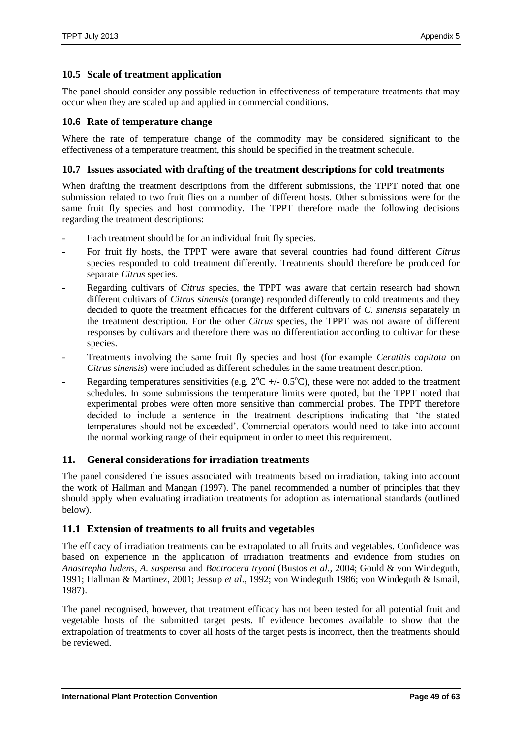# **10.5 Scale of treatment application**

The panel should consider any possible reduction in effectiveness of temperature treatments that may occur when they are scaled up and applied in commercial conditions.

# **10.6 Rate of temperature change**

Where the rate of temperature change of the commodity may be considered significant to the effectiveness of a temperature treatment, this should be specified in the treatment schedule.

# **10.7 Issues associated with drafting of the treatment descriptions for cold treatments**

When drafting the treatment descriptions from the different submissions, the TPPT noted that one submission related to two fruit flies on a number of different hosts. Other submissions were for the same fruit fly species and host commodity. The TPPT therefore made the following decisions regarding the treatment descriptions:

- Each treatment should be for an individual fruit fly species.
- For fruit fly hosts, the TPPT were aware that several countries had found different *Citrus* species responded to cold treatment differently. Treatments should therefore be produced for separate *Citrus* species.
- Regarding cultivars of *Citrus* species, the TPPT was aware that certain research had shown different cultivars of *Citrus sinensis* (orange) responded differently to cold treatments and they decided to quote the treatment efficacies for the different cultivars of *C. sinensis* separately in the treatment description. For the other *Citrus* species, the TPPT was not aware of different responses by cultivars and therefore there was no differentiation according to cultivar for these species.
- Treatments involving the same fruit fly species and host (for example *Ceratitis capitata* on *Citrus sinensis*) were included as different schedules in the same treatment description.
- Regarding temperatures sensitivities (e.g.  $2^{\circ}\text{C}$  +/- 0.5<sup>o</sup>C), these were not added to the treatment schedules. In some submissions the temperature limits were quoted, but the TPPT noted that experimental probes were often more sensitive than commercial probes. The TPPT therefore decided to include a sentence in the treatment descriptions indicating that 'the stated temperatures should not be exceeded'. Commercial operators would need to take into account the normal working range of their equipment in order to meet this requirement.

# **11. General considerations for irradiation treatments**

The panel considered the issues associated with treatments based on irradiation, taking into account the work of Hallman and Mangan (1997). The panel recommended a number of principles that they should apply when evaluating irradiation treatments for adoption as international standards (outlined below).

# **11.1 Extension of treatments to all fruits and vegetables**

The efficacy of irradiation treatments can be extrapolated to all fruits and vegetables. Confidence was based on experience in the application of irradiation treatments and evidence from studies on *Anastrepha ludens, A. suspensa* and *Bactrocera tryoni* (Bustos *et al*., 2004; Gould & von Windeguth, 1991; Hallman & Martinez, 2001; Jessup *et al*., 1992; von Windeguth 1986; von Windeguth & Ismail, 1987).

The panel recognised, however, that treatment efficacy has not been tested for all potential fruit and vegetable hosts of the submitted target pests. If evidence becomes available to show that the extrapolation of treatments to cover all hosts of the target pests is incorrect, then the treatments should be reviewed.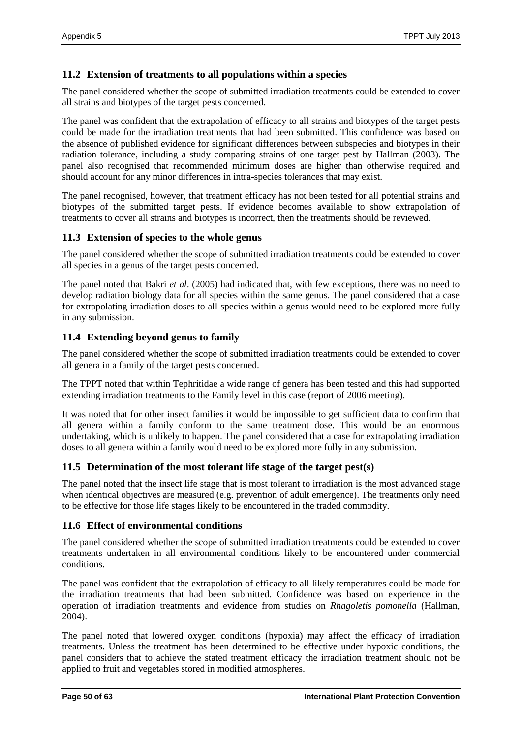### **11.2 Extension of treatments to all populations within a species**

The panel considered whether the scope of submitted irradiation treatments could be extended to cover all strains and biotypes of the target pests concerned.

The panel was confident that the extrapolation of efficacy to all strains and biotypes of the target pests could be made for the irradiation treatments that had been submitted. This confidence was based on the absence of published evidence for significant differences between subspecies and biotypes in their radiation tolerance, including a study comparing strains of one target pest by Hallman (2003). The panel also recognised that recommended minimum doses are higher than otherwise required and should account for any minor differences in intra-species tolerances that may exist.

The panel recognised, however, that treatment efficacy has not been tested for all potential strains and biotypes of the submitted target pests. If evidence becomes available to show extrapolation of treatments to cover all strains and biotypes is incorrect, then the treatments should be reviewed.

### **11.3 Extension of species to the whole genus**

The panel considered whether the scope of submitted irradiation treatments could be extended to cover all species in a genus of the target pests concerned.

The panel noted that Bakri *et al*. (2005) had indicated that, with few exceptions, there was no need to develop radiation biology data for all species within the same genus. The panel considered that a case for extrapolating irradiation doses to all species within a genus would need to be explored more fully in any submission.

### **11.4 Extending beyond genus to family**

The panel considered whether the scope of submitted irradiation treatments could be extended to cover all genera in a family of the target pests concerned.

The TPPT noted that within Tephritidae a wide range of genera has been tested and this had supported extending irradiation treatments to the Family level in this case (report of 2006 meeting).

It was noted that for other insect families it would be impossible to get sufficient data to confirm that all genera within a family conform to the same treatment dose. This would be an enormous undertaking, which is unlikely to happen. The panel considered that a case for extrapolating irradiation doses to all genera within a family would need to be explored more fully in any submission.

### **11.5 Determination of the most tolerant life stage of the target pest(s)**

The panel noted that the insect life stage that is most tolerant to irradiation is the most advanced stage when identical objectives are measured (e.g. prevention of adult emergence). The treatments only need to be effective for those life stages likely to be encountered in the traded commodity.

### **11.6 Effect of environmental conditions**

The panel considered whether the scope of submitted irradiation treatments could be extended to cover treatments undertaken in all environmental conditions likely to be encountered under commercial conditions.

The panel was confident that the extrapolation of efficacy to all likely temperatures could be made for the irradiation treatments that had been submitted. Confidence was based on experience in the operation of irradiation treatments and evidence from studies on *Rhagoletis pomonella* (Hallman, 2004).

The panel noted that lowered oxygen conditions (hypoxia) may affect the efficacy of irradiation treatments. Unless the treatment has been determined to be effective under hypoxic conditions, the panel considers that to achieve the stated treatment efficacy the irradiation treatment should not be applied to fruit and vegetables stored in modified atmospheres.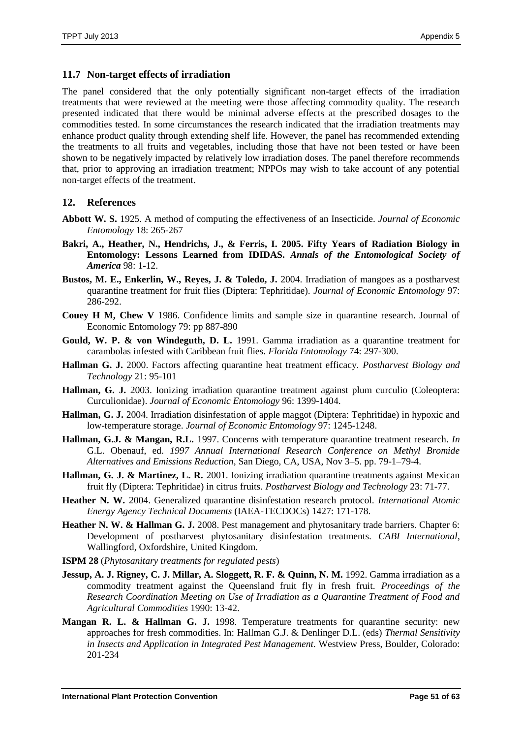### **11.7 Non-target effects of irradiation**

The panel considered that the only potentially significant non-target effects of the irradiation treatments that were reviewed at the meeting were those affecting commodity quality. The research presented indicated that there would be minimal adverse effects at the prescribed dosages to the commodities tested. In some circumstances the research indicated that the irradiation treatments may enhance product quality through extending shelf life. However, the panel has recommended extending the treatments to all fruits and vegetables, including those that have not been tested or have been shown to be negatively impacted by relatively low irradiation doses. The panel therefore recommends that, prior to approving an irradiation treatment; NPPOs may wish to take account of any potential non-target effects of the treatment.

### **12. References**

- **Abbott W. S.** 1925. A method of computing the effectiveness of an Insecticide. *Journal of Economic Entomology* 18: 265-267
- **Bakri, A., Heather, N., Hendrichs, J., & Ferris, I. 2005. Fifty Years of Radiation Biology in Entomology: Lessons Learned from IDIDAS.** *Annals of the Entomological Society of America* 98: 1-12.
- **Bustos, M. E., Enkerlin, W., Reyes, J. & Toledo, J.** 2004. Irradiation of mangoes as a postharvest quarantine treatment for fruit flies (Diptera: Tephritidae). *Journal of Economic Entomology* 97: 286-292.
- **Couey H M, Chew V** 1986. Confidence limits and sample size in quarantine research. Journal of Economic Entomology 79: pp 887-890
- **Gould, W. P. & von Windeguth, D. L.** 1991. Gamma irradiation as a quarantine treatment for carambolas infested with Caribbean fruit flies. *Florida Entomology* 74: 297-300.
- **Hallman G. J.** 2000. Factors affecting quarantine heat treatment efficacy. *Postharvest Biology and Technology* 21: 95-101
- **Hallman, G. J.** 2003. Ionizing irradiation quarantine treatment against plum curculio (Coleoptera: Curculionidae). *Journal of Economic Entomology* 96: 1399-1404.
- **Hallman, G. J.** 2004. Irradiation disinfestation of apple maggot (Diptera: Tephritidae) in hypoxic and low-temperature storage. *Journal of Economic Entomology* 97: 1245-1248.
- **Hallman, G.J. & Mangan, R.L.** 1997. Concerns with temperature quarantine treatment research. *In* G.L. Obenauf, ed. *1997 Annual International Research Conference on Methyl Bromide Alternatives and Emissions Reduction*, San Diego, CA, USA, Nov 3–5. pp. 79-1–79-4.
- **Hallman, G. J. & Martinez, L. R.** 2001. Ionizing irradiation quarantine treatments against Mexican fruit fly (Diptera: Tephritidae) in citrus fruits. *Postharvest Biology and Technology* 23: 71-77.
- **Heather N. W.** 2004. Generalized quarantine disinfestation research protocol. *International Atomic Energy Agency Technical Documents* (IAEA-TECDOCs) 1427: 171-178.
- **Heather N. W. & Hallman G. J.** 2008. Pest management and phytosanitary trade barriers. Chapter 6: Development of postharvest phytosanitary disinfestation treatments. *CABI International*, Wallingford, Oxfordshire, United Kingdom.
- **ISPM 28** (*Phytosanitary treatments for regulated pests*)
- **Jessup, A. J. Rigney, C. J. Millar, A. Sloggett, R. F. & Quinn, N. M.** 1992. Gamma irradiation as a commodity treatment against the Queensland fruit fly in fresh fruit. *Proceedings of the Research Coordination Meeting on Use of Irradiation as a Quarantine Treatment of Food and Agricultural Commodities* 1990: 13-42.
- **Mangan R. L. & Hallman G. J.** 1998. Temperature treatments for quarantine security: new approaches for fresh commodities. In: Hallman G.J. & Denlinger D.L. (eds) *Thermal Sensitivity in Insects and Application in Integrated Pest Management.* Westview Press, Boulder, Colorado: 201-234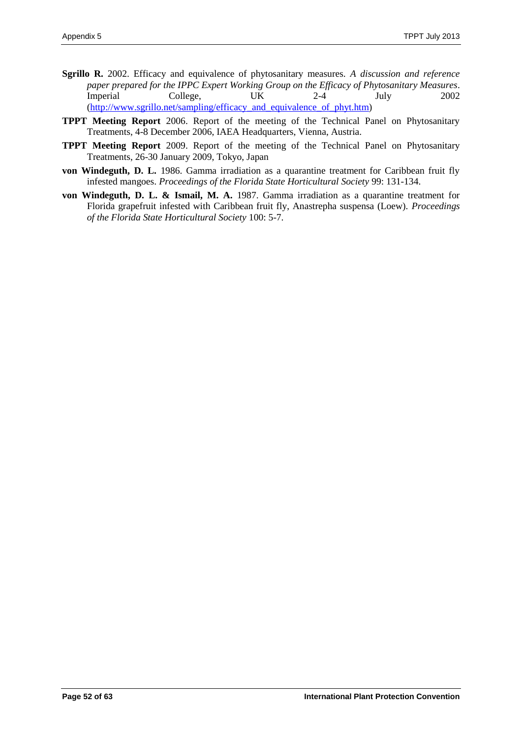- **Sgrillo R.** 2002. Efficacy and equivalence of phytosanitary measures. *A discussion and reference paper prepared for the IPPC Expert Working Group on the Efficacy of Phytosanitary Measures*. Imperial College, UK 2-4 July 2002 [\(http://www.sgrillo.net/sampling/efficacy\\_and\\_equivalence\\_of\\_phyt.htm\)](http://www.sgrillo.net/sampling/efficacy_and_equivalence_of_phyt.htm)
- **TPPT Meeting Report** 2006. Report of the meeting of the Technical Panel on Phytosanitary Treatments, 4-8 December 2006, IAEA Headquarters, Vienna, Austria.
- **TPPT Meeting Report** 2009. Report of the meeting of the Technical Panel on Phytosanitary Treatments, 26-30 January 2009, Tokyo, Japan
- **von Windeguth, D. L.** 1986. Gamma irradiation as a quarantine treatment for Caribbean fruit fly infested mangoes. *Proceedings of the Florida State Horticultural Society* 99: 131-134.
- **von Windeguth, D. L. & Ismail, M. A.** 1987. Gamma irradiation as a quarantine treatment for Florida grapefruit infested with Caribbean fruit fly, Anastrepha suspensa (Loew). *Proceedings of the Florida State Horticultural Society* 100: 5-7.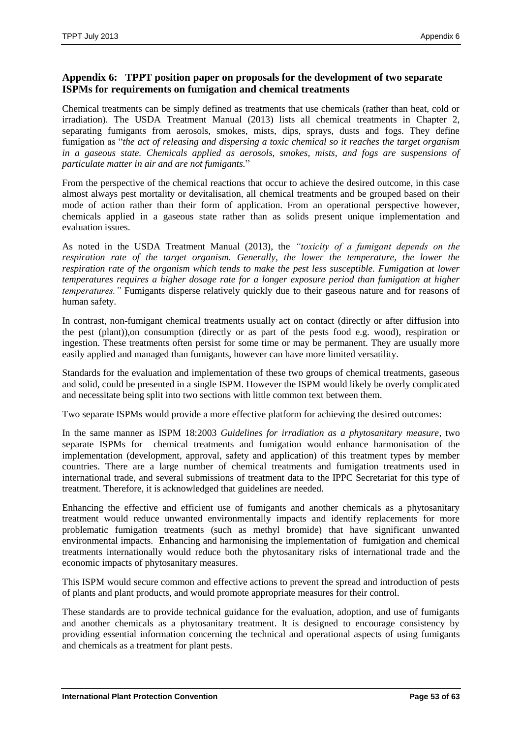# <span id="page-52-0"></span>**Appendix 6: TPPT position paper on proposals for the development of two separate ISPMs for requirements on fumigation and chemical treatments**

Chemical treatments can be simply defined as treatments that use chemicals (rather than heat, cold or irradiation). The USDA Treatment Manual (2013) lists all chemical treatments in Chapter 2, separating fumigants from aerosols, smokes, mists, dips, sprays, dusts and fogs. They define fumigation as "*the act of releasing and dispersing a toxic chemical so it reaches the target organism in a gaseous state. Chemicals applied as aerosols, smokes, mists, and fogs are suspensions of particulate matter in air and are not fumigants.*"

From the perspective of the chemical reactions that occur to achieve the desired outcome, in this case almost always pest mortality or devitalisation, all chemical treatments and be grouped based on their mode of action rather than their form of application. From an operational perspective however, chemicals applied in a gaseous state rather than as solids present unique implementation and evaluation issues.

As noted in the USDA Treatment Manual (2013), the *"toxicity of a fumigant depends on the respiration rate of the target organism. Generally, the lower the temperature, the lower the respiration rate of the organism which tends to make the pest less susceptible. Fumigation at lower temperatures requires a higher dosage rate for a longer exposure period than fumigation at higher temperatures."* Fumigants disperse relatively quickly due to their gaseous nature and for reasons of human safety.

In contrast, non-fumigant chemical treatments usually act on contact (directly or after diffusion into the pest (plant)),on consumption (directly or as part of the pests food e.g. wood), respiration or ingestion. These treatments often persist for some time or may be permanent. They are usually more easily applied and managed than fumigants, however can have more limited versatility.

Standards for the evaluation and implementation of these two groups of chemical treatments, gaseous and solid, could be presented in a single ISPM. However the ISPM would likely be overly complicated and necessitate being split into two sections with little common text between them.

Two separate ISPMs would provide a more effective platform for achieving the desired outcomes:

In the same manner as ISPM 18:2003 *Guidelines for irradiation as a phytosanitary measure*, two separate ISPMs for chemical treatments and fumigation would enhance harmonisation of the implementation (development, approval, safety and application) of this treatment types by member countries. There are a large number of chemical treatments and fumigation treatments used in international trade, and several submissions of treatment data to the IPPC Secretariat for this type of treatment. Therefore, it is acknowledged that guidelines are needed.

Enhancing the effective and efficient use of fumigants and another chemicals as a phytosanitary treatment would reduce unwanted environmentally impacts and identify replacements for more problematic fumigation treatments (such as methyl bromide) that have significant unwanted environmental impacts. Enhancing and harmonising the implementation of fumigation and chemical treatments internationally would reduce both the phytosanitary risks of international trade and the economic impacts of phytosanitary measures.

This ISPM would secure common and effective actions to prevent the spread and introduction of pests of plants and plant products, and would promote appropriate measures for their control.

These standards are to provide technical guidance for the evaluation, adoption, and use of fumigants and another chemicals as a phytosanitary treatment. It is designed to encourage consistency by providing essential information concerning the technical and operational aspects of using fumigants and chemicals as a treatment for plant pests.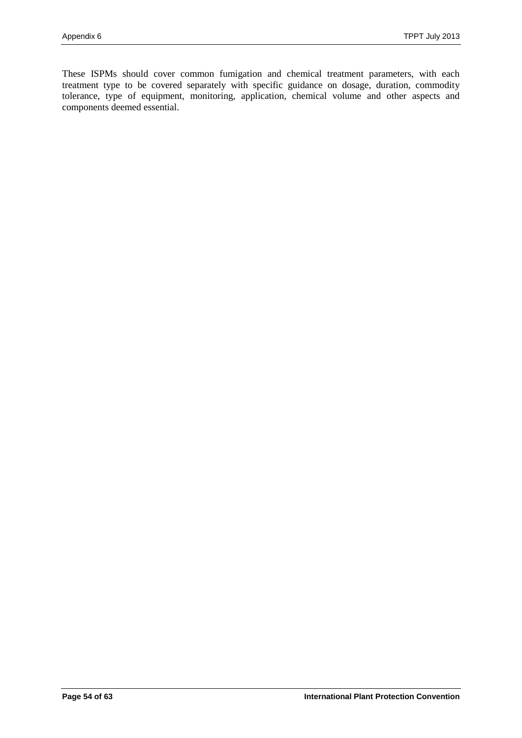These ISPMs should cover common fumigation and chemical treatment parameters, with each treatment type to be covered separately with specific guidance on dosage, duration, commodity tolerance, type of equipment, monitoring, application, chemical volume and other aspects and components deemed essential.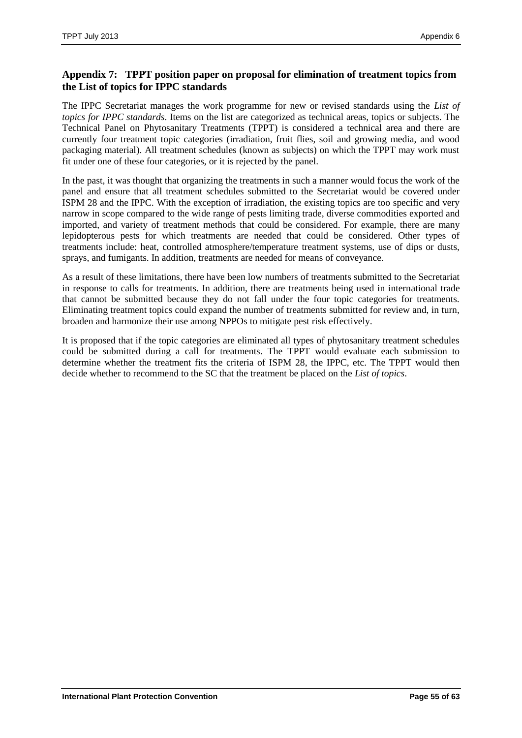# <span id="page-54-0"></span>**Appendix 7: TPPT position paper on proposal for elimination of treatment topics from the List of topics for IPPC standards**

The IPPC Secretariat manages the work programme for new or revised standards using the *List of topics for IPPC standards*. Items on the list are categorized as technical areas, topics or subjects. The Technical Panel on Phytosanitary Treatments (TPPT) is considered a technical area and there are currently four treatment topic categories (irradiation, fruit flies, soil and growing media, and wood packaging material). All treatment schedules (known as subjects) on which the TPPT may work must fit under one of these four categories, or it is rejected by the panel.

In the past, it was thought that organizing the treatments in such a manner would focus the work of the panel and ensure that all treatment schedules submitted to the Secretariat would be covered under ISPM 28 and the IPPC. With the exception of irradiation, the existing topics are too specific and very narrow in scope compared to the wide range of pests limiting trade, diverse commodities exported and imported, and variety of treatment methods that could be considered. For example, there are many lepidopterous pests for which treatments are needed that could be considered. Other types of treatments include: heat, controlled atmosphere/temperature treatment systems, use of dips or dusts, sprays, and fumigants. In addition, treatments are needed for means of conveyance.

As a result of these limitations, there have been low numbers of treatments submitted to the Secretariat in response to calls for treatments. In addition, there are treatments being used in international trade that cannot be submitted because they do not fall under the four topic categories for treatments. Eliminating treatment topics could expand the number of treatments submitted for review and, in turn, broaden and harmonize their use among NPPOs to mitigate pest risk effectively.

It is proposed that if the topic categories are eliminated all types of phytosanitary treatment schedules could be submitted during a call for treatments. The TPPT would evaluate each submission to determine whether the treatment fits the criteria of ISPM 28, the IPPC, etc. The TPPT would then decide whether to recommend to the SC that the treatment be placed on the *List of topics*.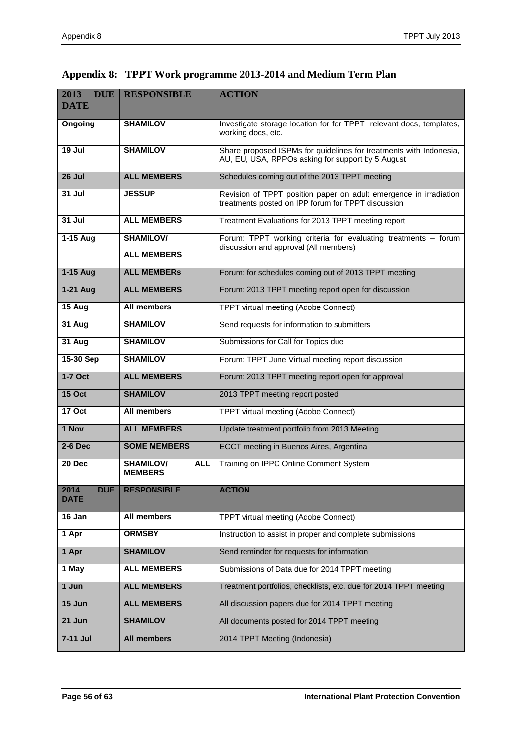| 2013<br><b>DUE</b><br><b>DATE</b> | <b>RESPONSIBLE</b>                               | <b>ACTION</b>                                                                                                           |  |  |
|-----------------------------------|--------------------------------------------------|-------------------------------------------------------------------------------------------------------------------------|--|--|
| Ongoing                           | <b>SHAMILOV</b>                                  | Investigate storage location for for TPPT relevant docs, templates,<br>working docs, etc.                               |  |  |
| 19 Jul                            | <b>SHAMILOV</b>                                  | Share proposed ISPMs for guidelines for treatments with Indonesia,<br>AU, EU, USA, RPPOs asking for support by 5 August |  |  |
| 26 Jul                            | <b>ALL MEMBERS</b>                               | Schedules coming out of the 2013 TPPT meeting                                                                           |  |  |
| 31 Jul                            | <b>JESSUP</b>                                    | Revision of TPPT position paper on adult emergence in irradiation<br>treatments posted on IPP forum for TPPT discussion |  |  |
| 31 Jul                            | <b>ALL MEMBERS</b>                               | Treatment Evaluations for 2013 TPPT meeting report                                                                      |  |  |
| 1-15 Aug                          | <b>SHAMILOV/</b>                                 | Forum: TPPT working criteria for evaluating treatments - forum<br>discussion and approval (All members)                 |  |  |
|                                   | <b>ALL MEMBERS</b>                               |                                                                                                                         |  |  |
| 1-15 Aug                          | <b>ALL MEMBERS</b>                               | Forum: for schedules coming out of 2013 TPPT meeting                                                                    |  |  |
| 1-21 Aug                          | <b>ALL MEMBERS</b>                               | Forum: 2013 TPPT meeting report open for discussion                                                                     |  |  |
| 15 Aug                            | <b>All members</b>                               | TPPT virtual meeting (Adobe Connect)                                                                                    |  |  |
| 31 Aug                            | <b>SHAMILOV</b>                                  | Send requests for information to submitters                                                                             |  |  |
| 31 Aug                            | <b>SHAMILOV</b>                                  | Submissions for Call for Topics due                                                                                     |  |  |
| 15-30 Sep                         | <b>SHAMILOV</b>                                  | Forum: TPPT June Virtual meeting report discussion                                                                      |  |  |
| $1-7$ Oct                         | <b>ALL MEMBERS</b>                               | Forum: 2013 TPPT meeting report open for approval                                                                       |  |  |
| <b>15 Oct</b>                     | <b>SHAMILOV</b>                                  | 2013 TPPT meeting report posted                                                                                         |  |  |
| <b>17 Oct</b>                     | All members                                      | <b>TPPT</b> virtual meeting (Adobe Connect)                                                                             |  |  |
| 1 Nov                             | <b>ALL MEMBERS</b>                               | Update treatment portfolio from 2013 Meeting                                                                            |  |  |
| 2-6 Dec                           | <b>SOME MEMBERS</b>                              | ECCT meeting in Buenos Aires, Argentina                                                                                 |  |  |
| 20 Dec                            | <b>SHAMILOV/</b><br><b>ALL</b><br><b>MEMBERS</b> | Training on IPPC Online Comment System                                                                                  |  |  |
| <b>DUE</b><br>2014<br><b>DATE</b> | <b>RESPONSIBLE</b>                               | <b>ACTION</b>                                                                                                           |  |  |
| 16 Jan                            | All members                                      | TPPT virtual meeting (Adobe Connect)                                                                                    |  |  |
| 1 Apr                             | <b>ORMSBY</b>                                    | Instruction to assist in proper and complete submissions                                                                |  |  |
| 1 Apr                             | <b>SHAMILOV</b>                                  | Send reminder for requests for information                                                                              |  |  |
| 1 May                             | <b>ALL MEMBERS</b>                               | Submissions of Data due for 2014 TPPT meeting                                                                           |  |  |
| 1 Jun                             | <b>ALL MEMBERS</b>                               | Treatment portfolios, checklists, etc. due for 2014 TPPT meeting                                                        |  |  |
| 15 Jun                            | <b>ALL MEMBERS</b>                               | All discussion papers due for 2014 TPPT meeting                                                                         |  |  |
| $21$ Jun                          | <b>SHAMILOV</b>                                  | All documents posted for 2014 TPPT meeting                                                                              |  |  |
| 7-11 Jul                          | <b>All members</b>                               | 2014 TPPT Meeting (Indonesia)                                                                                           |  |  |

<span id="page-55-0"></span>

| Appendix 8: TPPT Work programme 2013-2014 and Medium Term Plan |  |
|----------------------------------------------------------------|--|
|                                                                |  |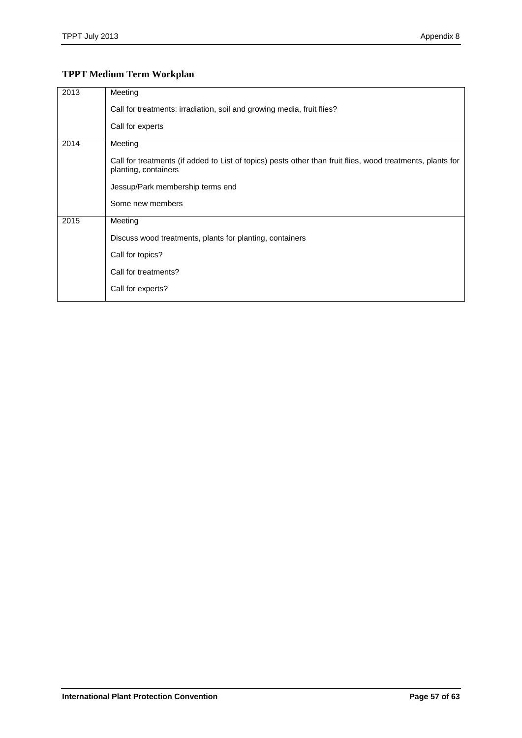# **TPPT Medium Term Workplan**

| 2013 | Meeting                                                                                                                            |
|------|------------------------------------------------------------------------------------------------------------------------------------|
|      | Call for treatments: irradiation, soil and growing media, fruit flies?                                                             |
|      | Call for experts                                                                                                                   |
| 2014 | Meeting                                                                                                                            |
|      | Call for treatments (if added to List of topics) pests other than fruit flies, wood treatments, plants for<br>planting, containers |
|      | Jessup/Park membership terms end                                                                                                   |
|      | Some new members                                                                                                                   |
| 2015 | Meeting                                                                                                                            |
|      | Discuss wood treatments, plants for planting, containers                                                                           |
|      | Call for topics?                                                                                                                   |
|      | Call for treatments?                                                                                                               |
|      | Call for experts?                                                                                                                  |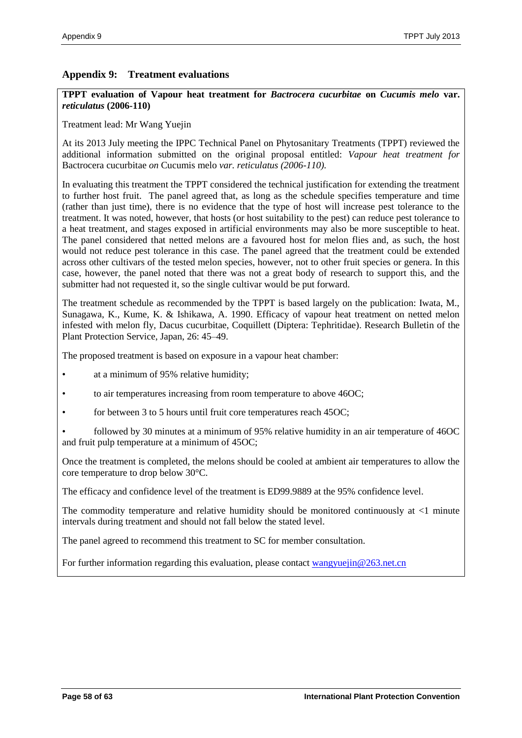### <span id="page-57-0"></span>**Appendix 9: Treatment evaluations**

**TPPT evaluation of Vapour heat treatment for** *Bactrocera cucurbitae* **on** *Cucumis melo* **var.**  *reticulatus* **(2006-110)**

Treatment lead: Mr Wang Yuejin

At its 2013 July meeting the IPPC Technical Panel on Phytosanitary Treatments (TPPT) reviewed the additional information submitted on the original proposal entitled: *Vapour heat treatment for* Bactrocera cucurbitae *on* Cucumis melo *var. reticulatus (2006-110).*

In evaluating this treatment the TPPT considered the technical justification for extending the treatment to further host fruit. The panel agreed that, as long as the schedule specifies temperature and time (rather than just time), there is no evidence that the type of host will increase pest tolerance to the treatment. It was noted, however, that hosts (or host suitability to the pest) can reduce pest tolerance to a heat treatment, and stages exposed in artificial environments may also be more susceptible to heat. The panel considered that netted melons are a favoured host for melon flies and, as such, the host would not reduce pest tolerance in this case. The panel agreed that the treatment could be extended across other cultivars of the tested melon species, however, not to other fruit species or genera. In this case, however, the panel noted that there was not a great body of research to support this, and the submitter had not requested it, so the single cultivar would be put forward.

The treatment schedule as recommended by the TPPT is based largely on the publication: Iwata, M., Sunagawa, K., Kume, K. & Ishikawa, A. 1990. Efficacy of vapour heat treatment on netted melon infested with melon fly, Dacus cucurbitae, Coquillett (Diptera: Tephritidae). Research Bulletin of the Plant Protection Service, Japan, 26: 45–49.

The proposed treatment is based on exposure in a vapour heat chamber:

- at a minimum of 95% relative humidity;
- to air temperatures increasing from room temperature to above 46OC;
- for between 3 to 5 hours until fruit core temperatures reach 45OC;

• followed by 30 minutes at a minimum of 95% relative humidity in an air temperature of 46OC and fruit pulp temperature at a minimum of 45OC;

Once the treatment is completed, the melons should be cooled at ambient air temperatures to allow the core temperature to drop below 30°C.

The efficacy and confidence level of the treatment is ED99.9889 at the 95% confidence level.

The commodity temperature and relative humidity should be monitored continuously at <1 minute intervals during treatment and should not fall below the stated level.

The panel agreed to recommend this treatment to SC for member consultation.

For further information regarding this evaluation, please contact [wangyuejin@263.net.cn](mailto:wangyuejin@263.net.cn)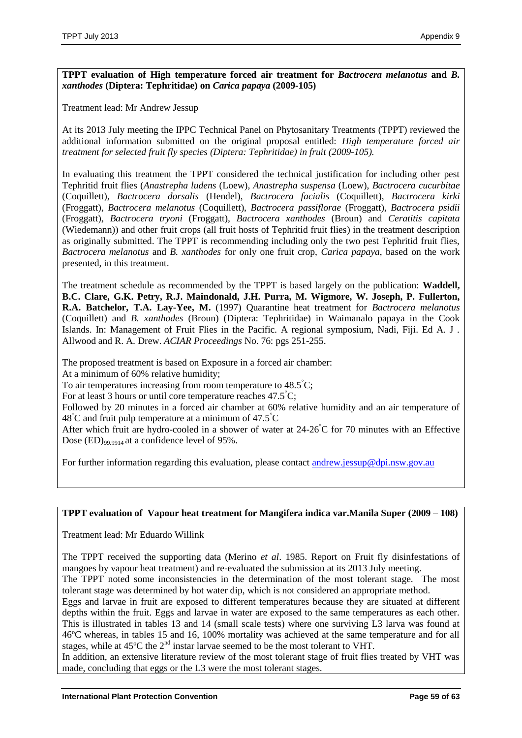**TPPT evaluation of High temperature forced air treatment for** *Bactrocera melanotus* **and** *B. xanthodes* **(Diptera: Tephritidae) on** *Carica papaya* **(2009-105)**

Treatment lead: Mr Andrew Jessup

At its 2013 July meeting the IPPC Technical Panel on Phytosanitary Treatments (TPPT) reviewed the additional information submitted on the original proposal entitled: *High temperature forced air treatment for selected fruit fly species (Diptera: Tephritidae) in fruit (2009-105).*

In evaluating this treatment the TPPT considered the technical justification for including other pest Tephritid fruit flies (*Anastrepha ludens* (Loew), *Anastrepha suspensa* (Loew), *Bactrocera cucurbitae* (Coquillett), *Bactrocera dorsalis* (Hendel), *Bactrocera facialis* (Coquillett), *Bactrocera kirki* (Froggatt), *Bactrocera melanotus* (Coquillett), *Bactrocera passiflorae* (Froggatt), *Bactrocera psidii* (Froggatt), *Bactrocera tryoni* (Froggatt), *Bactrocera xanthodes* (Broun) and *Ceratitis capitata* (Wiedemann)) and other fruit crops (all fruit hosts of Tephritid fruit flies) in the treatment description as originally submitted. The TPPT is recommending including only the two pest Tephritid fruit flies, *Bactrocera melanotus* and *B. xanthodes* for only one fruit crop, *Carica papaya*, based on the work presented, in this treatment.

The treatment schedule as recommended by the TPPT is based largely on the publication: **Waddell, B.C. Clare, G.K. Petry, R.J. Maindonald, J.H. Purra, M. Wigmore, W. Joseph, P. Fullerton, R.A. Batchelor, T.A. Lay-Yee, M.** (1997) Quarantine heat treatment for *Bactrocera melanotus* (Coquillett) and *B. xanthodes* (Broun) (Diptera: Tephritidae) in Waimanalo papaya in the Cook Islands. In: Management of Fruit Flies in the Pacific. A regional symposium, Nadi, Fiji. Ed A. J . Allwood and R. A. Drew. *ACIAR Proceedings* No. 76: pgs 251-255.

The proposed treatment is based on Exposure in a forced air chamber:

At a minimum of 60% relative humidity;

To air temperatures increasing from room temperature to  $48.5^{\circ}$ C;

For at least 3 hours or until core temperature reaches 47.5°C;

Followed by 20 minutes in a forced air chamber at 60% relative humidity and an air temperature of  $48^{\circ}$ C and fruit pulp temperature at a minimum of 47.5 $^{\circ}$ C

After which fruit are hydro-cooled in a shower of water at 24-26°C for 70 minutes with an Effective Dose  $(ED)_{99.9914}$  at a confidence level of 95%.

For further information regarding this evaluation, please contact [andrew.jessup@dpi.nsw.gov.au](mailto:andrew.jessup@dpi.nsw.gov.au)

# **TPPT evaluation of Vapour heat treatment for Mangifera indica var.Manila Super (2009 – 108)**

Treatment lead: Mr Eduardo Willink

The TPPT received the supporting data (Merino *et al*. 1985. Report on Fruit fly disinfestations of mangoes by vapour heat treatment) and re-evaluated the submission at its 2013 July meeting.

The TPPT noted some inconsistencies in the determination of the most tolerant stage. The most tolerant stage was determined by hot water dip, which is not considered an appropriate method.

Eggs and larvae in fruit are exposed to different temperatures because they are situated at different depths within the fruit. Eggs and larvae in water are exposed to the same temperatures as each other. This is illustrated in tables 13 and 14 (small scale tests) where one surviving L3 larva was found at 46ºC whereas, in tables 15 and 16, 100% mortality was achieved at the same temperature and for all stages, while at 45<sup>o</sup>C the 2<sup>nd</sup> instar larvae seemed to be the most tolerant to VHT.

In addition, an extensive literature review of the most tolerant stage of fruit flies treated by VHT was made, concluding that eggs or the L3 were the most tolerant stages.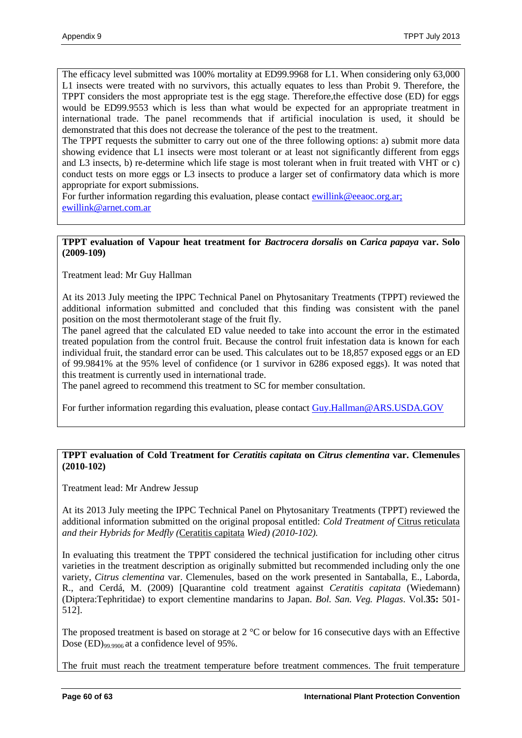The efficacy level submitted was 100% mortality at ED99.9968 for L1. When considering only 63,000 L1 insects were treated with no survivors, this actually equates to less than Probit 9. Therefore, the TPPT considers the most appropriate test is the egg stage. Therefore,the effective dose (ED) for eggs would be ED99.9553 which is less than what would be expected for an appropriate treatment in international trade. The panel recommends that if artificial inoculation is used, it should be demonstrated that this does not decrease the tolerance of the pest to the treatment.

The TPPT requests the submitter to carry out one of the three following options: a) submit more data showing evidence that L1 insects were most tolerant or at least not significantly different from eggs and L3 insects, b) re-determine which life stage is most tolerant when in fruit treated with VHT or c) conduct tests on more eggs or L3 insects to produce a larger set of confirmatory data which is more appropriate for export submissions.

For further information regarding this evaluation, please contact [ewillink@eeaoc.org.ar;](mailto:ewillink@eeaoc.org.ar) [ewillink@arnet.com.ar](mailto:ewillink@arnet.com.ar) 

### **TPPT evaluation of Vapour heat treatment for** *Bactrocera dorsalis* **on** *Carica papaya* **var. Solo (2009-109)**

Treatment lead: Mr Guy Hallman

At its 2013 July meeting the IPPC Technical Panel on Phytosanitary Treatments (TPPT) reviewed the additional information submitted and concluded that this finding was consistent with the panel position on the most thermotolerant stage of the fruit fly.

The panel agreed that the calculated ED value needed to take into account the error in the estimated treated population from the control fruit. Because the control fruit infestation data is known for each individual fruit, the standard error can be used. This calculates out to be 18,857 exposed eggs or an ED of 99.9841% at the 95% level of confidence (or 1 survivor in 6286 exposed eggs). It was noted that this treatment is currently used in international trade.

The panel agreed to recommend this treatment to SC for member consultation.

For further information regarding this evaluation, please contact [Guy.Hallman@ARS.USDA.GOV](mailto:Guy.Hallman@ARS.USDA.GOV)

### **TPPT evaluation of Cold Treatment for** *Ceratitis capitata* **on** *Citrus clementina* **var. Clemenules (2010-102)**

Treatment lead: Mr Andrew Jessup

At its 2013 July meeting the IPPC Technical Panel on Phytosanitary Treatments (TPPT) reviewed the additional information submitted on the original proposal entitled: *Cold Treatment of* Citrus reticulata *and their Hybrids for Medfly (*Ceratitis capitata *Wied) (2010-102).*

In evaluating this treatment the TPPT considered the technical justification for including other citrus varieties in the treatment description as originally submitted but recommended including only the one variety, *Citrus clementina* var. Clemenules, based on the work presented in Santaballa, E., Laborda, R., and Cerdá, M. (2009) [Quarantine cold treatment against *Ceratitis capitata* (Wiedemann) (Diptera:Tephritidae) to export clementine mandarins to Japan. *Bol. San. Veg. Plagas*. Vol.**35:** 501- 512].

The proposed treatment is based on storage at 2 °C or below for 16 consecutive days with an Effective Dose (ED)99.9906 at a confidence level of 95%.

The fruit must reach the treatment temperature before treatment commences. The fruit temperature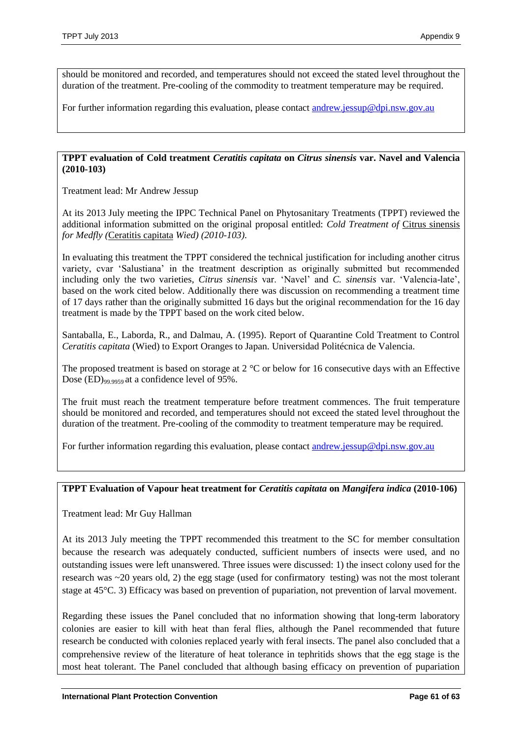should be monitored and recorded, and temperatures should not exceed the stated level throughout the duration of the treatment. Pre-cooling of the commodity to treatment temperature may be required.

For further information regarding this evaluation, please contact [andrew.jessup@dpi.nsw.gov.au](mailto:andrew.jessup@dpi.nsw.gov.au)

### **TPPT evaluation of Cold treatment** *Ceratitis capitata* **on** *Citrus sinensis* **var. Navel and Valencia (2010-103)**

Treatment lead: Mr Andrew Jessup

At its 2013 July meeting the IPPC Technical Panel on Phytosanitary Treatments (TPPT) reviewed the additional information submitted on the original proposal entitled: *Cold Treatment of* Citrus sinensis *for Medfly (*Ceratitis capitata *Wied) (2010-103)*.

In evaluating this treatment the TPPT considered the technical justification for including another citrus variety, cvar 'Salustiana' in the treatment description as originally submitted but recommended including only the two varieties, *Citrus sinensis* var. 'Navel' and *C. sinensis* var. 'Valencia-late', based on the work cited below. Additionally there was discussion on recommending a treatment time of 17 days rather than the originally submitted 16 days but the original recommendation for the 16 day treatment is made by the TPPT based on the work cited below.

Santaballa, E., Laborda, R., and Dalmau, A. (1995). Report of Quarantine Cold Treatment to Control *Ceratitis capitata* (Wied) to Export Oranges to Japan. Universidad Politécnica de Valencia.

The proposed treatment is based on storage at 2 °C or below for 16 consecutive days with an Effective Dose (ED)<sub>99.9959</sub> at a confidence level of 95%.

The fruit must reach the treatment temperature before treatment commences. The fruit temperature should be monitored and recorded, and temperatures should not exceed the stated level throughout the duration of the treatment. Pre-cooling of the commodity to treatment temperature may be required.

For further information regarding this evaluation, please contact [andrew.jessup@dpi.nsw.gov.au](mailto:andrew.jessup@dpi.nsw.gov.au)

# **TPPT Evaluation of Vapour heat treatment for** *Ceratitis capitata* **on** *Mangifera indica* **(2010-106)**

Treatment lead: Mr Guy Hallman

At its 2013 July meeting the TPPT recommended this treatment to the SC for member consultation because the research was adequately conducted, sufficient numbers of insects were used, and no outstanding issues were left unanswered. Three issues were discussed: 1) the insect colony used for the research was ~20 years old, 2) the egg stage (used for confirmatory testing) was not the most tolerant stage at 45°C. 3) Efficacy was based on prevention of pupariation, not prevention of larval movement.

Regarding these issues the Panel concluded that no information showing that long-term laboratory colonies are easier to kill with heat than feral flies, although the Panel recommended that future research be conducted with colonies replaced yearly with feral insects. The panel also concluded that a comprehensive review of the literature of heat tolerance in tephritids shows that the egg stage is the most heat tolerant. The Panel concluded that although basing efficacy on prevention of pupariation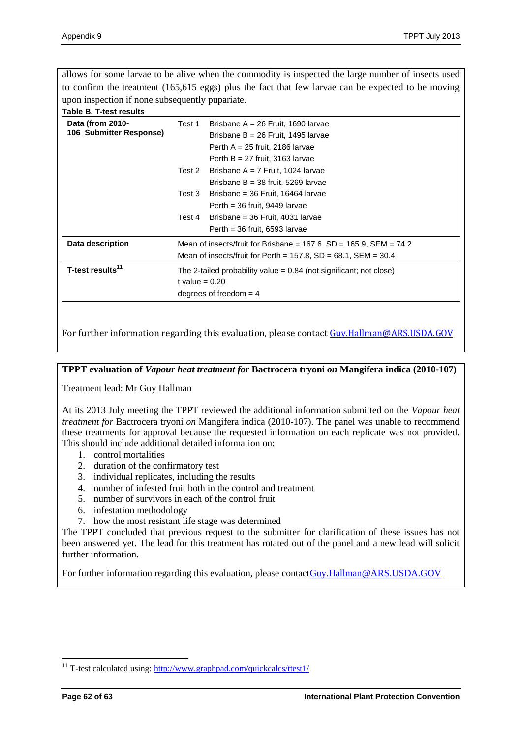allows for some larvae to be alive when the commodity is inspected the large number of insects used to confirm the treatment (165,615 eggs) plus the fact that few larvae can be expected to be moving upon inspection if none subsequently pupariate.

#### **Table B. T-test results**

| Data (from 2010-<br>106_Submitter Response) | Test 1                                                                 | Brisbane $A = 26$ Fruit, 1690 larvae<br>Brisbane B = $26$ Fruit, 1495 larvae<br>Perth $A = 25$ fruit, 2186 larvae<br>Perth $B = 27$ fruit, 3163 larvae |  |
|---------------------------------------------|------------------------------------------------------------------------|--------------------------------------------------------------------------------------------------------------------------------------------------------|--|
|                                             | Test 2                                                                 | Brisbane A = 7 Fruit, 1024 larvae                                                                                                                      |  |
|                                             |                                                                        | Brisbane $B = 38$ fruit, 5269 larvae                                                                                                                   |  |
|                                             | Test 3                                                                 | Brisbane = 36 Fruit, 16464 larvae                                                                                                                      |  |
|                                             |                                                                        | Perth = $36$ fruit, 9449 larvae                                                                                                                        |  |
|                                             | Test 4                                                                 | Brisbane = 36 Fruit, 4031 larvae                                                                                                                       |  |
|                                             |                                                                        | Perth = $36$ fruit, 6593 larvae                                                                                                                        |  |
| Data description                            | Mean of insects/fruit for Brisbane = 167.6, SD = 165.9, SEM = 74.2     |                                                                                                                                                        |  |
|                                             | Mean of insects/fruit for Perth = $157.8$ , SD = $68.1$ , SEM = $30.4$ |                                                                                                                                                        |  |
| T-test results <sup>11</sup>                | The 2-tailed probability value $= 0.84$ (not significant; not close)   |                                                                                                                                                        |  |
|                                             | t value = $0.20$                                                       |                                                                                                                                                        |  |
|                                             | degrees of freedom $=$ 4                                               |                                                                                                                                                        |  |

For further information regarding this evaluation, please contact [Guy.Hallman@ARS.USDA.GOV](mailto:Guy.Hallman@ARS.USDA.GOV)

**TPPT evaluation of** *Vapour heat treatment for* **Bactrocera tryoni** *on* **Mangifera indica (2010-107)** 

Treatment lead: Mr Guy Hallman

At its 2013 July meeting the TPPT reviewed the additional information submitted on the *Vapour heat treatment for* Bactrocera tryoni *on* Mangifera indica (2010-107). The panel was unable to recommend these treatments for approval because the requested information on each replicate was not provided. This should include additional detailed information on:

- 1. control mortalities
- 2. duration of the confirmatory test
- 3. individual replicates, including the results
- 4. number of infested fruit both in the control and treatment
- 5. number of survivors in each of the control fruit
- 6. infestation methodology
- 7. how the most resistant life stage was determined

The TPPT concluded that previous request to the submitter for clarification of these issues has not been answered yet. The lead for this treatment has rotated out of the panel and a new lead will solicit further information.

For further information regarding this evaluation, please contac[tGuy.Hallman@ARS.USDA.GOV](mailto:Guy.Hallman@ARS.USDA.GOV)

 $\overline{a}$ 

<sup>&</sup>lt;sup>11</sup> T-test calculated using: http://www.graphpad.com/quickcalcs/ttest1/